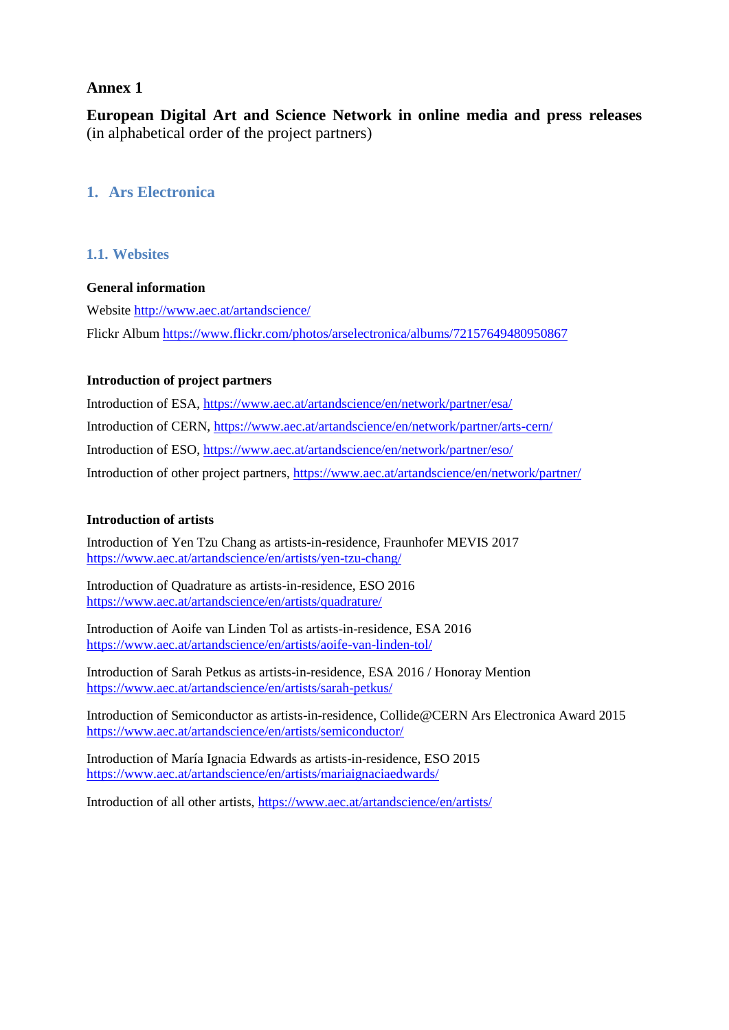## **Annex 1**

**European Digital Art and Science Network in online media and press releases**  (in alphabetical order of the project partners)

## **1. Ars Electronica**

## **1.1. Websites**

#### **General information**

Website <http://www.aec.at/artandscience/> Flickr Album<https://www.flickr.com/photos/arselectronica/albums/72157649480950867>

#### **Introduction of project partners**

Introduction of ESA, <https://www.aec.at/artandscience/en/network/partner/esa/> Introduction of CERN, https://www.aec.at/artandscience/en/network/partner/arts-cern/ Introduction of ESO,<https://www.aec.at/artandscience/en/network/partner/eso/> Introduction of other project partners,<https://www.aec.at/artandscience/en/network/partner/>

#### **Introduction of artists**

Introduction of Yen Tzu Chang as artists-in-residence, Fraunhofer MEVIS 2017 <https://www.aec.at/artandscience/en/artists/yen-tzu-chang/>

Introduction of Quadrature as artists-in-residence, ESO 2016 <https://www.aec.at/artandscience/en/artists/quadrature/>

Introduction of Aoife van Linden Tol as artists-in-residence, ESA 2016 <https://www.aec.at/artandscience/en/artists/aoife-van-linden-tol/>

Introduction of Sarah Petkus as artists-in-residence, ESA 2016 / Honoray Mention <https://www.aec.at/artandscience/en/artists/sarah-petkus/>

Introduction of Semiconductor as artists-in-residence, Collide@CERN Ars Electronica Award 2015 <https://www.aec.at/artandscience/en/artists/semiconductor/>

Introduction of María Ignacia Edwards as artists-in-residence, ESO 2015 <https://www.aec.at/artandscience/en/artists/mariaignaciaedwards/>

Introduction of all other artists,<https://www.aec.at/artandscience/en/artists/>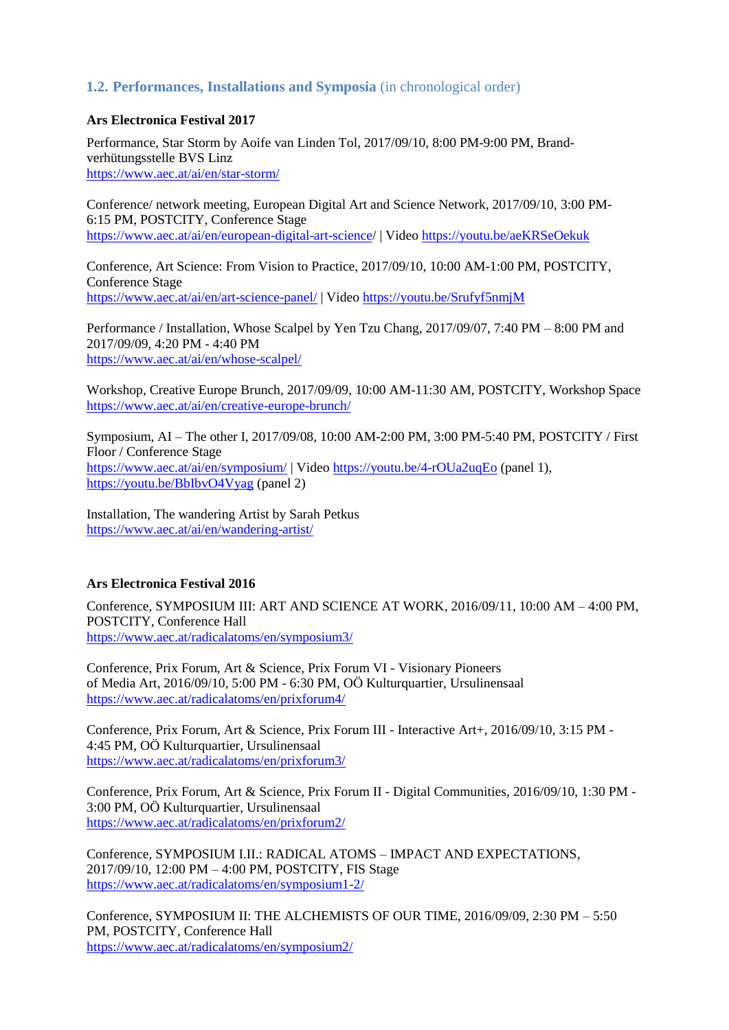## **1.2. Performances, Installations and Symposia** (in chronological order)

#### **Ars Electronica Festival 2017**

Performance, Star Storm by Aoife van Linden Tol, 2017/09/10, 8:00 PM-9:00 PM, Brandverhütungsstelle BVS Linz <https://www.aec.at/ai/en/star-storm/>

Conference/ network meeting, European Digital Art and Science Network, 2017/09/10, 3:00 PM-6:15 PM, POSTCITY, Conference Stage <https://www.aec.at/ai/en/european-digital-art-science/> | Video<https://youtu.be/aeKRSeOekuk>

Conference, Art Science: From Vision to Practice, 2017/09/10, 10:00 AM-1:00 PM, POSTCITY, Conference Stage <https://www.aec.at/ai/en/art-science-panel/> | Video<https://youtu.be/Srufyf5nmjM>

Performance / Installation, Whose Scalpel by Yen Tzu Chang, 2017/09/07, 7:40 PM – 8:00 PM and 2017/09/09, 4:20 PM - 4:40 PM <https://www.aec.at/ai/en/whose-scalpel/>

Workshop, Creative Europe Brunch, 2017/09/09, 10:00 AM-11:30 AM, POSTCITY, Workshop Space https://www.aec.at/ai/en/creative-europe-brunch/

Symposium, AI – The other I, 2017/09/08, 10:00 AM-2:00 PM, 3:00 PM-5:40 PM, POSTCITY / First Floor / Conference Stage <https://www.aec.at/ai/en/symposium/> | Video<https://youtu.be/4-rOUa2uqEo> (panel 1), <https://youtu.be/BbIbvO4Vyag> (panel 2)

Installation, The wandering Artist by Sarah Petkus https://www.aec.at/ai/en/wandering-artist/

#### **Ars Electronica Festival 2016**

Conference, SYMPOSIUM III: ART AND SCIENCE AT WORK, 2016/09/11, 10:00 AM – 4:00 PM, POSTCITY, Conference Hall <https://www.aec.at/radicalatoms/en/symposium3/>

Conference, Prix Forum, Art & Science, Prix Forum VI - Visionary Pioneers of Media Art, 2016/09/10, 5:00 PM - 6:30 PM, OÖ Kulturquartier, Ursulinensaal <https://www.aec.at/radicalatoms/en/prixforum4/>

Conference, Prix Forum, Art & Science, Prix Forum III - Interactive Art+, 2016/09/10, 3:15 PM - 4:45 PM, OÖ Kulturquartier, Ursulinensaal <https://www.aec.at/radicalatoms/en/prixforum3/>

Conference, Prix Forum, Art & Science, Prix Forum II - Digital Communities, 2016/09/10, 1:30 PM - 3:00 PM, OÖ Kulturquartier, Ursulinensaal <https://www.aec.at/radicalatoms/en/prixforum2/>

Conference, SYMPOSIUM I.II.: RADICAL ATOMS – IMPACT AND EXPECTATIONS, 2017/09/10, 12:00 PM – 4:00 PM, POSTCITY, FIS Stage <https://www.aec.at/radicalatoms/en/symposium1-2/>

Conference, SYMPOSIUM II: THE ALCHEMISTS OF OUR TIME, 2016/09/09, 2:30 PM – 5:50 PM, POSTCITY, Conference Hall <https://www.aec.at/radicalatoms/en/symposium2/>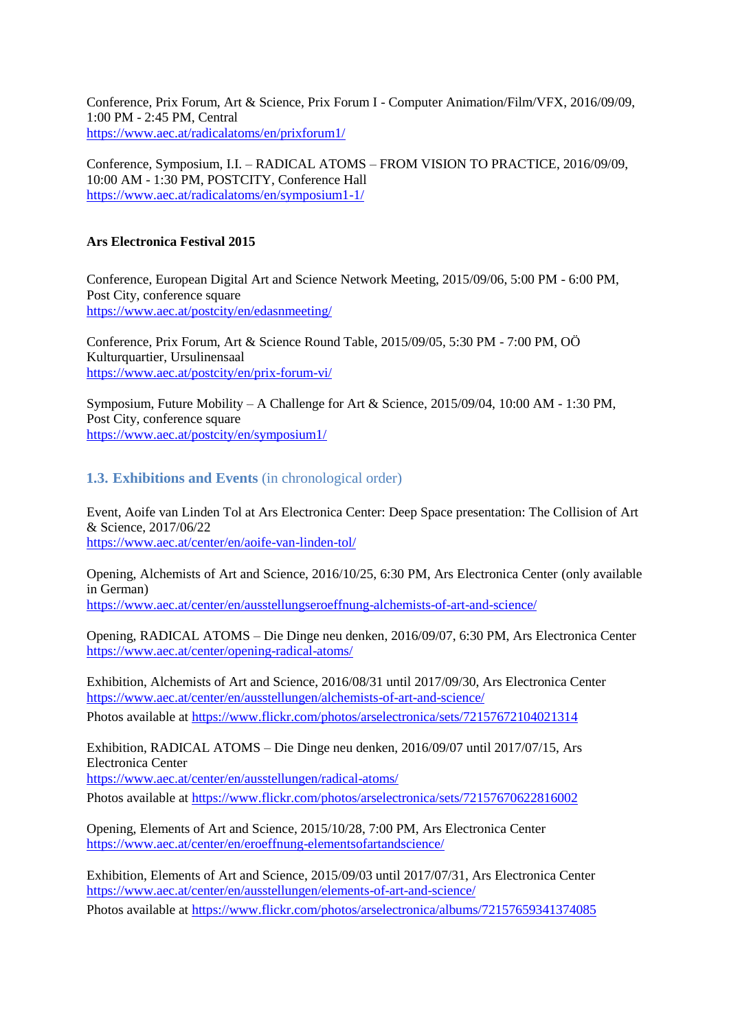Conference, Prix Forum, Art & Science, Prix Forum I - Computer Animation/Film/VFX, 2016/09/09, 1:00 PM - 2:45 PM, Central <https://www.aec.at/radicalatoms/en/prixforum1/>

Conference, Symposium, I.I. – RADICAL ATOMS – FROM VISION TO PRACTICE, 2016/09/09, 10:00 AM - 1:30 PM, POSTCITY, Conference Hall <https://www.aec.at/radicalatoms/en/symposium1-1/>

#### **Ars Electronica Festival 2015**

Conference, European Digital Art and Science Network Meeting, 2015/09/06, 5:00 PM - 6:00 PM, Post City, conference square <https://www.aec.at/postcity/en/edasnmeeting/>

Conference, Prix Forum, Art & Science Round Table, 2015/09/05, 5:30 PM - 7:00 PM, OÖ Kulturquartier, Ursulinensaal <https://www.aec.at/postcity/en/prix-forum-vi/>

Symposium, Future Mobility – A Challenge for Art & Science, 2015/09/04, 10:00 AM - 1:30 PM, Post City, conference square <https://www.aec.at/postcity/en/symposium1/>

## **1.3. Exhibitions and Events** (in chronological order)

Event, Aoife van Linden Tol at Ars Electronica Center: Deep Space presentation: The Collision of Art & Science, 2017/06/22 <https://www.aec.at/center/en/aoife-van-linden-tol/>

Opening, Alchemists of Art and Science, 2016/10/25, 6:30 PM, Ars Electronica Center (only available in German) <https://www.aec.at/center/en/ausstellungseroeffnung-alchemists-of-art-and-science/>

Opening, RADICAL ATOMS – Die Dinge neu denken, 2016/09/07, 6:30 PM, Ars Electronica Center <https://www.aec.at/center/opening-radical-atoms/>

Exhibition, Alchemists of Art and Science, 2016/08/31 until 2017/09/30, Ars Electronica Center <https://www.aec.at/center/en/ausstellungen/alchemists-of-art-and-science/>

Photos available at<https://www.flickr.com/photos/arselectronica/sets/72157672104021314>

Exhibition, RADICAL ATOMS – Die Dinge neu denken, 2016/09/07 until 2017/07/15, Ars Electronica Center

<https://www.aec.at/center/en/ausstellungen/radical-atoms/>

Photos available at https://www.flickr.com/photos/arselectronica/sets/72157670622816002

Opening, Elements of Art and Science, 2015/10/28, 7:00 PM, Ars Electronica Center <https://www.aec.at/center/en/eroeffnung-elementsofartandscience/>

Exhibition, Elements of Art and Science, 2015/09/03 until 2017/07/31, Ars Electronica Center <https://www.aec.at/center/en/ausstellungen/elements-of-art-and-science/> Photos available at https://www.flickr.com/photos/arselectronica/albums/72157659341374085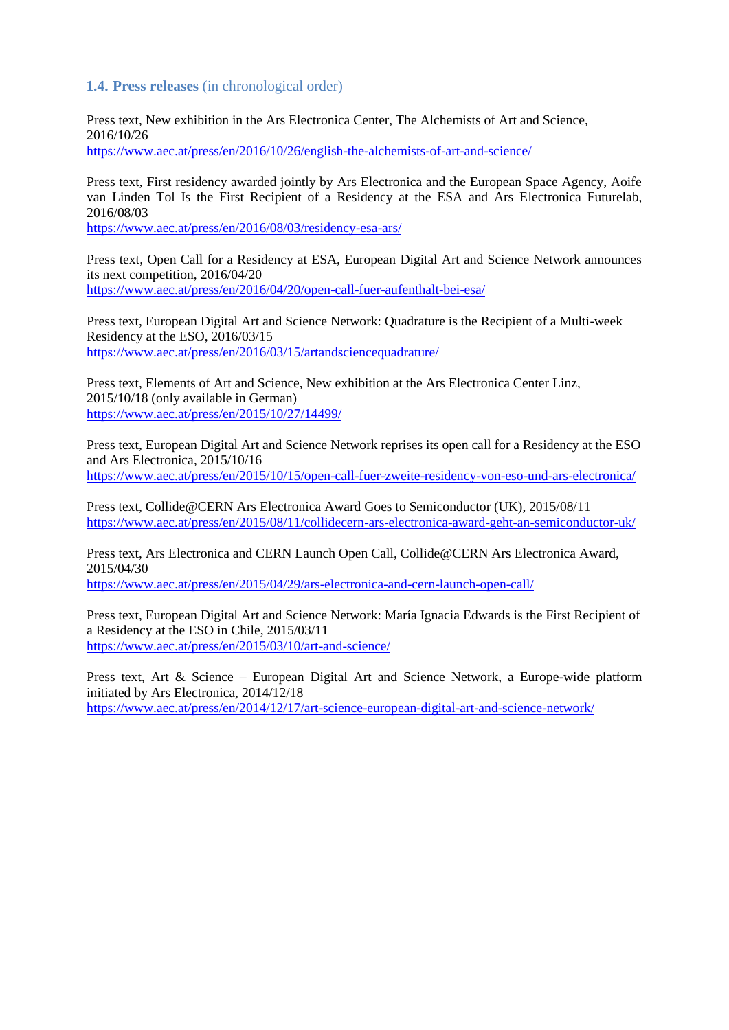#### **1.4. Press releases** (in chronological order)

Press text, New exhibition in the Ars Electronica Center, The Alchemists of Art and Science, 2016/10/26 <https://www.aec.at/press/en/2016/10/26/english-the-alchemists-of-art-and-science/>

Press text, First residency awarded jointly by Ars Electronica and the European Space Agency, Aoife van Linden Tol Is the First Recipient of a Residency at the ESA and Ars Electronica Futurelab, 2016/08/03

https://www.aec.at/press/en/2016/08/03/residency-esa-ars/

Press text, Open Call for a Residency at ESA, European Digital Art and Science Network announces its next competition, 2016/04/20 <https://www.aec.at/press/en/2016/04/20/open-call-fuer-aufenthalt-bei-esa/>

Press text, European Digital Art and Science Network: Quadrature is the Recipient of a Multi-week Residency at the ESO, 2016/03/15 <https://www.aec.at/press/en/2016/03/15/artandsciencequadrature/>

Press text, Elements of Art and Science, New exhibition at the Ars Electronica Center Linz, 2015/10/18 (only available in German) <https://www.aec.at/press/en/2015/10/27/14499/>

Press text, European Digital Art and Science Network reprises its open call for a Residency at the ESO and Ars Electronica, 2015/10/16 <https://www.aec.at/press/en/2015/10/15/open-call-fuer-zweite-residency-von-eso-und-ars-electronica/>

Press text, Collide@CERN Ars Electronica Award Goes to Semiconductor (UK), 2015/08/11 <https://www.aec.at/press/en/2015/08/11/collidecern-ars-electronica-award-geht-an-semiconductor-uk/>

Press text, Ars Electronica and CERN Launch Open Call, Collide@CERN Ars Electronica Award, 2015/04/30

<https://www.aec.at/press/en/2015/04/29/ars-electronica-and-cern-launch-open-call/>

Press text, European Digital Art and Science Network: María Ignacia Edwards is the First Recipient of a Residency at the ESO in Chile, 2015/03/11 <https://www.aec.at/press/en/2015/03/10/art-and-science/>

Press text, Art & Science – European Digital Art and Science Network, a Europe-wide platform initiated by Ars Electronica, 2014/12/18 <https://www.aec.at/press/en/2014/12/17/art-science-european-digital-art-and-science-network/>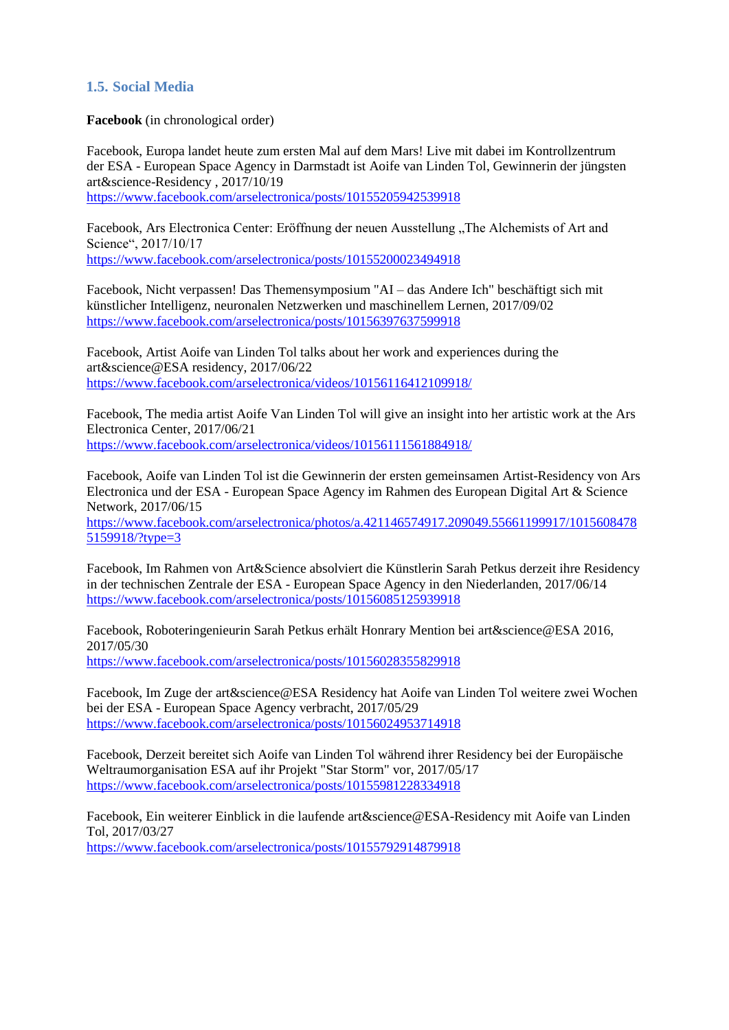## **1.5. Social Media**

**Facebook** (in chronological order)

Facebook, Europa landet heute zum ersten Mal auf dem Mars! Live mit dabei im Kontrollzentrum der ESA - [European Space Agency](https://www.facebook.com/EuropeanSpaceAgency/?fref=mentions) in Darmstadt ist [Aoife van Linden Tol,](https://www.facebook.com/aoifevanlindentol/?fref=mentions) Gewinnerin der jüngsten art&science-Residency , 2017/10/19

<https://www.facebook.com/arselectronica/posts/10155205942539918>

Facebook, Ars Electronica Center: Eröffnung der neuen Ausstellung "The Alchemists of Art and Science", 2017/10/17 <https://www.facebook.com/arselectronica/posts/10155200023494918>

Facebook, Nicht verpassen! Das Themensymposium "AI – das Andere Ich" beschäftigt sich mit künstlicher Intelligenz, neuronalen Netzwerken und maschinellem Lernen, 2017/09/02 <https://www.facebook.com/arselectronica/posts/10156397637599918>

Facebook, Artist [Aoife van Linden Tol](https://www.facebook.com/aoifevanlindentol/?fref=mentions) talks about her work and experiences during the art&science@ESA residency, 2017/06/22 <https://www.facebook.com/arselectronica/videos/10156116412109918/>

Facebook, The media artist Aoife Van Linden Tol will give an insight into her artistic work at the Ars Electronica Center, 2017/06/21 <https://www.facebook.com/arselectronica/videos/10156111561884918/>

Facebook, Aoife van Linden Tol ist die Gewinnerin der ersten gemeinsamen Artist-Residency von Ars Electronica und der ESA - [European Space Agency](https://www.facebook.com/EuropeanSpaceAgency/?fref=mentions) im Rahmen des European Digital Art & Science Network, 2017/06/15

[https://www.facebook.com/arselectronica/photos/a.421146574917.209049.55661199917/1015608478](https://www.facebook.com/arselectronica/photos/a.421146574917.209049.55661199917/10156084785159918/?type=3) [5159918/?type=3](https://www.facebook.com/arselectronica/photos/a.421146574917.209049.55661199917/10156084785159918/?type=3)

Facebook, Im Rahmen von Art&Science absolviert die Künstlerin Sarah Petkus derzeit ihre Residency in der technischen Zentrale der ESA - [European Space Agency](https://www.facebook.com/EuropeanSpaceAgency/?fref=mentions) in den Niederlanden, 2017/06/14 <https://www.facebook.com/arselectronica/posts/10156085125939918>

Facebook, Roboteringenieurin Sarah Petkus erhält Honrary Mention bei art&science@ESA 2016, 2017/05/30 <https://www.facebook.com/arselectronica/posts/10156028355829918>

Facebook, Im Zuge der art&science@ESA Residency hat [Aoife van Linden Tol](https://www.facebook.com/aoifevanlindentol/?fref=mentions) weitere zwei Wochen bei der ESA - [European Space Agency](https://www.facebook.com/EuropeanSpaceAgency/?fref=mentions) verbracht, 2017/05/29 <https://www.facebook.com/arselectronica/posts/10156024953714918>

Facebook, Derzeit bereitet sich [Aoife van Linden Tol](https://www.facebook.com/aoifevanlindentol/?fref=mentions) während ihrer Residency bei der [Europäische](https://www.facebook.com/esa.deutsch/?fref=mentions)  [Weltraumorganisation ESA](https://www.facebook.com/esa.deutsch/?fref=mentions) auf ihr Projekt "Star Storm" vor, 2017/05/17 <https://www.facebook.com/arselectronica/posts/10155981228334918>

Facebook, Ein weiterer Einblick in die laufende art&science@ESA-Residency mit [Aoife van Linden](https://www.facebook.com/aoifevanlindentol/?fref=mentions)  [Tol,](https://www.facebook.com/aoifevanlindentol/?fref=mentions) 2017/03/27 <https://www.facebook.com/arselectronica/posts/10155792914879918>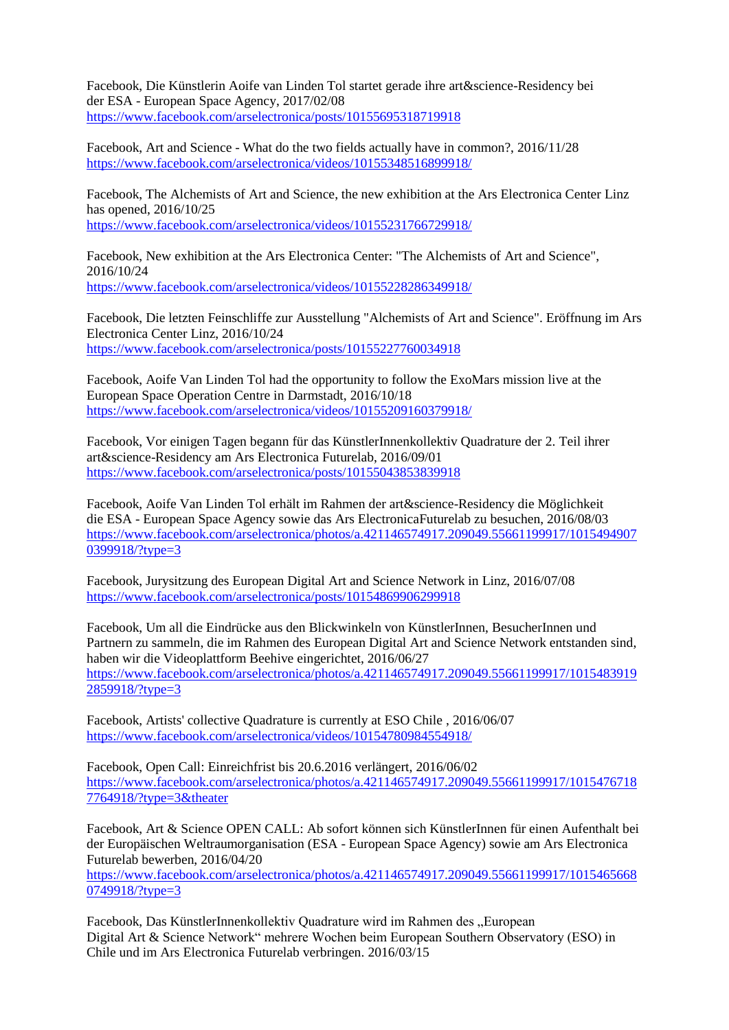Facebook, Die Künstlerin [Aoife van Linden Tol](https://www.facebook.com/aoifevanlindentol/?fref=mentions) startet gerade ihre art&science-Residency bei der ESA - [European Space Agency,](https://www.facebook.com/EuropeanSpaceAgency/?fref=mentions) 2017/02/08 <https://www.facebook.com/arselectronica/posts/10155695318719918>

Facebook, Art and Science - What do the two fields actually have in common?, 2016/11/28 <https://www.facebook.com/arselectronica/videos/10155348516899918/>

Facebook, The Alchemists of Art and Science, the new exhibition at the Ars Electronica Center Linz has opened, 2016/10/25 <https://www.facebook.com/arselectronica/videos/10155231766729918/>

Facebook, New exhibition at the Ars Electronica Center: "The Alchemists of Art and Science", 2016/10/24 <https://www.facebook.com/arselectronica/videos/10155228286349918/>

Facebook, Die letzten Feinschliffe zur Ausstellung "Alchemists of Art and Science". Eröffnung im Ars Electronica Center Linz, 2016/10/24 <https://www.facebook.com/arselectronica/posts/10155227760034918>

Facebook, Aoife Van Linden Tol had the opportunity to follow the ExoMars mission live at the European Space Operation Centre in Darmstadt, 2016/10/18 <https://www.facebook.com/arselectronica/videos/10155209160379918/>

Facebook, Vor einigen Tagen begann für das KünstlerInnenkollektiv Quadrature der 2. Teil ihrer art&science-Residency am Ars Electronica Futurelab, 2016/09/01 <https://www.facebook.com/arselectronica/posts/10155043853839918>

Facebook, Aoife Van Linden Tol erhält im Rahmen der art&science-Residency die Möglichkeit die ESA - [European Space Agency](https://www.facebook.com/EuropeanSpaceAgency/?fref=mentions) sowie das [Ars ElectronicaF](https://www.facebook.com/arselectronica/?fref=mentions)uturelab zu besuchen, 2016/08/03 [https://www.facebook.com/arselectronica/photos/a.421146574917.209049.55661199917/1015494907](https://www.facebook.com/arselectronica/photos/a.421146574917.209049.55661199917/10154949070399918/?type=3) [0399918/?type=3](https://www.facebook.com/arselectronica/photos/a.421146574917.209049.55661199917/10154949070399918/?type=3)

Facebook, Jurysitzung des European Digital Art and Science Network in Linz, 2016/07/08 <https://www.facebook.com/arselectronica/posts/10154869906299918>

Facebook, Um all die Eindrücke aus den Blickwinkeln von KünstlerInnen, BesucherInnen und Partnern zu sammeln, die im Rahmen des European Digital Art and Science Network entstanden sind, haben wir die Videoplattform Beehive eingerichtet, 2016/06/27 [https://www.facebook.com/arselectronica/photos/a.421146574917.209049.55661199917/1015483919](https://www.facebook.com/arselectronica/photos/a.421146574917.209049.55661199917/10154839192859918/?type=3) [2859918/?type=3](https://www.facebook.com/arselectronica/photos/a.421146574917.209049.55661199917/10154839192859918/?type=3)

Facebook, Artists' collective Quadrature is currently at ESO Chile , 2016/06/07 <https://www.facebook.com/arselectronica/videos/10154780984554918/>

Facebook, Open Call: Einreichfrist bis 20.6.2016 verlängert, 2016/06/02 [https://www.facebook.com/arselectronica/photos/a.421146574917.209049.55661199917/1015476718](https://www.facebook.com/arselectronica/photos/a.421146574917.209049.55661199917/10154767187764918/?type=3&theater) [7764918/?type=3&theater](https://www.facebook.com/arselectronica/photos/a.421146574917.209049.55661199917/10154767187764918/?type=3&theater)

Facebook, Art & Science OPEN CALL: Ab sofort können sich KünstlerInnen für einen Aufenthalt bei der Europäischen Weltraumorganisation (ESA - [European Space Agency\)](https://www.facebook.com/EuropeanSpaceAgency/?fref=mentions) sowie am Ars Electronica Futurelab bewerben, 2016/04/20

[https://www.facebook.com/arselectronica/photos/a.421146574917.209049.55661199917/1015465668](https://www.facebook.com/arselectronica/photos/a.421146574917.209049.55661199917/10154656680749918/?type=3) [0749918/?type=3](https://www.facebook.com/arselectronica/photos/a.421146574917.209049.55661199917/10154656680749918/?type=3)

Facebook, Das KünstlerInnenkollektiv Quadrature wird im Rahmen des "European Digital Art & Science Network" mehrere Wochen beim European Southern Observatory (ESO) in Chile und im Ars Electronica Futurelab verbringen. 2016/03/15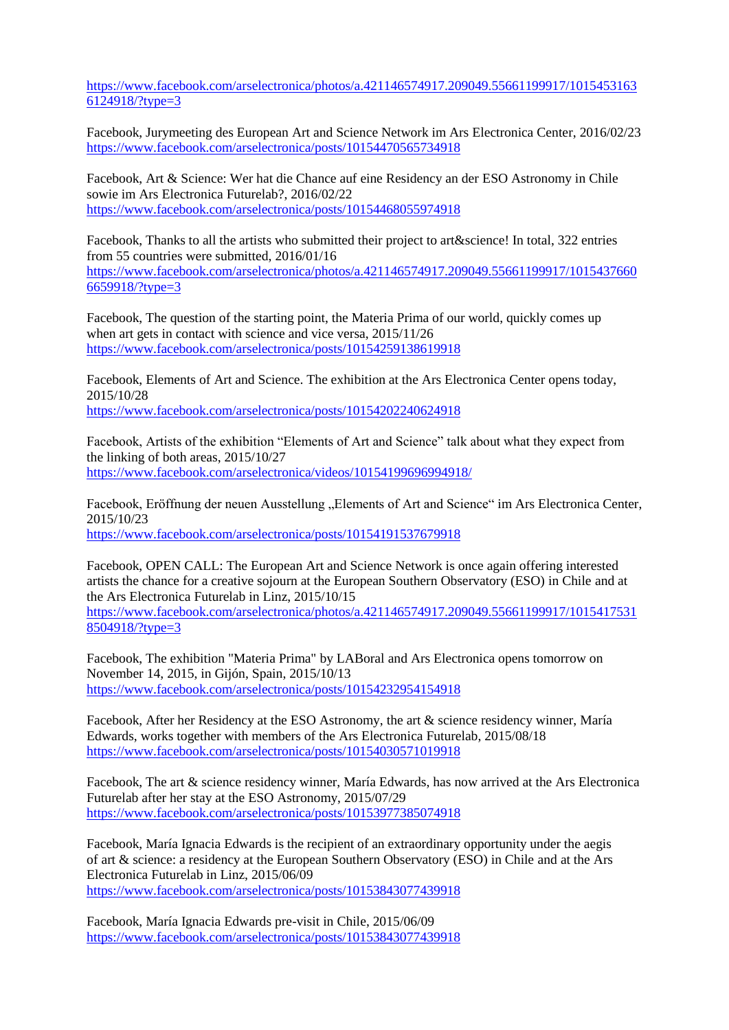[https://www.facebook.com/arselectronica/photos/a.421146574917.209049.55661199917/1015453163](https://www.facebook.com/arselectronica/photos/a.421146574917.209049.55661199917/10154531636124918/?type=3) [6124918/?type=3](https://www.facebook.com/arselectronica/photos/a.421146574917.209049.55661199917/10154531636124918/?type=3)

Facebook, Jurymeeting des European Art and Science Network im Ars Electronica Center, 2016/02/23 <https://www.facebook.com/arselectronica/posts/10154470565734918>

Facebook, Art & Science: Wer hat die Chance auf eine Residency an der [ESO Astronomy](https://www.facebook.com/ESOAstronomy/?fref=mentions) in Chile sowie im Ars Electronica Futurelab?, 2016/02/22 <https://www.facebook.com/arselectronica/posts/10154468055974918>

Facebook, Thanks to all the artists who submitted their project to art&science! In total, 322 entries from 55 countries were submitted, 2016/01/16 [https://www.facebook.com/arselectronica/photos/a.421146574917.209049.55661199917/1015437660](https://www.facebook.com/arselectronica/photos/a.421146574917.209049.55661199917/10154376606659918/?type=3) [6659918/?type=3](https://www.facebook.com/arselectronica/photos/a.421146574917.209049.55661199917/10154376606659918/?type=3)

Facebook, The question of the starting point, the Materia Prima of our world, quickly comes up when art gets in contact with science and vice versa, 2015/11/26 <https://www.facebook.com/arselectronica/posts/10154259138619918>

Facebook, Elements of Art and Science. The exhibition at the Ars Electronica Center opens today, 2015/10/28

<https://www.facebook.com/arselectronica/posts/10154202240624918>

Facebook, Artists of the exhibition "Elements of Art and Science" talk about what they expect from the linking of both areas, 2015/10/27 <https://www.facebook.com/arselectronica/videos/10154199696994918/>

Facebook, Eröffnung der neuen Ausstellung "Elements of Art and Science" im Ars Electronica Center, 2015/10/23 <https://www.facebook.com/arselectronica/posts/10154191537679918>

Facebook, OPEN CALL: The European Art and Science Network is once again offering interested artists the chance for a creative sojourn at the European Southern Observatory (ESO) in Chile and at the Ars Electronica Futurelab in Linz, 2015/10/15

[https://www.facebook.com/arselectronica/photos/a.421146574917.209049.55661199917/1015417531](https://www.facebook.com/arselectronica/photos/a.421146574917.209049.55661199917/10154175318504918/?type=3) [8504918/?type=3](https://www.facebook.com/arselectronica/photos/a.421146574917.209049.55661199917/10154175318504918/?type=3)

Facebook, The exhibition "Materia Prima" by LABoral and Ars Electronica opens tomorrow on November 14, 2015, in Gijón, Spain, 2015/10/13 <https://www.facebook.com/arselectronica/posts/10154232954154918>

Facebook, After her Residency at the [ESO Astronomy,](https://www.facebook.com/ESOAstronomy/?fref=mentions) the art & science residency winner, María Edwards, works together with members of the Ars Electronica Futurelab, 2015/08/18 <https://www.facebook.com/arselectronica/posts/10154030571019918>

Facebook, The art & science residency winner, María Edwards, has now arrived at the Ars Electronica Futurelab after her stay at the [ESO Astronomy,](https://www.facebook.com/ESOAstronomy/?fref=mentions) 2015/07/29 <https://www.facebook.com/arselectronica/posts/10153977385074918>

Facebook, María Ignacia Edwards is the recipient of an extraordinary opportunity under the aegis of art & science: a residency at the European Southern Observatory (ESO) in Chile and at the Ars Electronica Futurelab in Linz, 2015/06/09 <https://www.facebook.com/arselectronica/posts/10153843077439918>

Facebook, María Ignacia Edwards pre-visit in Chile, 2015/06/09 <https://www.facebook.com/arselectronica/posts/10153843077439918>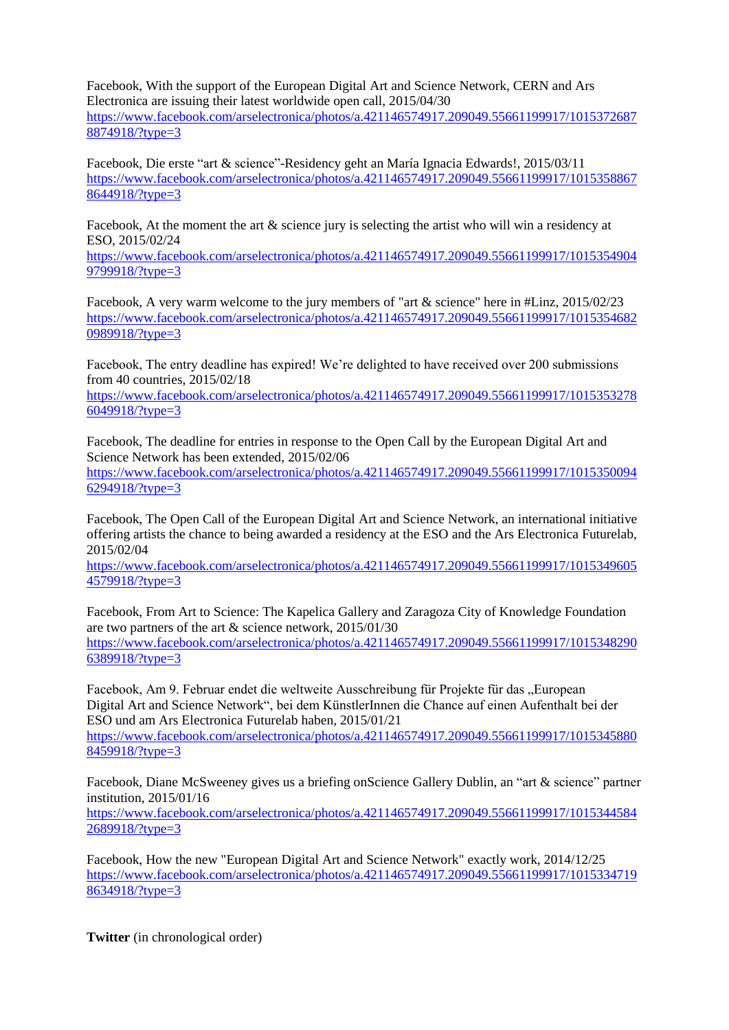Facebook, With the support of the European Digital Art and Science Network, CERN and Ars Electronica are issuing their latest worldwide open call, 2015/04/30 [https://www.facebook.com/arselectronica/photos/a.421146574917.209049.55661199917/1015372687](https://www.facebook.com/arselectronica/photos/a.421146574917.209049.55661199917/10153726878874918/?type=3) [8874918/?type=3](https://www.facebook.com/arselectronica/photos/a.421146574917.209049.55661199917/10153726878874918/?type=3)

Facebook, Die erste "art & science"-Residency geht an María Ignacia Edwards!, 2015/03/11 [https://www.facebook.com/arselectronica/photos/a.421146574917.209049.55661199917/1015358867](https://www.facebook.com/arselectronica/photos/a.421146574917.209049.55661199917/10153588678644918/?type=3) [8644918/?type=3](https://www.facebook.com/arselectronica/photos/a.421146574917.209049.55661199917/10153588678644918/?type=3)

Facebook, At the moment the art & science jury is selecting the artist who will win a residency at ESO, 2015/02/24

[https://www.facebook.com/arselectronica/photos/a.421146574917.209049.55661199917/1015354904](https://www.facebook.com/arselectronica/photos/a.421146574917.209049.55661199917/10153549049799918/?type=3) [9799918/?type=3](https://www.facebook.com/arselectronica/photos/a.421146574917.209049.55661199917/10153549049799918/?type=3)

Facebook, A very warm welcome to the jury members of "art & science" here in [#Linz,](https://www.facebook.com/hashtag/linz?source=feed_text) 2015/02/23 [https://www.facebook.com/arselectronica/photos/a.421146574917.209049.55661199917/1015354682](https://www.facebook.com/arselectronica/photos/a.421146574917.209049.55661199917/10153546820989918/?type=3) [0989918/?type=3](https://www.facebook.com/arselectronica/photos/a.421146574917.209049.55661199917/10153546820989918/?type=3)

Facebook, The entry deadline has expired! We're delighted to have received over 200 submissions from 40 countries, 2015/02/18

[https://www.facebook.com/arselectronica/photos/a.421146574917.209049.55661199917/1015353278](https://www.facebook.com/arselectronica/photos/a.421146574917.209049.55661199917/10153532786049918/?type=3) [6049918/?type=3](https://www.facebook.com/arselectronica/photos/a.421146574917.209049.55661199917/10153532786049918/?type=3)

Facebook, The deadline for entries in response to the Open Call by the European Digital Art and Science Network has been extended, 2015/02/06

[https://www.facebook.com/arselectronica/photos/a.421146574917.209049.55661199917/1015350094](https://www.facebook.com/arselectronica/photos/a.421146574917.209049.55661199917/10153500946294918/?type=3) [6294918/?type=3](https://www.facebook.com/arselectronica/photos/a.421146574917.209049.55661199917/10153500946294918/?type=3)

Facebook, The Open Call of the European Digital Art and Science Network, an international initiative offering artists the chance to being awarded a residency at the ESO and the Ars Electronica Futurelab, 2015/02/04

[https://www.facebook.com/arselectronica/photos/a.421146574917.209049.55661199917/1015349605](https://www.facebook.com/arselectronica/photos/a.421146574917.209049.55661199917/10153496054579918/?type=3) [4579918/?type=3](https://www.facebook.com/arselectronica/photos/a.421146574917.209049.55661199917/10153496054579918/?type=3)

Facebook, From Art to Science: The Kapelica Gallery and Zaragoza City of Knowledge Foundation are two partners of the art & science network, 2015/01/30 [https://www.facebook.com/arselectronica/photos/a.421146574917.209049.55661199917/1015348290](https://www.facebook.com/arselectronica/photos/a.421146574917.209049.55661199917/10153482906389918/?type=3) [6389918/?type=3](https://www.facebook.com/arselectronica/photos/a.421146574917.209049.55661199917/10153482906389918/?type=3)

Facebook, Am 9. Februar endet die weltweite Ausschreibung für Projekte für das "European Digital Art and Science Network", bei dem KünstlerInnen die Chance auf einen Aufenthalt bei der ESO und am Ars Electronica Futurelab haben, 2015/01/21

[https://www.facebook.com/arselectronica/photos/a.421146574917.209049.55661199917/1015345880](https://www.facebook.com/arselectronica/photos/a.421146574917.209049.55661199917/10153458808459918/?type=3) [8459918/?type=3](https://www.facebook.com/arselectronica/photos/a.421146574917.209049.55661199917/10153458808459918/?type=3)

Facebook, Diane McSweeney gives us a briefing onScience Gallery Dublin, an "art & science" partner institution, 2015/01/16

[https://www.facebook.com/arselectronica/photos/a.421146574917.209049.55661199917/1015344584](https://www.facebook.com/arselectronica/photos/a.421146574917.209049.55661199917/10153445842689918/?type=3) [2689918/?type=3](https://www.facebook.com/arselectronica/photos/a.421146574917.209049.55661199917/10153445842689918/?type=3)

Facebook, How the new "European Digital Art and Science Network" exactly work, 2014/12/25 [https://www.facebook.com/arselectronica/photos/a.421146574917.209049.55661199917/1015334719](https://www.facebook.com/arselectronica/photos/a.421146574917.209049.55661199917/10153347198634918/?type=3) [8634918/?type=3](https://www.facebook.com/arselectronica/photos/a.421146574917.209049.55661199917/10153347198634918/?type=3)

**Twitter** (in chronological order)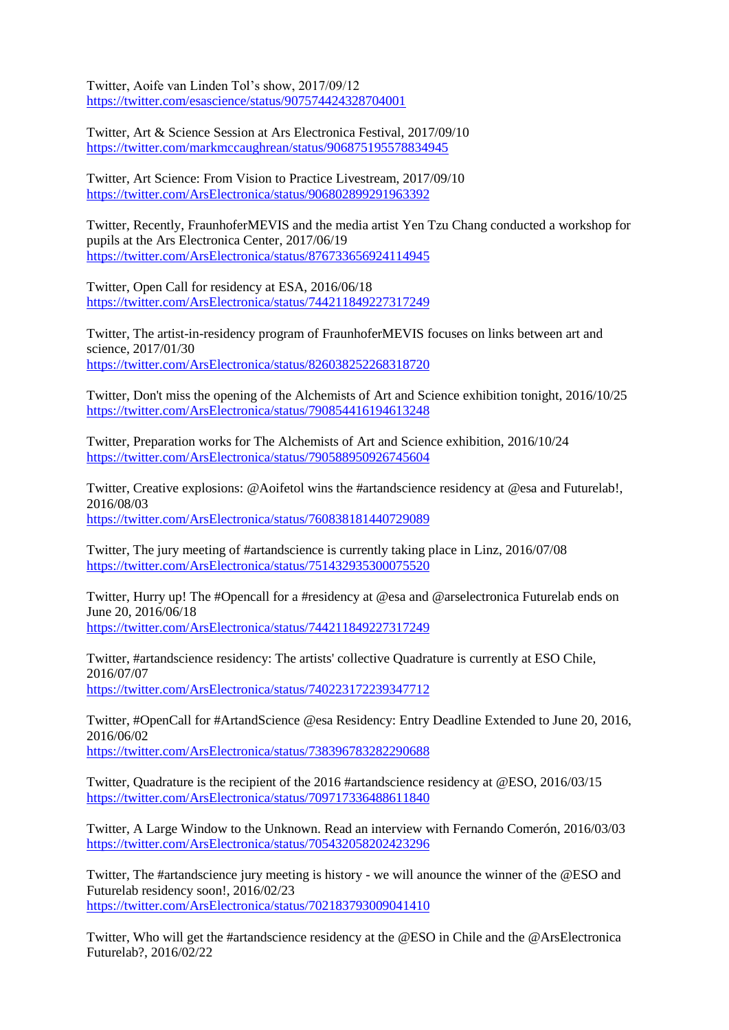Twitter, Aoife van Linden Tol's show, 2017/09/12 <https://twitter.com/esascience/status/907574424328704001>

Twitter, Art & Science Session at Ars Electronica Festival, 2017/09/10 <https://twitter.com/markmccaughrean/status/906875195578834945>

Twitter, Art Science: From Vision to Practice Livestream, 2017/09/10 <https://twitter.com/ArsElectronica/status/906802899291963392>

Twitter, Recently, [FraunhoferMEVIS](https://twitter.com/FraunhoferMEVIS) and the media artist Yen Tzu Chang conducted a workshop for pupils at the Ars Electronica Center, 2017/06/19 <https://twitter.com/ArsElectronica/status/876733656924114945>

Twitter, Open Call for residency at ESA, 2016/06/18 <https://twitter.com/ArsElectronica/status/744211849227317249>

Twitter, The artist-in-residency program of [FraunhoferMEVIS](https://twitter.com/FraunhoferMEVIS) focuses on links between art and science, 2017/01/30 <https://twitter.com/ArsElectronica/status/826038252268318720>

Twitter, Don't miss the opening of the Alchemists of Art and Science exhibition tonight, 2016/10/25 <https://twitter.com/ArsElectronica/status/790854416194613248>

Twitter, Preparation works for The Alchemists of Art and Science exhibition, 2016/10/24 <https://twitter.com/ArsElectronica/status/790588950926745604>

Twitter, Creative explosions: [@Aoifetol](https://twitter.com/Aoifetol) wins the [#artandscience](https://twitter.com/hashtag/artandscience?src=hash) residency at [@esa](https://twitter.com/esa) and Futurelab!, 2016/08/03 <https://twitter.com/ArsElectronica/status/760838181440729089>

Twitter, The jury meeting of [#artandscience](https://twitter.com/hashtag/artandscience?src=hash) is currently taking place in Linz, 2016/07/08 <https://twitter.com/ArsElectronica/status/751432935300075520>

Twitter, Hurry up! The [#Opencall](https://twitter.com/hashtag/Opencall?src=hash) for a [#residency](https://twitter.com/hashtag/residency?src=hash) at [@esa](https://twitter.com/esa) and [@arselectronica](https://twitter.com/ArsElectronica) Futurelab ends on June 20, 2016/06/18

<https://twitter.com/ArsElectronica/status/744211849227317249>

Twitter[, #artandscience](https://twitter.com/hashtag/artandscience?src=hash) residency: The artists' collective Quadrature is currently at ESO Chile, 2016/07/07 <https://twitter.com/ArsElectronica/status/740223172239347712>

Twitter[, #OpenCall](https://twitter.com/hashtag/OpenCall?src=hash) fo[r #ArtandScience](https://twitter.com/hashtag/ArtandScience?src=hash) [@esa](https://twitter.com/esa) Residency: Entry Deadline Extended to June 20, 2016, 2016/06/02 <https://twitter.com/ArsElectronica/status/738396783282290688>

Twitter, Quadrature is the recipient of the 2016 [#artandscience](https://twitter.com/hashtag/artandscience?src=hash) residency at [@ESO,](https://twitter.com/ESO) 2016/03/15 <https://twitter.com/ArsElectronica/status/709717336488611840>

Twitter, A Large Window to the Unknown. Read an interview with Fernando Comerón, 2016/03/03 <https://twitter.com/ArsElectronica/status/705432058202423296>

Twitter, The [#artandscience](https://twitter.com/hashtag/artandscience?src=hash) jury meeting is history - we will anounce the winner of the [@ESO](https://twitter.com/ESO) and Futurelab residency soon!, 2016/02/23 <https://twitter.com/ArsElectronica/status/702183793009041410>

Twitter, Who will get the [#artandscience](https://twitter.com/hashtag/artandscience?src=hash) residency at the [@ESO](https://twitter.com/ESO) in Chile and the [@ArsElectronica](https://twitter.com/ArsElectronica) Futurelab?, 2016/02/22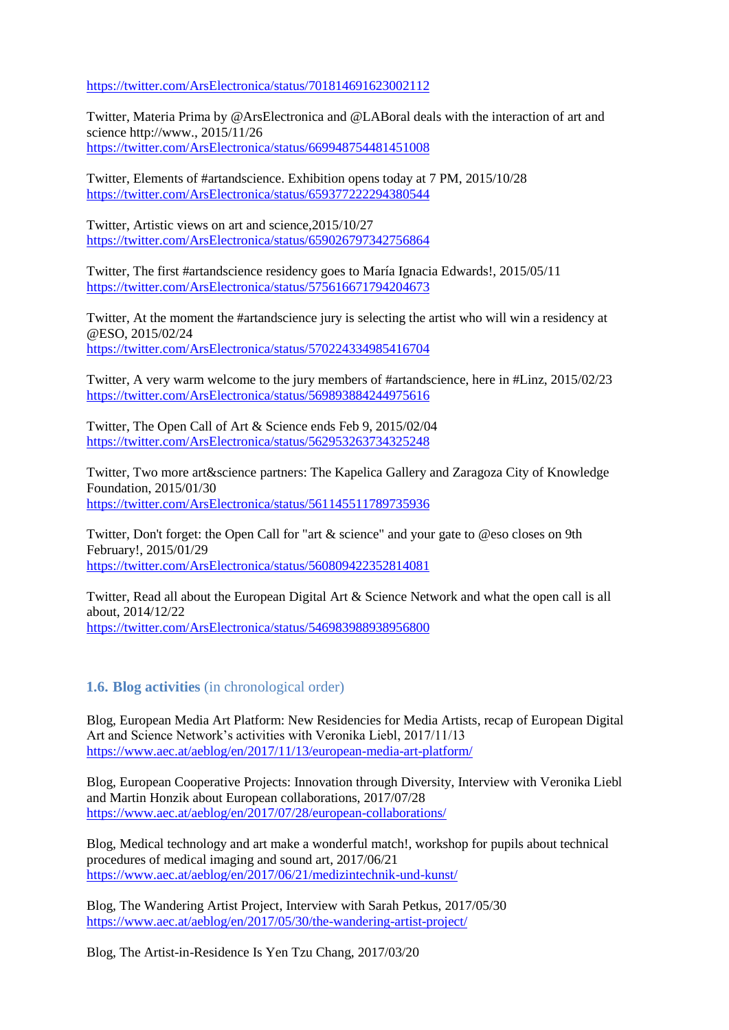<https://twitter.com/ArsElectronica/status/701814691623002112>

Twitter, Materia Prima by [@ArsElectronica](https://twitter.com/ArsElectronica) and [@LABoral](https://twitter.com/LABoral) deals with the interaction of art and science [http://www.,](https://t.co/NQZ8D7lcD4) 2015/11/26 <https://twitter.com/ArsElectronica/status/669948754481451008>

Twitter, Elements of [#artandscience.](https://twitter.com/hashtag/artandscience?src=hash) Exhibition opens today at 7 PM, 2015/10/28 <https://twitter.com/ArsElectronica/status/659377222294380544>

Twitter, Artistic views on art and science,2015/10/27 <https://twitter.com/ArsElectronica/status/659026797342756864>

Twitter, The first [#artandscience](https://twitter.com/hashtag/artandscience?src=hash) residency goes to María Ignacia Edwards!, 2015/05/11 <https://twitter.com/ArsElectronica/status/575616671794204673>

Twitter, At the moment the [#artandscience](https://twitter.com/hashtag/artandscience?src=hash) jury is selecting the artist who will win a residency at [@ESO,](https://twitter.com/ESO) 2015/02/24 <https://twitter.com/ArsElectronica/status/570224334985416704>

Twitter, A very warm welcome to the jury members of [#artandscience,](https://twitter.com/hashtag/artandscience?src=hash) here i[n #Linz,](https://twitter.com/hashtag/Linz?src=hash) 2015/02/23 <https://twitter.com/ArsElectronica/status/569893884244975616>

Twitter, The Open Call of Art & Science ends Feb 9, 2015/02/04 <https://twitter.com/ArsElectronica/status/562953263734325248>

Twitter, Two more art&science partners: The Kapelica Gallery and Zaragoza City of Knowledge Foundation, 2015/01/30 <https://twitter.com/ArsElectronica/status/561145511789735936>

Twitter, Don't forget: the Open Call for "art & science" and your gate to [@eso](https://twitter.com/ESO) closes on 9th February!, 2015/01/29 <https://twitter.com/ArsElectronica/status/560809422352814081>

Twitter, Read all about the European Digital Art & Science Network and what the open call is all about, 2014/12/22 <https://twitter.com/ArsElectronica/status/546983988938956800>

#### **1.6. Blog activities** (in chronological order)

Blog, European Media Art Platform: New Residencies for Media Artists, recap of European Digital Art and Science Network's activities with Veronika Liebl, 2017/11/13 <https://www.aec.at/aeblog/en/2017/11/13/european-media-art-platform/>

Blog, European Cooperative Projects: Innovation through Diversity, Interview with Veronika Liebl and Martin Honzik about European collaborations, 2017/07/28 <https://www.aec.at/aeblog/en/2017/07/28/european-collaborations/>

Blog, Medical technology and art make a wonderful match!, workshop for pupils about technical procedures of medical imaging and sound art, 2017/06/21 https://www.aec.at/aeblog/en/2017/06/21/medizintechnik-und-kunst/

Blog, The Wandering Artist Project, Interview with Sarah Petkus, 2017/05/30 https://www.aec.at/aeblog/en/2017/05/30/the-wandering-artist-project/

Blog, The Artist-in-Residence Is Yen Tzu Chang, 2017/03/20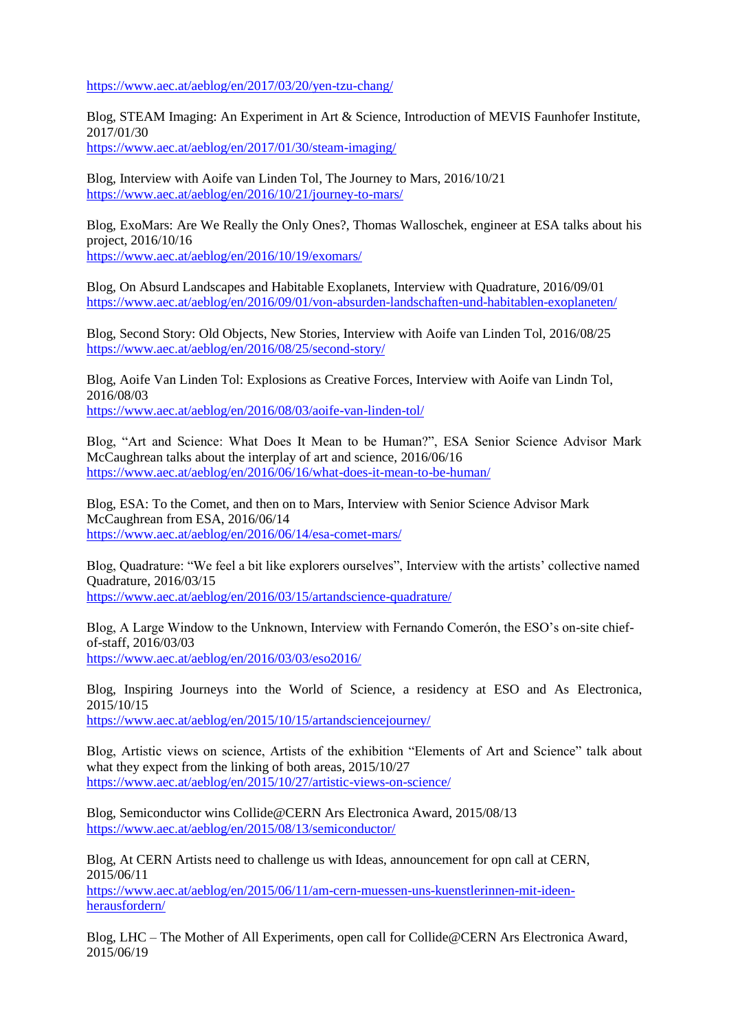<https://www.aec.at/aeblog/en/2017/03/20/yen-tzu-chang/>

Blog, STEAM Imaging: An Experiment in Art & Science, Introduction of MEVIS Faunhofer Institute, 2017/01/30 <https://www.aec.at/aeblog/en/2017/01/30/steam-imaging/>

Blog, Interview with Aoife van Linden Tol, The Journey to Mars, 2016/10/21 <https://www.aec.at/aeblog/en/2016/10/21/journey-to-mars/>

Blog, ExoMars: Are We Really the Only Ones?, Thomas Walloschek, engineer at ESA talks about his project, 2016/10/16 <https://www.aec.at/aeblog/en/2016/10/19/exomars/>

Blog, On Absurd Landscapes and Habitable Exoplanets, Interview with Quadrature, 2016/09/01 https://www.aec.at/aeblog/en/2016/09/01/von-absurden-landschaften-und-habitablen-exoplaneten/

Blog, Second Story: Old Objects, New Stories, Interview with Aoife van Linden Tol, 2016/08/25 https://www.aec.at/aeblog/en/2016/08/25/second-story/

Blog, Aoife Van Linden Tol: Explosions as Creative Forces, Interview with Aoife van Lindn Tol, 2016/08/03

https://www.aec.at/aeblog/en/2016/08/03/aoife-van-linden-tol/

Blog, "Art and Science: What Does It Mean to be Human?", ESA Senior Science Advisor Mark McCaughrean talks about the interplay of art and science, [2016/06/16](https://www.aec.at/aeblog/en/2016/06/16/what-does-it-mean-to-be-human/) https://www.aec.at/aeblog/en/2016/06/16/what-does-it-mean-to-be-human/

Blog, ESA: To the Comet, and then on to Mars, Interview with Senior Science Advisor Mark McCaughrean from ESA, 2016/06/14 https://www.aec.at/aeblog/en/2016/06/14/esa-comet-mars/

Blog, Quadrature: "We feel a bit like explorers ourselves", Interview with the artists' collective named Quadrature, 2016/03/15 https://www.aec.at/aeblog/en/2016/03/15/artandscience-quadrature/

Blog, A Large Window to the Unknown, Interview with Fernando Comerón, the ESO's on-site chiefof-staff, 2016/03/03 https://www.aec.at/aeblog/en/2016/03/03/eso2016/

Blog, Inspiring Journeys into the World of Science, a residency at ESO and As Electronica, 2015/10/15

<https://www.aec.at/aeblog/en/2015/10/15/artandsciencejourney/>

Blog, Artistic views on science, Artists of the exhibition "Elements of Art and Science" talk about what they expect from the linking of both areas, 2015/10/27 <https://www.aec.at/aeblog/en/2015/10/27/artistic-views-on-science/>

Blog, Semiconductor wins Collide@CERN Ars Electronica Award, 2015/08/13 https://www.aec.at/aeblog/en/2015/08/13/semiconductor/

Blog, At CERN Artists need to challenge us with Ideas, announcement for opn call at CERN, 2015/06/11

[https://www.aec.at/aeblog/en/2015/06/11/am-cern-muessen-uns-kuenstlerinnen-mit-ideen](https://www.aec.at/aeblog/en/2015/06/11/am-cern-muessen-uns-kuenstlerinnen-mit-ideen-herausfordern/)[herausfordern/](https://www.aec.at/aeblog/en/2015/06/11/am-cern-muessen-uns-kuenstlerinnen-mit-ideen-herausfordern/)

Blog, LHC – The Mother of All Experiments, open call for Collide@CERN Ars Electronica Award, 2015/06/19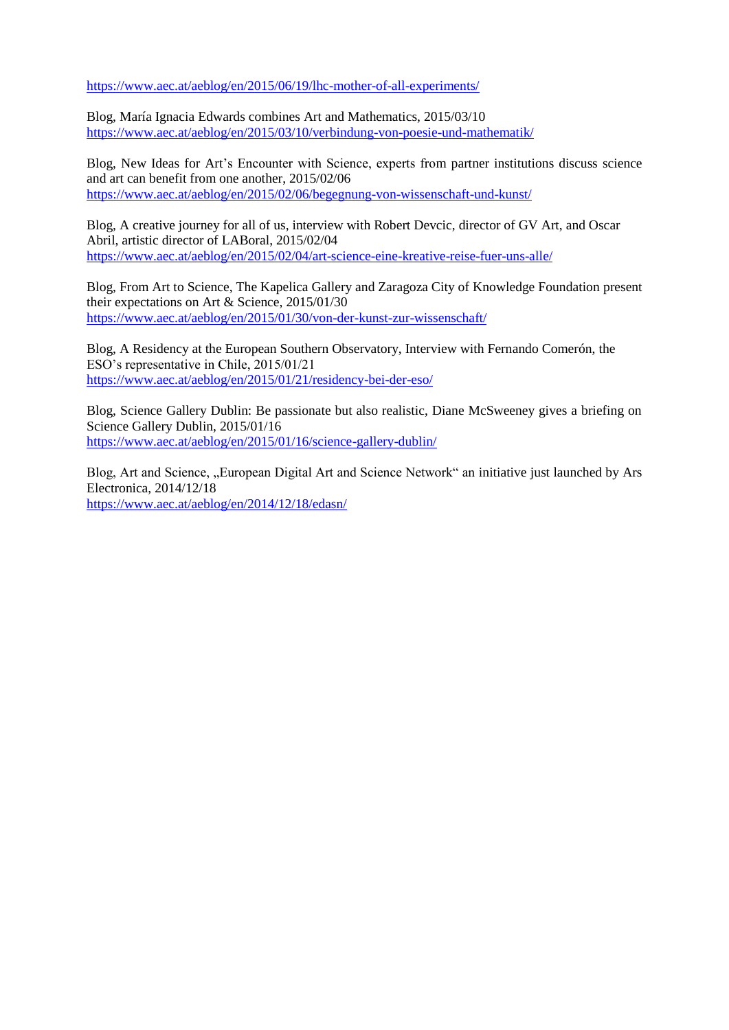https://www.aec.at/aeblog/en/2015/06/19/lhc-mother-of-all-experiments/

Blog, María Ignacia Edwards combines Art and Mathematics, 2015/03/10 https://www.aec.at/aeblog/en/2015/03/10/verbindung-von-poesie-und-mathematik/

Blog, New Ideas for Art's Encounter with Science, experts from partner institutions discuss science and art can benefit from one another, 2015/02/06 <https://www.aec.at/aeblog/en/2015/02/06/begegnung-von-wissenschaft-und-kunst/>

Blog, A creative journey for all of us, interview with Robert Devcic, director of GV Art, and Oscar Abril, artistic director of LABoral, 2015/02/04 <https://www.aec.at/aeblog/en/2015/02/04/art-science-eine-kreative-reise-fuer-uns-alle/>

Blog, From Art to Science, The Kapelica Gallery and Zaragoza City of Knowledge Foundation present their expectations on Art & Science, 2015/01/30 <https://www.aec.at/aeblog/en/2015/01/30/von-der-kunst-zur-wissenschaft/>

Blog, A Residency at the European Southern Observatory, Interview with Fernando Comerón, the ESO's representative in Chile, 2015/01/21 https://www.aec.at/aeblog/en/2015/01/21/residency-bei-der-eso/

Blog, Science Gallery Dublin: Be passionate but also realistic, Diane McSweeney gives a briefing on Science Gallery Dublin, 2015/01/16 <https://www.aec.at/aeblog/en/2015/01/16/science-gallery-dublin/>

Blog, Art and Science, "European Digital Art and Science Network" an initiative just launched by Ars Electronica, 2014/12/18 <https://www.aec.at/aeblog/en/2014/12/18/edasn/>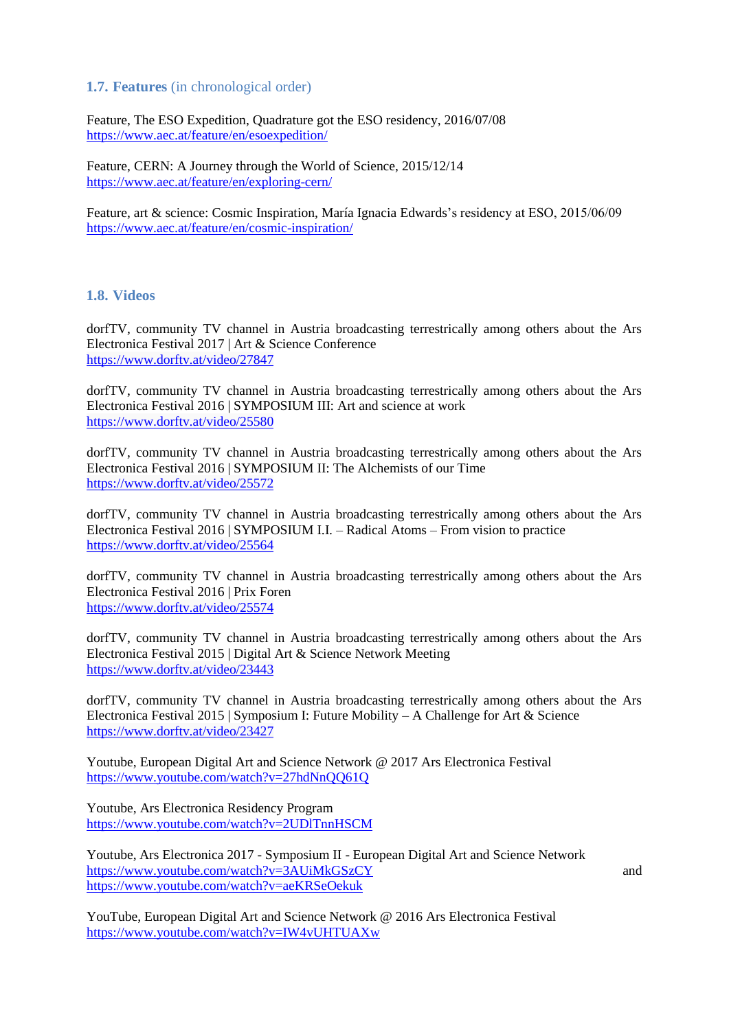## **1.7. Features** (in chronological order)

Feature, The ESO Expedition, Quadrature got the ESO residency, 2016/07/08 <https://www.aec.at/feature/en/esoexpedition/>

Feature, CERN: A Journey through the World of Science, 2015/12/14 <https://www.aec.at/feature/en/exploring-cern/>

Feature, art & science: Cosmic Inspiration, [María Ignacia Edwards'](http://www.mariaignaciaedwards.com/)s residency at ESO, 2015/06/09 <https://www.aec.at/feature/en/cosmic-inspiration/>

#### **1.8. Videos**

dorfTV, community TV channel in Austria broadcasting terrestrically among others about the Ars Electronica Festival 2017 | Art & Science Conference <https://www.dorftv.at/video/27847>

dorfTV, community TV channel in Austria broadcasting terrestrically among others about the Ars Electronica Festival 2016 | SYMPOSIUM III: Art and science at work <https://www.dorftv.at/video/25580>

dorfTV, community TV channel in Austria broadcasting terrestrically among others about the Ars Electronica Festival 2016 | SYMPOSIUM II: The Alchemists of our Time <https://www.dorftv.at/video/25572>

dorfTV, community TV channel in Austria broadcasting terrestrically among others about the Ars Electronica Festival 2016 | SYMPOSIUM I.I. – Radical Atoms – From vision to practice <https://www.dorftv.at/video/25564>

dorfTV, community TV channel in Austria broadcasting terrestrically among others about the Ars Electronica Festival 2016 | Prix Foren <https://www.dorftv.at/video/25574>

dorfTV, community TV channel in Austria broadcasting terrestrically among others about the Ars Electronica Festival 2015 | Digital Art & Science Network Meeting <https://www.dorftv.at/video/23443>

dorfTV, community TV channel in Austria broadcasting terrestrically among others about the Ars Electronica Festival 2015 | Symposium I: Future Mobility – A Challenge for Art & Science <https://www.dorftv.at/video/23427>

Youtube, European Digital Art and Science Network @ 2017 Ars Electronica Festival <https://www.youtube.com/watch?v=27hdNnQQ61Q>

Youtube, Ars Electronica Residency Program <https://www.youtube.com/watch?v=2UDlTnnHSCM>

Youtube, Ars Electronica 2017 - Symposium II - European Digital Art and Science Network <https://www.youtube.com/watch?v=3AUiMkGSzCY> and <https://www.youtube.com/watch?v=aeKRSeOekuk>

YouTube, European Digital Art and Science Network @ 2016 Ars Electronica Festival <https://www.youtube.com/watch?v=IW4vUHTUAXw>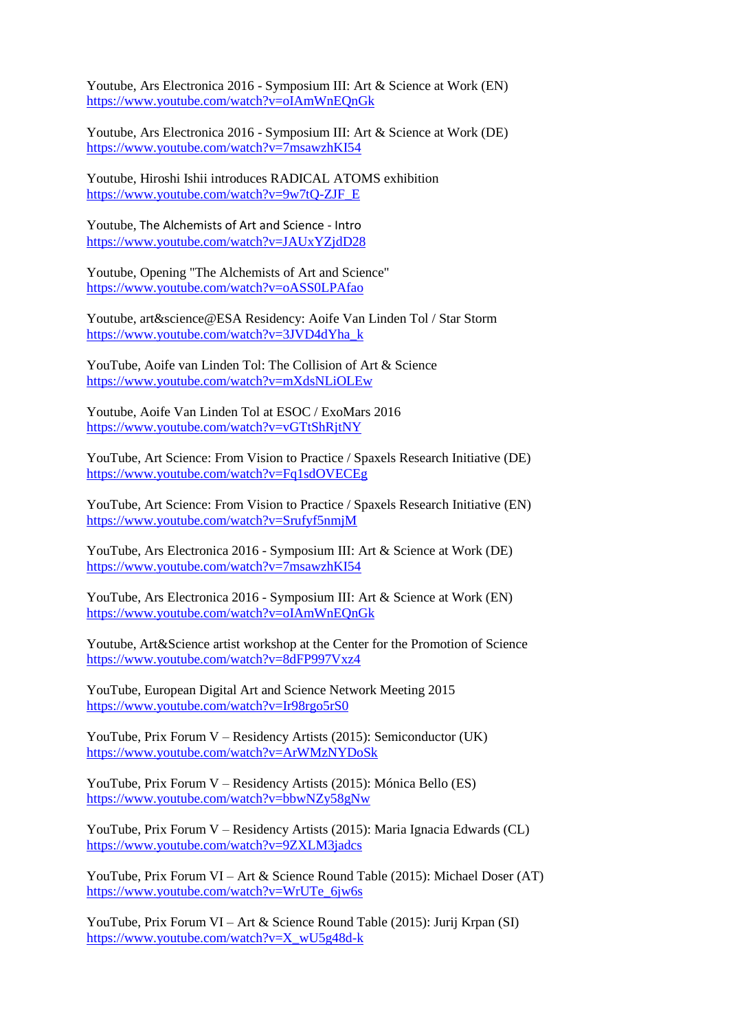Youtube, Ars Electronica 2016 - Symposium III: Art & Science at Work (EN) <https://www.youtube.com/watch?v=oIAmWnEQnGk>

Youtube, Ars Electronica 2016 - Symposium III: Art & Science at Work (DE) <https://www.youtube.com/watch?v=7msawzhKI54>

Youtube, Hiroshi Ishii introduces RADICAL ATOMS exhibition [https://www.youtube.com/watch?v=9w7tQ-ZJF\\_E](https://www.youtube.com/watch?v=9w7tQ-ZJF_E)

Youtube, The Alchemists of Art and Science - Intro <https://www.youtube.com/watch?v=JAUxYZjdD28>

Youtube, Opening "The Alchemists of Art and Science" <https://www.youtube.com/watch?v=oASS0LPAfao>

Youtube, art&science@ESA Residency: Aoife Van Linden Tol / Star Storm [https://www.youtube.com/watch?v=3JVD4dYha\\_k](https://www.youtube.com/watch?v=3JVD4dYha_k)

YouTube, Aoife van Linden Tol: The Collision of Art & Science <https://www.youtube.com/watch?v=mXdsNLiOLEw>

Youtube, Aoife Van Linden Tol at ESOC / ExoMars 2016 <https://www.youtube.com/watch?v=vGTtShRjtNY>

YouTube, Art Science: From Vision to Practice / Spaxels Research Initiative (DE) <https://www.youtube.com/watch?v=Fq1sdOVECEg>

YouTube, Art Science: From Vision to Practice / Spaxels Research Initiative (EN) <https://www.youtube.com/watch?v=Srufyf5nmjM>

YouTube, Ars Electronica 2016 - Symposium III: Art & Science at Work (DE) <https://www.youtube.com/watch?v=7msawzhKI54>

YouTube, Ars Electronica 2016 - Symposium III: Art & Science at Work (EN) <https://www.youtube.com/watch?v=oIAmWnEQnGk>

Youtube, Art&Science artist workshop at the Center for the Promotion of Science <https://www.youtube.com/watch?v=8dFP997Vxz4>

YouTube, European Digital Art and Science Network Meeting 2015 <https://www.youtube.com/watch?v=Ir98rgo5rS0>

YouTube, Prix Forum V – Residency Artists (2015): Semiconductor (UK) <https://www.youtube.com/watch?v=ArWMzNYDoSk>

YouTube, Prix Forum V – Residency Artists (2015): Mónica Bello (ES) <https://www.youtube.com/watch?v=bbwNZy58gNw>

YouTube, Prix Forum V – Residency Artists (2015): Maria Ignacia Edwards (CL) <https://www.youtube.com/watch?v=9ZXLM3jadcs>

YouTube, Prix Forum VI – Art & Science Round Table (2015): Michael Doser (AT) [https://www.youtube.com/watch?v=WrUTe\\_6jw6s](https://www.youtube.com/watch?v=WrUTe_6jw6s)

YouTube, Prix Forum VI – Art & Science Round Table (2015): Jurij Krpan (SI) [https://www.youtube.com/watch?v=X\\_wU5g48d-k](https://www.youtube.com/watch?v=X_wU5g48d-k)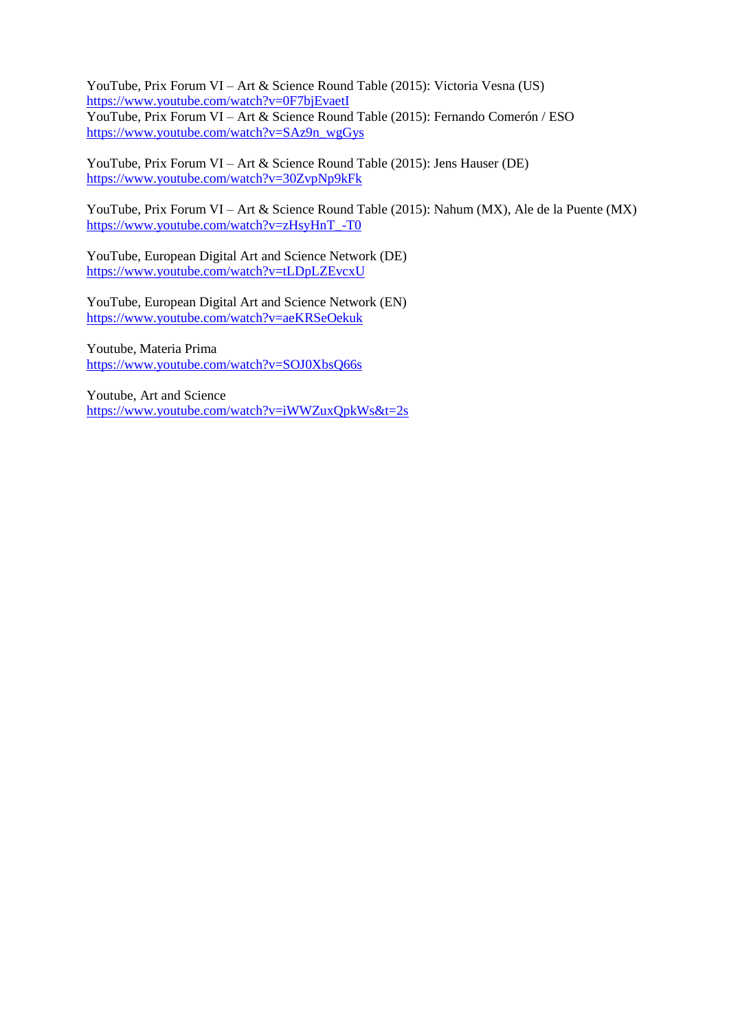YouTube, Prix Forum VI – Art & Science Round Table (2015): Victoria Vesna (US) <https://www.youtube.com/watch?v=0F7bjEvaetI>

YouTube, Prix Forum VI – Art & Science Round Table (2015): Fernando Comerón / ESO [https://www.youtube.com/watch?v=SAz9n\\_wgGys](https://www.youtube.com/watch?v=SAz9n_wgGys)

YouTube, Prix Forum VI – Art & Science Round Table (2015): Jens Hauser (DE) <https://www.youtube.com/watch?v=30ZvpNp9kFk>

YouTube, Prix Forum VI – Art & Science Round Table (2015): Nahum (MX), Ale de la Puente (MX) [https://www.youtube.com/watch?v=zHsyHnT\\_-T0](https://www.youtube.com/watch?v=zHsyHnT_-T0)

YouTube, European Digital Art and Science Network (DE) <https://www.youtube.com/watch?v=tLDpLZEvcxU>

YouTube, European Digital Art and Science Network (EN) <https://www.youtube.com/watch?v=aeKRSeOekuk>

Youtube, Materia Prima <https://www.youtube.com/watch?v=SOJ0XbsQ66s>

Youtube, Art and Science <https://www.youtube.com/watch?v=iWWZuxQpkWs&t=2s>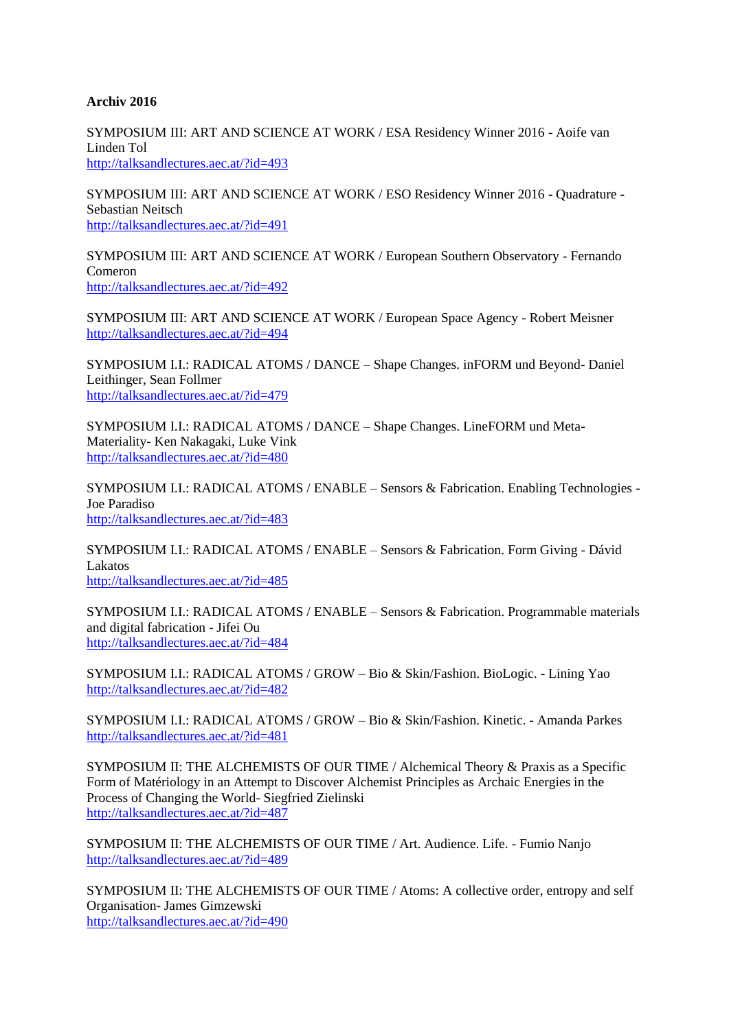#### **Archiv 2016**

SYMPOSIUM III: ART AND SCIENCE AT WORK / ESA Residency Winner 2016 - Aoife van Linden Tol <http://talksandlectures.aec.at/?id=493>

SYMPOSIUM III: ART AND SCIENCE AT WORK / ESO Residency Winner 2016 - Quadrature - Sebastian Neitsch <http://talksandlectures.aec.at/?id=491>

SYMPOSIUM III: ART AND SCIENCE AT WORK / European Southern Observatory - Fernando Comeron <http://talksandlectures.aec.at/?id=492>

SYMPOSIUM III: ART AND SCIENCE AT WORK / European Space Agency - Robert Meisner <http://talksandlectures.aec.at/?id=494>

SYMPOSIUM I.I.: RADICAL ATOMS / DANCE – Shape Changes. inFORM und Beyond- Daniel Leithinger, Sean Follmer <http://talksandlectures.aec.at/?id=479>

SYMPOSIUM I.I.: RADICAL ATOMS / DANCE – Shape Changes. LineFORM und Meta-Materiality- Ken Nakagaki, Luke Vink <http://talksandlectures.aec.at/?id=480>

SYMPOSIUM I.I.: RADICAL ATOMS / ENABLE – Sensors & Fabrication. Enabling Technologies - Joe Paradiso <http://talksandlectures.aec.at/?id=483>

SYMPOSIUM I.I.: RADICAL ATOMS / ENABLE – Sensors & Fabrication. Form Giving - Dávid Lakatos <http://talksandlectures.aec.at/?id=485>

SYMPOSIUM I.I.: RADICAL ATOMS / ENABLE – Sensors & Fabrication. Programmable materials and digital fabrication - Jifei Ou <http://talksandlectures.aec.at/?id=484>

SYMPOSIUM I.I.: RADICAL ATOMS / GROW – Bio & Skin/Fashion. BioLogic. - Lining Yao <http://talksandlectures.aec.at/?id=482>

SYMPOSIUM I.I.: RADICAL ATOMS / GROW – Bio & Skin/Fashion. Kinetic. - Amanda Parkes <http://talksandlectures.aec.at/?id=481>

SYMPOSIUM II: THE ALCHEMISTS OF OUR TIME / Alchemical Theory & Praxis as a Specific Form of Matériology in an Attempt to Discover Alchemist Principles as Archaic Energies in the Process of Changing the World- Siegfried Zielinski <http://talksandlectures.aec.at/?id=487>

SYMPOSIUM II: THE ALCHEMISTS OF OUR TIME / Art. Audience. Life. - Fumio Nanjo <http://talksandlectures.aec.at/?id=489>

SYMPOSIUM II: THE ALCHEMISTS OF OUR TIME / Atoms: A collective order, entropy and self Organisation- James Gimzewski <http://talksandlectures.aec.at/?id=490>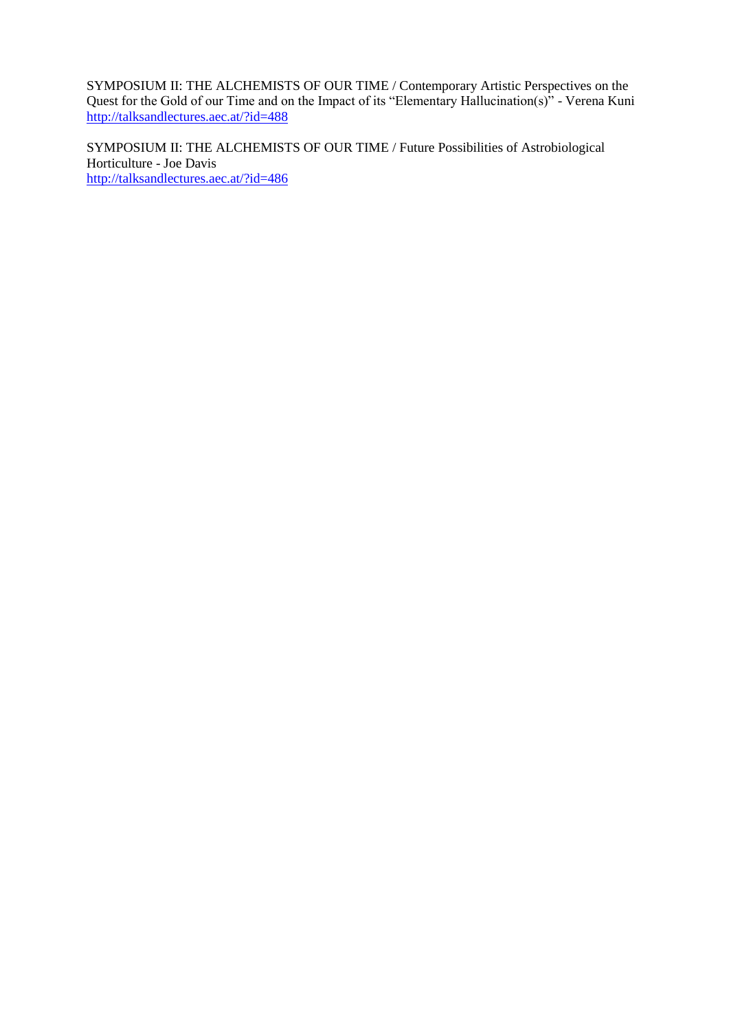SYMPOSIUM II: THE ALCHEMISTS OF OUR TIME / Contemporary Artistic Perspectives on the Quest for the Gold of our Time and on the Impact of its "Elementary Hallucination(s)" - Verena Kuni <http://talksandlectures.aec.at/?id=488>

SYMPOSIUM II: THE ALCHEMISTS OF OUR TIME / Future Possibilities of Astrobiological Horticulture - Joe Davis <http://talksandlectures.aec.at/?id=486>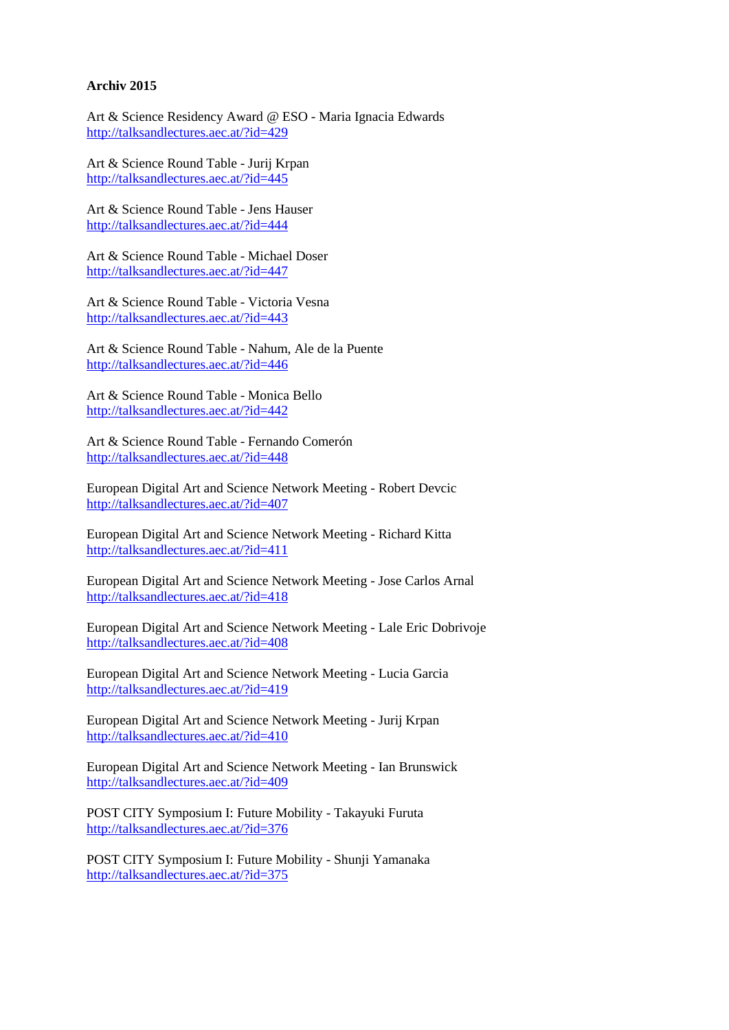#### **Archiv 2015**

Art & Science Residency Award @ ESO - Maria Ignacia Edwards http://talksandlectures.aec.at/?id=429

Art & Science Round Table - Jurij Krpan http://talksandlectures.aec.at/?id=445

Art & Science Round Table - Jens Hauser <http://talksandlectures.aec.at/?id=444>

Art & Science Round Table - Michael Doser <http://talksandlectures.aec.at/?id=447>

Art & Science Round Table - Victoria Vesna <http://talksandlectures.aec.at/?id=443>

Art & Science Round Table - Nahum, Ale de la Puente <http://talksandlectures.aec.at/?id=446>

Art & Science Round Table - Monica Bello <http://talksandlectures.aec.at/?id=442>

Art & Science Round Table - Fernando Comerón <http://talksandlectures.aec.at/?id=448>

European Digital Art and Science Network Meeting - Robert Devcic <http://talksandlectures.aec.at/?id=407>

European Digital Art and Science Network Meeting - Richard Kitta <http://talksandlectures.aec.at/?id=411>

European Digital Art and Science Network Meeting - Jose Carlos Arnal <http://talksandlectures.aec.at/?id=418>

European Digital Art and Science Network Meeting - Lale Eric Dobrivoje <http://talksandlectures.aec.at/?id=408>

European Digital Art and Science Network Meeting - Lucia Garcia <http://talksandlectures.aec.at/?id=419>

European Digital Art and Science Network Meeting - Jurij Krpan <http://talksandlectures.aec.at/?id=410>

European Digital Art and Science Network Meeting - Ian Brunswick <http://talksandlectures.aec.at/?id=409>

POST CITY Symposium I: Future Mobility - Takayuki Furuta <http://talksandlectures.aec.at/?id=376>

POST CITY Symposium I: Future Mobility - Shunji Yamanaka <http://talksandlectures.aec.at/?id=375>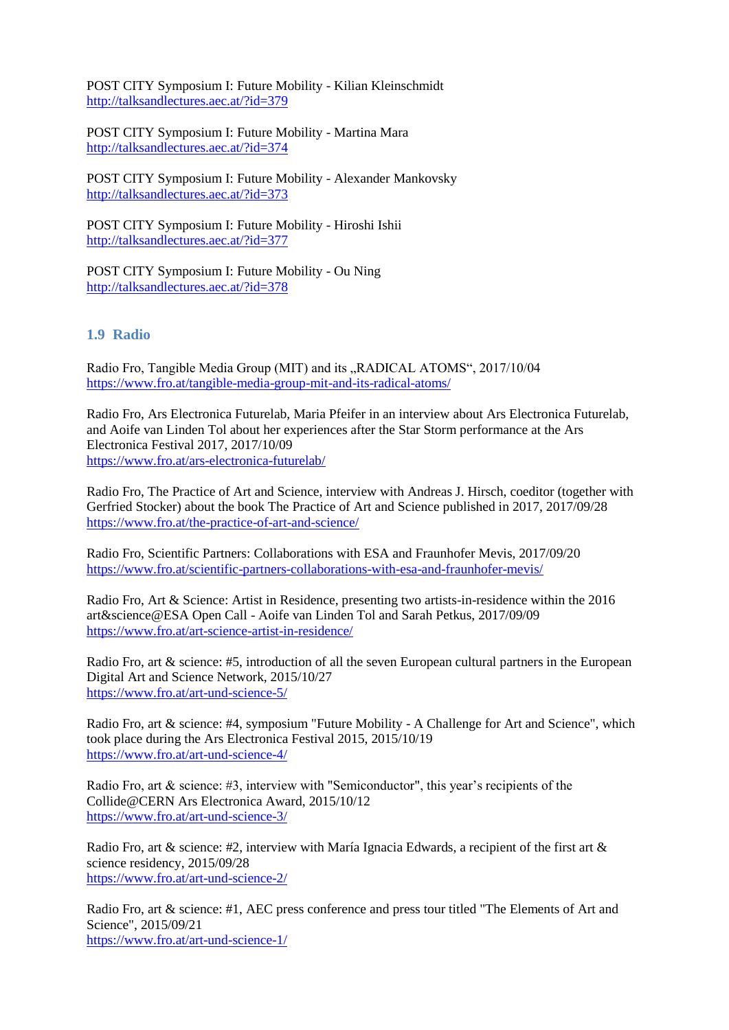POST CITY Symposium I: Future Mobility - Kilian Kleinschmidt <http://talksandlectures.aec.at/?id=379>

POST CITY Symposium I: Future Mobility - Martina Mara <http://talksandlectures.aec.at/?id=374>

POST CITY Symposium I: Future Mobility - Alexander Mankovsky <http://talksandlectures.aec.at/?id=373>

POST CITY Symposium I: Future Mobility - Hiroshi Ishii <http://talksandlectures.aec.at/?id=377>

POST CITY Symposium I: Future Mobility - Ou Ning <http://talksandlectures.aec.at/?id=378>

## **1.9 Radio**

Radio Fro, Tangible Media Group (MIT) and its "RADICAL ATOMS", 2017/10/04 <https://www.fro.at/tangible-media-group-mit-and-its-radical-atoms/>

Radio Fro, Ars Electronica Futurelab, Maria Pfeifer in an interview about Ars Electronica Futurelab, and Aoife van Linden Tol about her experiences after the Star Storm performance at the Ars Electronica Festival 2017, 2017/10/09 <https://www.fro.at/ars-electronica-futurelab/>

Radio Fro, The Practice of Art and Science, interview with Andreas J. Hirsch, coeditor (together with Gerfried Stocker) about the book The Practice of Art and Science published in 2017, 2017/09/28 <https://www.fro.at/the-practice-of-art-and-science/>

Radio Fro, Scientific Partners: Collaborations with ESA and Fraunhofer Mevis, 2017/09/20 <https://www.fro.at/scientific-partners-collaborations-with-esa-and-fraunhofer-mevis/>

Radio Fro, Art & Science: Artist in Residence, presenting two artists-in-residence within the 2016 art&science@ESA Open Call - Aoife van Linden Tol and Sarah Petkus, 2017/09/09 <https://www.fro.at/art-science-artist-in-residence/>

Radio Fro, art & science: #5, introduction of all the seven European cultural partners in the European Digital Art and Science Network, 2015/10/27 <https://www.fro.at/art-und-science-5/>

Radio Fro, art & science: #4, symposium "Future Mobility - A Challenge for Art and Science", which took place during the Ars Electronica Festival 2015, 2015/10/19 <https://www.fro.at/art-und-science-4/>

Radio Fro, art & science: #3, interview with "Semiconductor", this year's recipients of the Collide@CERN Ars Electronica Award, 2015/10/12 <https://www.fro.at/art-und-science-3/>

Radio Fro, art & science: #2, interview with María Ignacia Edwards, a recipient of the first art  $\&$ science residency, 2015/09/28 <https://www.fro.at/art-und-science-2/>

Radio Fro, art & science: #1, AEC press conference and press tour titled "The Elements of Art and Science", 2015/09/21 <https://www.fro.at/art-und-science-1/>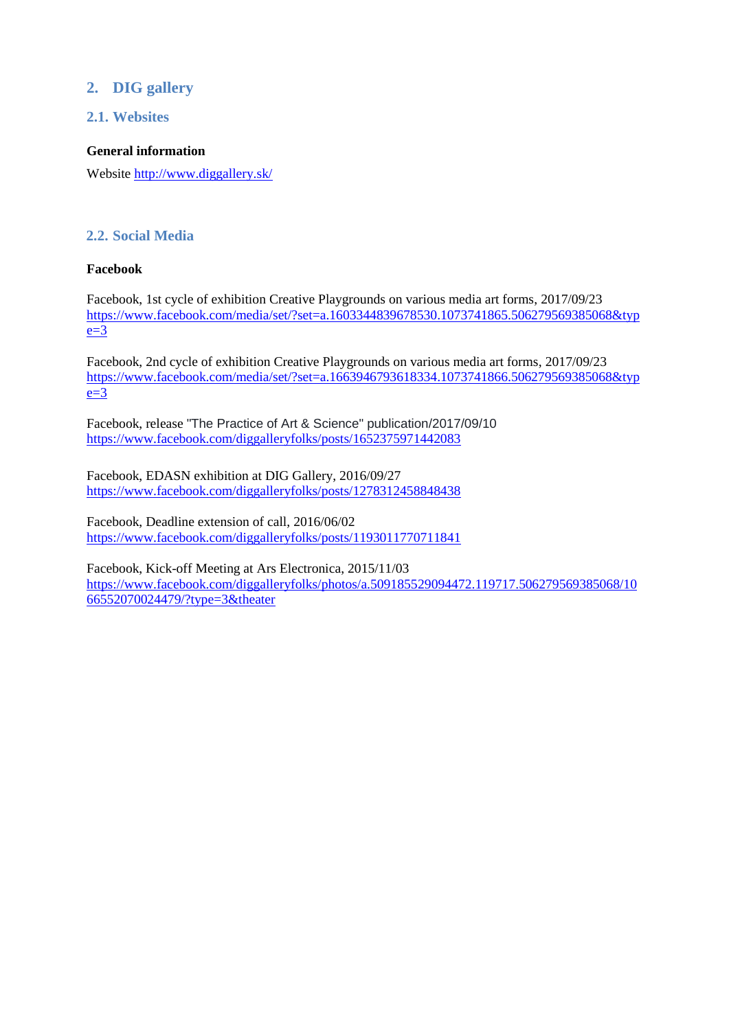# **2. DIG gallery**

## **2.1. Websites**

#### **General information**

Website <http://www.diggallery.sk/>

## **2.2. Social Media**

#### **Facebook**

Facebook, 1st cycle of exhibition Creative Playgrounds on various media art forms, 2017/09/23 [https://www.facebook.com/media/set/?set=a.1603344839678530.1073741865.506279569385068&typ](https://www.facebook.com/media/set/?set=a.1603344839678530.1073741865.506279569385068&type=3)  $e=3$ 

Facebook, 2nd cycle of exhibition Creative Playgrounds on various media art forms, 2017/09/23 [https://www.facebook.com/media/set/?set=a.1663946793618334.1073741866.506279569385068&typ](https://www.facebook.com/media/set/?set=a.1663946793618334.1073741866.506279569385068&type=3)  $e=3$ 

Facebook, release "The Practice of Art & Science" publication/2017/09/10 <https://www.facebook.com/diggalleryfolks/posts/1652375971442083>

Facebook, EDASN exhibition at DIG Gallery, 2016/09/27 <https://www.facebook.com/diggalleryfolks/posts/1278312458848438>

Facebook, Deadline extension of call, 2016/06/02 <https://www.facebook.com/diggalleryfolks/posts/1193011770711841>

Facebook, Kick-off Meeting at Ars Electronica, 2015/11/03 [https://www.facebook.com/diggalleryfolks/photos/a.509185529094472.119717.506279569385068/10](https://www.facebook.com/diggalleryfolks/photos/a.509185529094472.119717.506279569385068/1066552070024479/?type=3&theater) [66552070024479/?type=3&theater](https://www.facebook.com/diggalleryfolks/photos/a.509185529094472.119717.506279569385068/1066552070024479/?type=3&theater)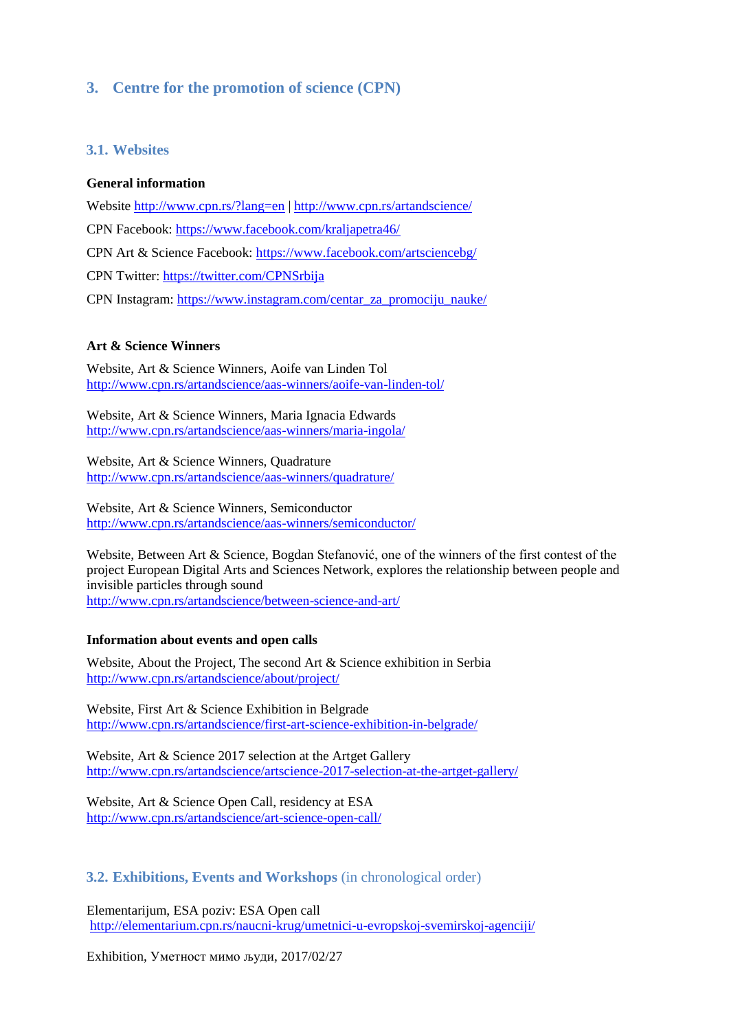## **3. Centre for the promotion of science (CPN)**

#### **3.1. Websites**

#### **General information**

Website <http://www.cpn.rs/?lang=en> | <http://www.cpn.rs/artandscience/> CPN Facebook:<https://www.facebook.com/kraljapetra46/> CPN Art & Science Facebook:<https://www.facebook.com/artsciencebg/> CPN Twitter:<https://twitter.com/CPNSrbija> CPN Instagram: [https://www.instagram.com/centar\\_za\\_promociju\\_nauke/](https://www.instagram.com/centar_za_promociju_nauke/)

#### **Art & Science Winners**

Website, Art & Science Winners, Aoife van Linden Tol <http://www.cpn.rs/artandscience/aas-winners/aoife-van-linden-tol/>

Website, Art & Science Winners, Maria Ignacia Edwards <http://www.cpn.rs/artandscience/aas-winners/maria-ingola/>

Website, Art & Science Winners, Quadrature <http://www.cpn.rs/artandscience/aas-winners/quadrature/>

Website, Art & Science Winners, Semiconductor <http://www.cpn.rs/artandscience/aas-winners/semiconductor/>

Website, Between Art & Science, Bogdan Stefanović, one of the winners of the first contest of the project European Digital Arts and Sciences Network, explores the relationship between people and invisible particles through sound <http://www.cpn.rs/artandscience/between-science-and-art/>

#### **Information about events and open calls**

Website, About the Project, The second Art & Science exhibition in Serbia <http://www.cpn.rs/artandscience/about/project/>

Website, First Art & Science Exhibition in Belgrade <http://www.cpn.rs/artandscience/first-art-science-exhibition-in-belgrade/>

Website, Art & Science 2017 selection at the Artget Gallery <http://www.cpn.rs/artandscience/artscience-2017-selection-at-the-artget-gallery/>

Website, Art & Science Open Call, residency at ESA <http://www.cpn.rs/artandscience/art-science-open-call/>

**3.2. Exhibitions, Events and Workshops** (in chronological order)

Elementarijum, ESA poziv: ESA Open call <http://elementarium.cpn.rs/naucni-krug/umetnici-u-evropskoj-svemirskoj-agenciji/>

Exhibition, Уметност мимо људи, 2017/02/27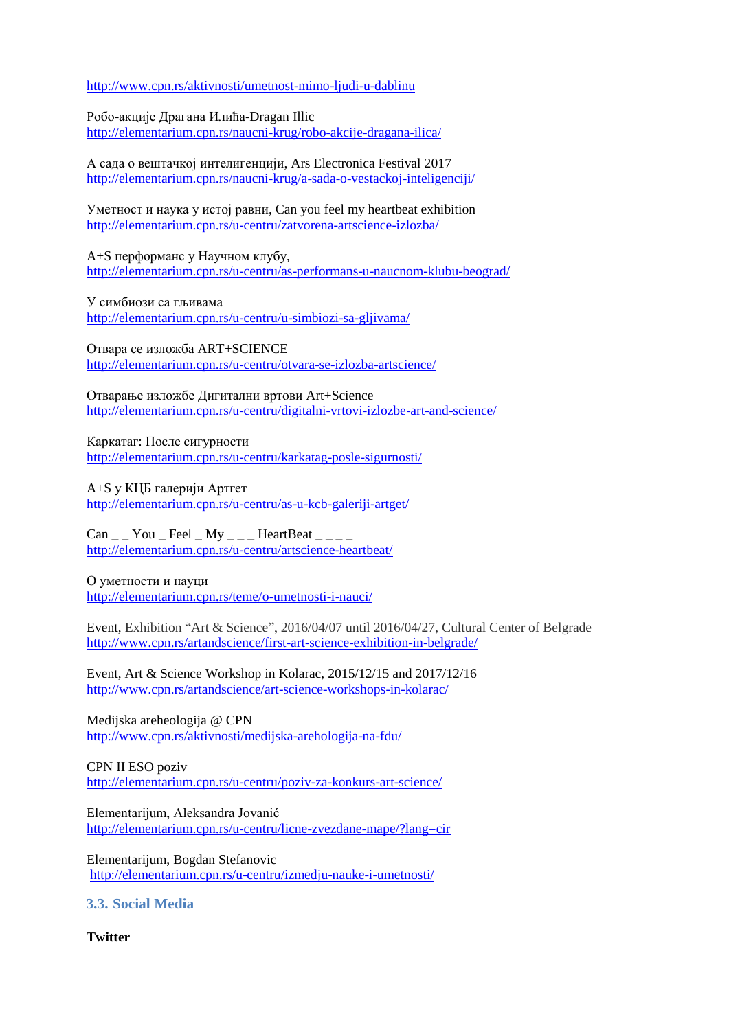<http://www.cpn.rs/aktivnosti/umetnost-mimo-ljudi-u-dablinu>

Робо-акције Драгана Илића-Dragan Illic <http://elementarium.cpn.rs/naucni-krug/robo-akcije-dragana-ilica/>

А сада о вештачкој интелигенцији, Ars Electronica Festival 2017 <http://elementarium.cpn.rs/naucni-krug/a-sada-o-vestackoj-inteligenciji/>

Уметност и наука у истој равни, Can you feel my heartbeat exhibition <http://elementarium.cpn.rs/u-centru/zatvorena-artscience-izlozba/>

A+S перформанс у Научном клубу, <http://elementarium.cpn.rs/u-centru/as-performans-u-naucnom-klubu-beograd/>

У симбиози са гљивама <http://elementarium.cpn.rs/u-centru/u-simbiozi-sa-gljivama/>

Отвара се изложба ART+SCIENCE <http://elementarium.cpn.rs/u-centru/otvara-se-izlozba-artscience/>

Отварање изложбе Дигитални вртови Art+Science <http://elementarium.cpn.rs/u-centru/digitalni-vrtovi-izlozbe-art-and-science/>

Каркатаг: После сигурности <http://elementarium.cpn.rs/u-centru/karkatag-posle-sigurnosti/>

A+S у КЦБ галерији Артгет <http://elementarium.cpn.rs/u-centru/as-u-kcb-galeriji-artget/>

 $Can \_ You \_Feel \_My \_-- HeartBeat \_-$ <http://elementarium.cpn.rs/u-centru/artscience-heartbeat/>

О уметности и науци <http://elementarium.cpn.rs/teme/o-umetnosti-i-nauci/>

Event, Exhibition "Art & Science", 2016/04/07 until 2016/04/27, Cultural Center of Belgrade <http://www.cpn.rs/artandscience/first-art-science-exhibition-in-belgrade/>

Event, Art & Science Workshop in Kolarac, 2015/12/15 and 2017/12/16 http://www.cpn.rs/artandscience/art-science-workshops-in-kolarac/

Medijska areheologija @ CPN <http://www.cpn.rs/aktivnosti/medijska-arehologija-na-fdu/>

CPN II ESO poziv <http://elementarium.cpn.rs/u-centru/poziv-za-konkurs-art-science/>

Elementarijum, Aleksandra Jovanić <http://elementarium.cpn.rs/u-centru/licne-zvezdane-mape/?lang=cir>

Elementarijum, Bogdan Stefanovic <http://elementarium.cpn.rs/u-centru/izmedju-nauke-i-umetnosti/>

**3.3. Social Media**

**Twitter**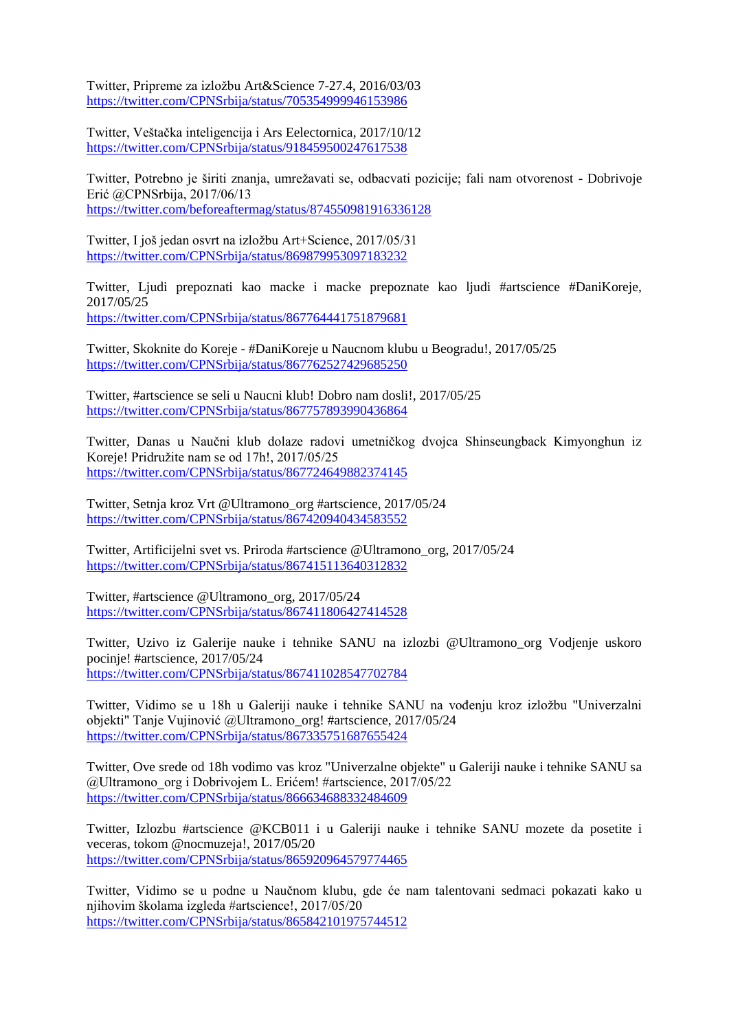Twitter, Pripreme za izložbu Art&Science 7-27.4, 2016/03/03 <https://twitter.com/CPNSrbija/status/705354999946153986>

Twitter, Veštačka inteligencija i Ars Eelectornica, 2017/10/12 <https://twitter.com/CPNSrbija/status/918459500247617538>

Twitter, Potrebno je širiti znanja, umrežavati se, odbacvati pozicije; fali nam otvorenost - Dobrivoje Erić @CPNSrbija, 2017/06/13 <https://twitter.com/beforeaftermag/status/874550981916336128>

Twitter, I još jedan osvrt na izložbu Art+Science, 2017/05/31 <https://twitter.com/CPNSrbija/status/869879953097183232>

Twitter, Ljudi prepoznati kao macke i macke prepoznate kao ljudi #artscience #DaniKoreje, 2017/05/25 <https://twitter.com/CPNSrbija/status/867764441751879681>

Twitter, Skoknite do Koreje - #DaniKoreje u Naucnom klubu u Beogradu!, 2017/05/25 <https://twitter.com/CPNSrbija/status/867762527429685250>

Twitter, #artscience se seli u Naucni klub! Dobro nam dosli!, 2017/05/25 <https://twitter.com/CPNSrbija/status/867757893990436864>

Twitter, Danas u Naučni klub dolaze radovi umetničkog dvojca Shinseungback Kimyonghun iz Koreje! Pridružite nam se od 17h!, 2017/05/25 <https://twitter.com/CPNSrbija/status/867724649882374145>

Twitter, Setnja kroz Vrt @Ultramono\_org #artscience, 2017/05/24 <https://twitter.com/CPNSrbija/status/867420940434583552>

Twitter, Artificijelni svet vs. Priroda #artscience @Ultramono\_org, 2017/05/24 <https://twitter.com/CPNSrbija/status/867415113640312832>

Twitter, #artscience @Ultramono\_org, 2017/05/24 <https://twitter.com/CPNSrbija/status/867411806427414528>

Twitter, Uzivo iz Galerije nauke i tehnike SANU na izlozbi @Ultramono\_org Vodjenje uskoro pocinje! #artscience, 2017/05/24 <https://twitter.com/CPNSrbija/status/867411028547702784>

Twitter, Vidimo se u 18h u Galeriji nauke i tehnike SANU na vođenju kroz izložbu "Univerzalni objekti" Tanje Vujinović @Ultramono\_org! #artscience, 2017/05/24 <https://twitter.com/CPNSrbija/status/867335751687655424>

Twitter, Ove srede od 18h vodimo vas kroz "Univerzalne objekte" u Galeriji nauke i tehnike SANU sa @Ultramono\_org i Dobrivojem L. Erićem! #artscience, 2017/05/22 <https://twitter.com/CPNSrbija/status/866634688332484609>

Twitter, Izlozbu #artscience @KCB011 i u Galeriji nauke i tehnike SANU mozete da posetite i veceras, tokom @nocmuzeja!, 2017/05/20 <https://twitter.com/CPNSrbija/status/865920964579774465>

Twitter, Vidimo se u podne u Naučnom klubu, gde će nam talentovani sedmaci pokazati kako u njihovim školama izgleda #artscience!, 2017/05/20 <https://twitter.com/CPNSrbija/status/865842101975744512>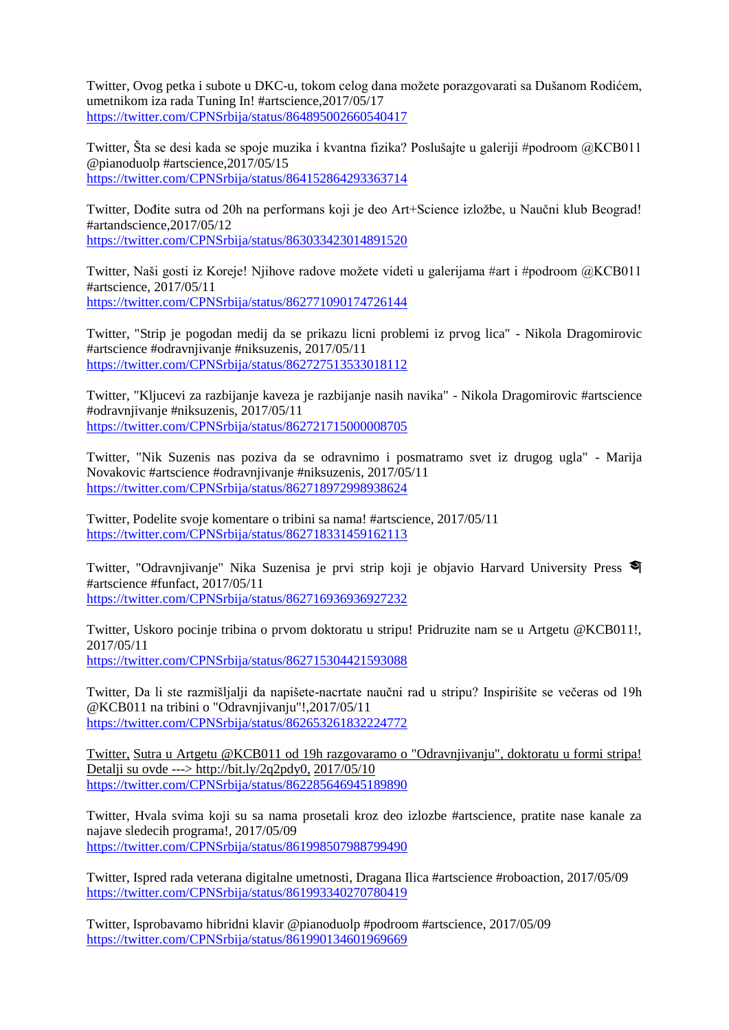Twitter, Ovog petka i subote u DKC-u, tokom celog dana možete porazgovarati sa Dušanom Rodićem, umetnikom iza rada Tuning In! #artscience,2017/05/17 <https://twitter.com/CPNSrbija/status/864895002660540417>

Twitter, Šta se desi kada se spoje muzika i kvantna fizika? Poslušajte u galeriji #podroom @KCB011 @pianoduolp #artscience,2017/05/15 <https://twitter.com/CPNSrbija/status/864152864293363714>

Twitter, Dođite sutra od 20h na performans koji je deo Art+Science izložbe, u Naučni klub Beograd! #artandscience,2017/05/12 <https://twitter.com/CPNSrbija/status/863033423014891520>

Twitter, Naši gosti iz Koreje! Njihove radove možete videti u galerijama #art i #podroom @KCB011 #artscience, 2017/05/11 <https://twitter.com/CPNSrbija/status/862771090174726144>

Twitter, "Strip je pogodan medij da se prikazu licni problemi iz prvog lica" - Nikola Dragomirovic #artscience #odravnjivanje #niksuzenis, 2017/05/11 <https://twitter.com/CPNSrbija/status/862727513533018112>

Twitter, "Kljucevi za razbijanje kaveza je razbijanje nasih navika" - Nikola Dragomirovic #artscience #odravnjivanje #niksuzenis, 2017/05/11 <https://twitter.com/CPNSrbija/status/862721715000008705>

Twitter, "Nik Suzenis nas poziva da se odravnimo i posmatramo svet iz drugog ugla" - Marija Novakovic #artscience #odravnjivanje #niksuzenis, 2017/05/11 <https://twitter.com/CPNSrbija/status/862718972998938624>

Twitter, Podelite svoje komentare o tribini sa nama! #artscience, 2017/05/11 <https://twitter.com/CPNSrbija/status/862718331459162113>

Twitter, "Odravnjivanje" Nika Suzenisa je prvi strip koji je objavio Harvard University Press #artscience #funfact, 2017/05/11 <https://twitter.com/CPNSrbija/status/862716936936927232>

Twitter, Uskoro pocinje tribina o prvom doktoratu u stripu! Pridruzite nam se u Artgetu @KCB011!, 2017/05/11 <https://twitter.com/CPNSrbija/status/862715304421593088>

Twitter, Da li ste razmišljalji da napišete-nacrtate naučni rad u stripu? Inspirišite se večeras od 19h @KCB011 na tribini o "Odravnjivanju"!,2017/05/11 <https://twitter.com/CPNSrbija/status/862653261832224772>

Twitter, Sutra u Artgetu @KCB011 od 19h razgovaramo o "Odravnjivanju", doktoratu u formi stripa! Detalji su ovde ---> http://bit.ly/2q2pdy0, 2017/05/10 <https://twitter.com/CPNSrbija/status/862285646945189890>

Twitter, Hvala svima koji su sa nama prosetali kroz deo izlozbe #artscience, pratite nase kanale za najave sledecih programa!, 2017/05/09 <https://twitter.com/CPNSrbija/status/861998507988799490>

Twitter, Ispred rada veterana digitalne umetnosti, Dragana Ilica #artscience #roboaction, 2017/05/09 <https://twitter.com/CPNSrbija/status/861993340270780419>

Twitter, Isprobavamo hibridni klavir @pianoduolp #podroom #artscience, 2017/05/09 <https://twitter.com/CPNSrbija/status/861990134601969669>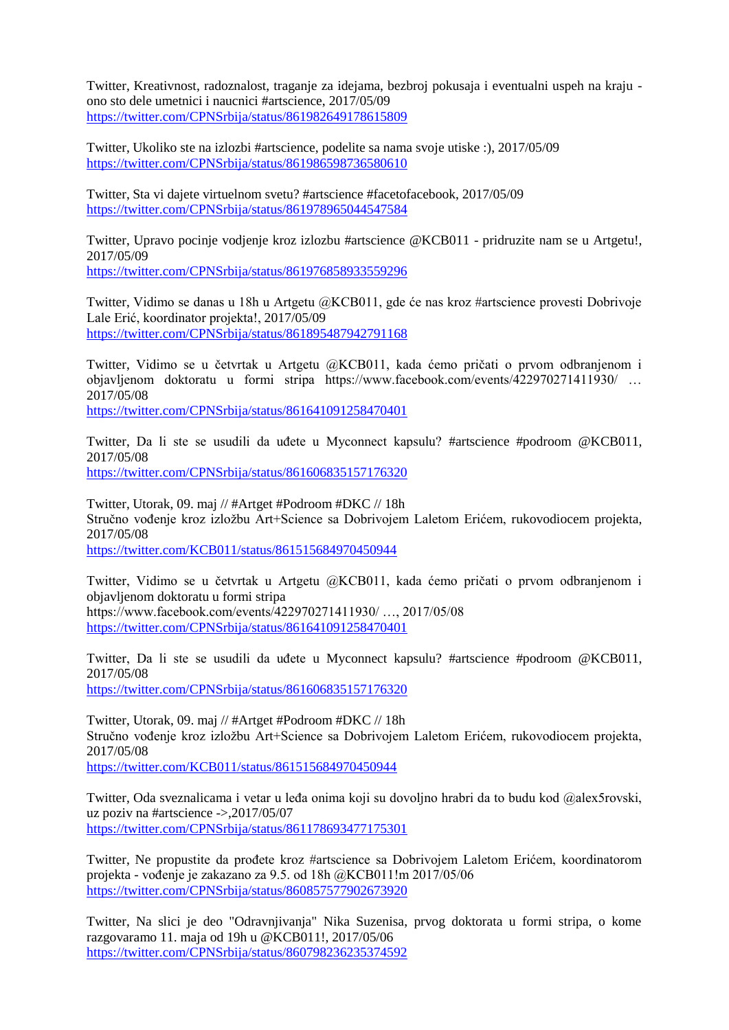Twitter, Kreativnost, radoznalost, traganje za idejama, bezbroj pokusaja i eventualni uspeh na kraju ono sto dele umetnici i naucnici #artscience, 2017/05/09 <https://twitter.com/CPNSrbija/status/861982649178615809>

Twitter, Ukoliko ste na izlozbi #artscience, podelite sa nama svoje utiske :), 2017/05/09 <https://twitter.com/CPNSrbija/status/861986598736580610>

Twitter, Sta vi dajete virtuelnom svetu? #artscience #facetofacebook, 2017/05/09 <https://twitter.com/CPNSrbija/status/861978965044547584>

Twitter, Upravo pocinje vodjenje kroz izlozbu #artscience @KCB011 - pridruzite nam se u Artgetu!, 2017/05/09

<https://twitter.com/CPNSrbija/status/861976858933559296>

Twitter, Vidimo se danas u 18h u Artgetu @KCB011, gde će nas kroz #artscience provesti Dobrivoje Lale Erić, koordinator projekta!, 2017/05/09 <https://twitter.com/CPNSrbija/status/861895487942791168>

Twitter, Vidimo se u četvrtak u Artgetu @KCB011, kada ćemo pričati o prvom odbranjenom i objavljenom doktoratu u formi stripa https://www.facebook.com/events/422970271411930/ … 2017/05/08

<https://twitter.com/CPNSrbija/status/861641091258470401>

Twitter, Da li ste se usudili da uđete u Myconnect kapsulu? #artscience #podroom @KCB011, 2017/05/08

<https://twitter.com/CPNSrbija/status/861606835157176320>

Twitter, Utorak, 09. maj // #Artget #Podroom #DKC // 18h Stručno vođenje kroz izložbu Art+Science sa Dobrivojem Laletom Erićem, rukovodiocem projekta, 2017/05/08

<https://twitter.com/KCB011/status/861515684970450944>

Twitter, Vidimo se u četvrtak u Artgetu @KCB011, kada ćemo pričati o prvom odbranjenom i objavljenom doktoratu u formi stripa https://www.facebook.com/events/422970271411930/ …, 2017/05/08

<https://twitter.com/CPNSrbija/status/861641091258470401>

Twitter, Da li ste se usudili da uđete u Myconnect kapsulu? #artscience #podroom @KCB011, 2017/05/08

<https://twitter.com/CPNSrbija/status/861606835157176320>

Twitter, Utorak, 09. maj // #Artget #Podroom #DKC // 18h Stručno vođenje kroz izložbu Art+Science sa Dobrivojem Laletom Erićem, rukovodiocem projekta, 2017/05/08

<https://twitter.com/KCB011/status/861515684970450944>

Twitter, Oda sveznalicama i vetar u leđa onima koji su dovoljno hrabri da to budu kod @alex5rovski, uz poziv na #artscience ->,2017/05/07 <https://twitter.com/CPNSrbija/status/861178693477175301>

Twitter, Ne propustite da prođete kroz #artscience sa Dobrivojem Laletom Erićem, koordinatorom projekta - vođenje je zakazano za 9.5. od 18h @KCB011!m 2017/05/06 <https://twitter.com/CPNSrbija/status/860857577902673920>

Twitter, Na slici je deo "Odravnjivanja" Nika Suzenisa, prvog doktorata u formi stripa, o kome razgovaramo 11. maja od 19h u @KCB011!, 2017/05/06 <https://twitter.com/CPNSrbija/status/860798236235374592>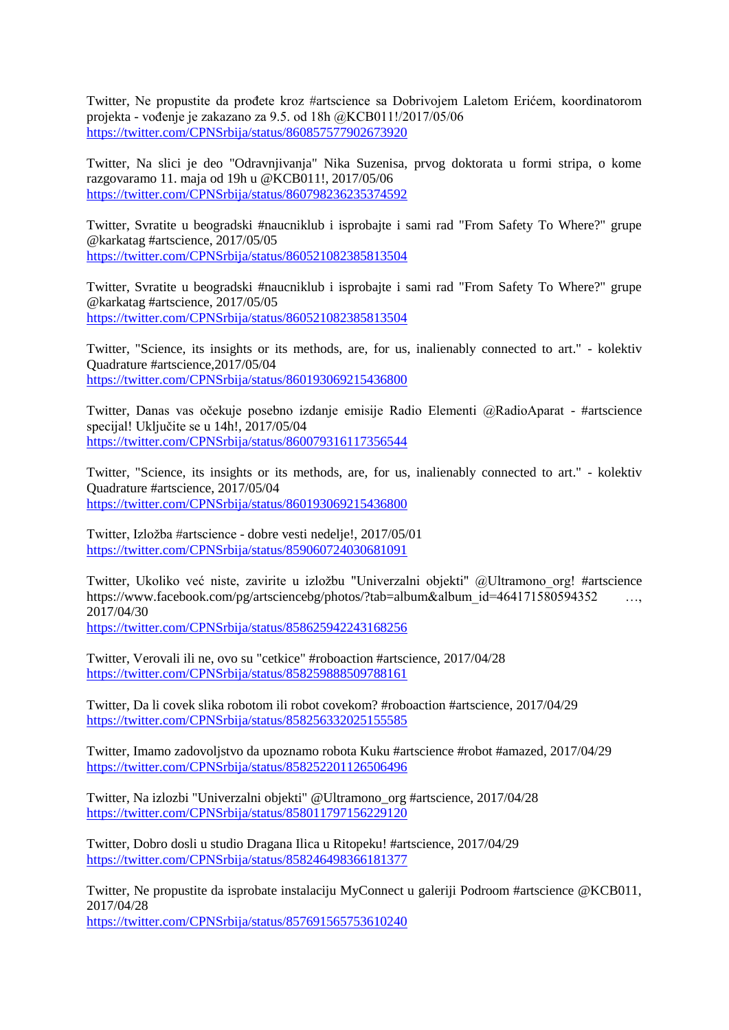Twitter, Ne propustite da prođete kroz #artscience sa Dobrivojem Laletom Erićem, koordinatorom projekta - vođenje je zakazano za 9.5. od 18h @KCB011!/2017/05/06 <https://twitter.com/CPNSrbija/status/860857577902673920>

Twitter, Na slici je deo "Odravnjivanja" Nika Suzenisa, prvog doktorata u formi stripa, o kome razgovaramo 11. maja od 19h u @KCB011!, 2017/05/06 <https://twitter.com/CPNSrbija/status/860798236235374592>

Twitter, Svratite u beogradski #naucniklub i isprobajte i sami rad "From Safety To Where?" grupe @karkatag #artscience, 2017/05/05 <https://twitter.com/CPNSrbija/status/860521082385813504>

Twitter, Svratite u beogradski #naucniklub i isprobajte i sami rad "From Safety To Where?" grupe @karkatag #artscience, 2017/05/05 <https://twitter.com/CPNSrbija/status/860521082385813504>

Twitter, "Science, its insights or its methods, are, for us, inalienably connected to art." - kolektiv Quadrature #artscience,2017/05/04 <https://twitter.com/CPNSrbija/status/860193069215436800>

Twitter, Danas vas očekuje posebno izdanje emisije Radio Elementi @RadioAparat - #artscience specijal! Uključite se u 14h!, 2017/05/04 <https://twitter.com/CPNSrbija/status/860079316117356544>

Twitter, "Science, its insights or its methods, are, for us, inalienably connected to art." - kolektiv Quadrature #artscience, 2017/05/04 <https://twitter.com/CPNSrbija/status/860193069215436800>

Twitter, Izložba #artscience - dobre vesti nedelje!, 2017/05/01 <https://twitter.com/CPNSrbija/status/859060724030681091>

Twitter, Ukoliko već niste, zavirite u izložbu "Univerzalni objekti" @Ultramono\_org! #artscience https://www.facebook.com/pg/artsciencebg/photos/?tab=album&album\_id=464171580594352 …, 2017/04/30

<https://twitter.com/CPNSrbija/status/858625942243168256>

Twitter, Verovali ili ne, ovo su "cetkice" #roboaction #artscience, 2017/04/28 <https://twitter.com/CPNSrbija/status/858259888509788161>

Twitter, Da li covek slika robotom ili robot covekom? #roboaction #artscience, 2017/04/29 <https://twitter.com/CPNSrbija/status/858256332025155585>

Twitter, Imamo zadovoljstvo da upoznamo robota Kuku #artscience #robot #amazed, 2017/04/29 <https://twitter.com/CPNSrbija/status/858252201126506496>

Twitter, Na izlozbi "Univerzalni objekti" @Ultramono\_org #artscience, 2017/04/28 <https://twitter.com/CPNSrbija/status/858011797156229120>

Twitter, Dobro dosli u studio Dragana Ilica u Ritopeku! #artscience, 2017/04/29 <https://twitter.com/CPNSrbija/status/858246498366181377>

Twitter, Ne propustite da isprobate instalaciju MyConnect u galeriji Podroom #artscience @KCB011, 2017/04/28 <https://twitter.com/CPNSrbija/status/857691565753610240>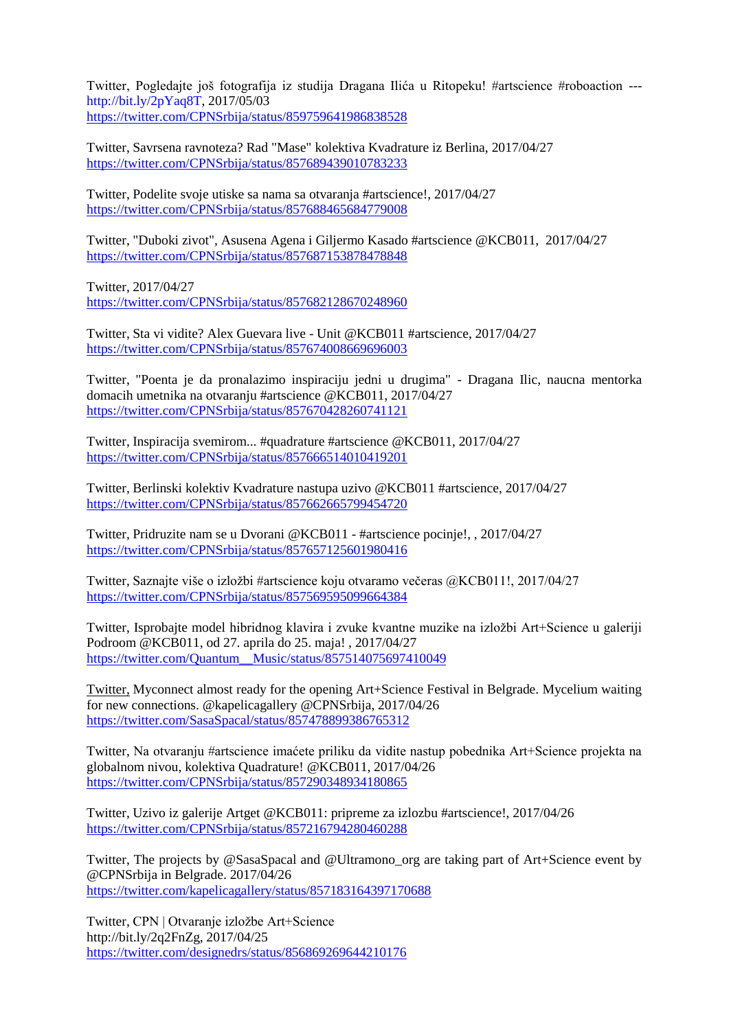Twitter, Pogledajte još fotografija iz studija Dragana Ilića u Ritopeku! #artscience #roboaction -- [http://bit.ly/2pYaq8T,](http://bit.ly/2pYaq8T) 2017/05/03 <https://twitter.com/CPNSrbija/status/859759641986838528>

Twitter, Savrsena ravnoteza? Rad "Mase" kolektiva Kvadrature iz Berlina, 2017/04/27 <https://twitter.com/CPNSrbija/status/857689439010783233>

Twitter, Podelite svoje utiske sa nama sa otvaranja #artscience!, 2017/04/27 <https://twitter.com/CPNSrbija/status/857688465684779008>

Twitter, "Duboki zivot", Asusena Agena i Giljermo Kasado #artscience @KCB011, 2017/04/27 <https://twitter.com/CPNSrbija/status/857687153878478848>

Twitter, 2017/04/27 <https://twitter.com/CPNSrbija/status/857682128670248960>

Twitter, Sta vi vidite? Alex Guevara live - Unit @KCB011 #artscience, 2017/04/27 <https://twitter.com/CPNSrbija/status/857674008669696003>

Twitter, "Poenta je da pronalazimo inspiraciju jedni u drugima" - Dragana Ilic, naucna mentorka domacih umetnika na otvaranju #artscience @KCB011, 2017/04/27 <https://twitter.com/CPNSrbija/status/857670428260741121>

Twitter, Inspiracija svemirom... #quadrature #artscience @KCB011, 2017/04/27 <https://twitter.com/CPNSrbija/status/857666514010419201>

Twitter, Berlinski kolektiv Kvadrature nastupa uzivo @KCB011 #artscience, 2017/04/27 <https://twitter.com/CPNSrbija/status/857662665799454720>

Twitter, Pridruzite nam se u Dvorani @KCB011 - #artscience pocinje!, , 2017/04/27 <https://twitter.com/CPNSrbija/status/857657125601980416>

Twitter, Saznajte više o izložbi #artscience koju otvaramo večeras @KCB011!, 2017/04/27 <https://twitter.com/CPNSrbija/status/857569595099664384>

Twitter, Isprobajte model hibridnog klavira i zvuke kvantne muzike na izložbi Art+Science u galeriji Podroom @KCB011, od 27. aprila do 25. maja! , 2017/04/27 [https://twitter.com/Quantum\\_\\_Music/status/857514075697410049](https://twitter.com/Quantum__Music/status/857514075697410049)

Twitter, Myconnect almost ready for the opening Art+Science Festival in Belgrade. Mycelium waiting for new connections. @kapelicagallery @CPNSrbija, 2017/04/26 <https://twitter.com/SasaSpacal/status/857478899386765312>

Twitter, Na otvaranju #artscience imaćete priliku da vidite nastup pobednika Art+Science projekta na globalnom nivou, kolektiva Quadrature! @KCB011, 2017/04/26 <https://twitter.com/CPNSrbija/status/857290348934180865>

Twitter, Uzivo iz galerije Artget @KCB011: pripreme za izlozbu #artscience!, 2017/04/26 <https://twitter.com/CPNSrbija/status/857216794280460288>

Twitter, The projects by @SasaSpacal and @Ultramono\_org are taking part of Art+Science event by @CPNSrbija in Belgrade. 2017/04/26 <https://twitter.com/kapelicagallery/status/857183164397170688>

Twitter, CPN | Otvaranje izložbe Art+Science http://bit.ly/2q2FnZg, 2017/04/25 <https://twitter.com/designedrs/status/856869269644210176>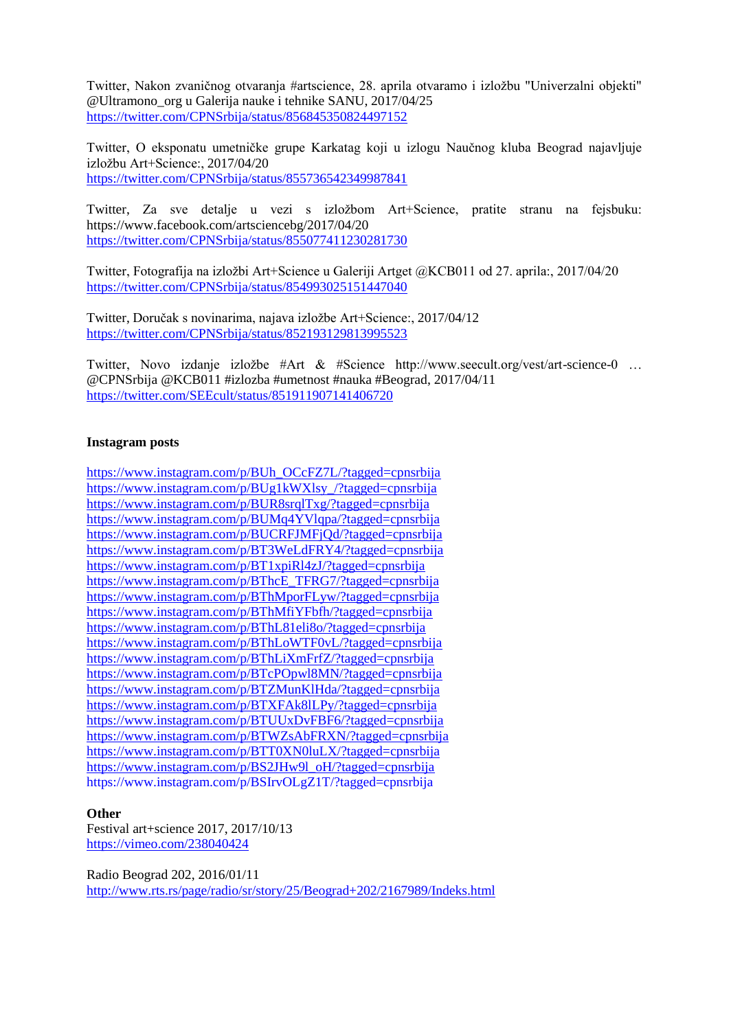Twitter, Nakon zvaničnog otvaranja #artscience, 28. aprila otvaramo i izložbu "Univerzalni objekti" @Ultramono\_org u Galerija nauke i tehnike SANU, 2017/04/25 <https://twitter.com/CPNSrbija/status/856845350824497152>

Twitter, O eksponatu umetničke grupe Karkatag koji u izlogu Naučnog kluba Beograd najavljuje izložbu Art+Science:, 2017/04/20 <https://twitter.com/CPNSrbija/status/855736542349987841>

Twitter, Za sve detalje u vezi s izložbom Art+Science, pratite stranu na fejsbuku: https://www.facebook.com/artsciencebg/2017/04/20 <https://twitter.com/CPNSrbija/status/855077411230281730>

Twitter, Fotografija na izložbi Art+Science u Galeriji Artget @KCB011 od 27. aprila:, 2017/04/20 <https://twitter.com/CPNSrbija/status/854993025151447040>

Twitter, Doručak s novinarima, najava izložbe Art+Science:, 2017/04/12 <https://twitter.com/CPNSrbija/status/852193129813995523>

Twitter, Novo izdanje izložbe #Art & #Science http://www.seecult.org/vest/art-science-0 … @CPNSrbija @KCB011 #izlozba #umetnost #nauka #Beograd, 2017/04/11 <https://twitter.com/SEEcult/status/851911907141406720>

#### **Instagram posts**

[https://www.instagram.com/p/BUh\\_OCcFZ7L/?tagged=cpnsrbija](https://www.instagram.com/p/BUh_OCcFZ7L/?tagged=cpnsrbija) [https://www.instagram.com/p/BUg1kWXlsy\\_/?tagged=cpnsrbija](https://www.instagram.com/p/BUg1kWXlsy_/?tagged=cpnsrbija) <https://www.instagram.com/p/BUR8srqlTxg/?tagged=cpnsrbija> <https://www.instagram.com/p/BUMq4YVlqpa/?tagged=cpnsrbija> <https://www.instagram.com/p/BUCRFJMFjQd/?tagged=cpnsrbija> <https://www.instagram.com/p/BT3WeLdFRY4/?tagged=cpnsrbija> <https://www.instagram.com/p/BT1xpiRl4zJ/?tagged=cpnsrbija> [https://www.instagram.com/p/BThcE\\_TFRG7/?tagged=cpnsrbija](https://www.instagram.com/p/BThcE_TFRG7/?tagged=cpnsrbija) <https://www.instagram.com/p/BThMporFLyw/?tagged=cpnsrbija> <https://www.instagram.com/p/BThMfiYFbfh/?tagged=cpnsrbija> <https://www.instagram.com/p/BThL81eli8o/?tagged=cpnsrbija> <https://www.instagram.com/p/BThLoWTF0vL/?tagged=cpnsrbija> <https://www.instagram.com/p/BThLiXmFrfZ/?tagged=cpnsrbija> <https://www.instagram.com/p/BTcPOpwl8MN/?tagged=cpnsrbija> <https://www.instagram.com/p/BTZMunKlHda/?tagged=cpnsrbija> <https://www.instagram.com/p/BTXFAk8lLPy/?tagged=cpnsrbija> <https://www.instagram.com/p/BTUUxDvFBF6/?tagged=cpnsrbija> <https://www.instagram.com/p/BTWZsAbFRXN/?tagged=cpnsrbija> <https://www.instagram.com/p/BTT0XN0luLX/?tagged=cpnsrbija> [https://www.instagram.com/p/BS2JHw9l\\_oH/?tagged=cpnsrbija](https://www.instagram.com/p/BS2JHw9l_oH/?tagged=cpnsrbija) <https://www.instagram.com/p/BSIrvOLgZ1T/?tagged=cpnsrbija>

#### **Other**

Festival art+science 2017, 2017/10/13 <https://vimeo.com/238040424>

Radio Beograd 202, 2016/01/11 <http://www.rts.rs/page/radio/sr/story/25/Beograd+202/2167989/Indeks.html>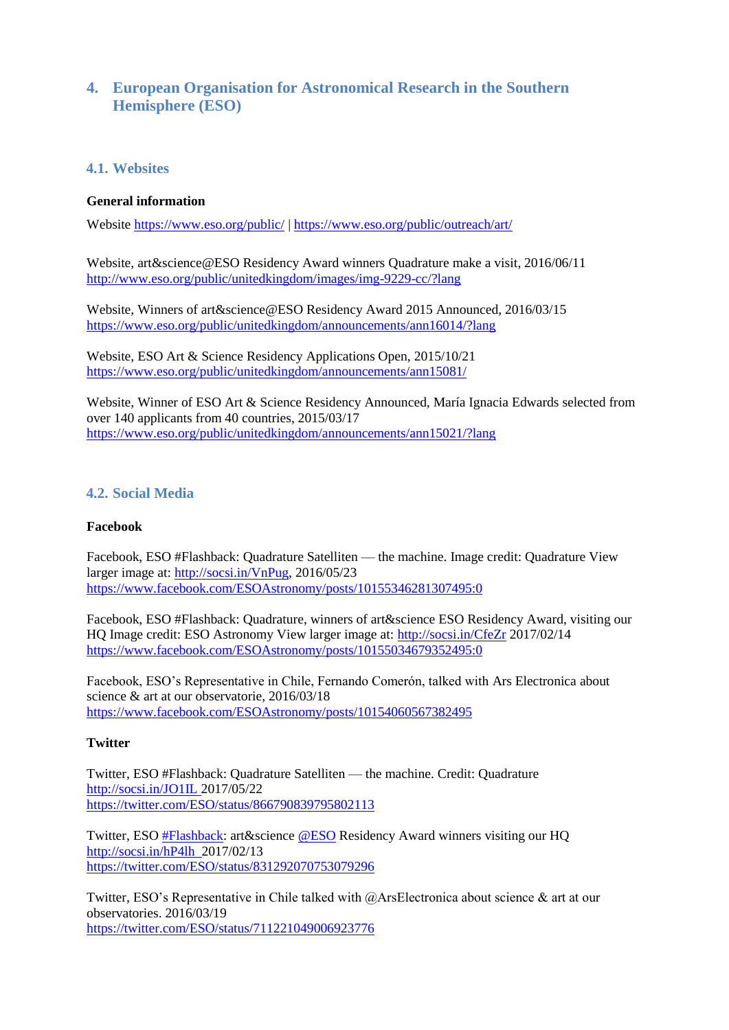# **4. European Organisation for Astronomical Research in the Southern Hemisphere (ESO)**

#### **4.1. Websites**

#### **General information**

Website<https://www.eso.org/public/> |<https://www.eso.org/public/outreach/art/>

Website, art&science@ESO Residency Award winners Quadrature make a visit, 2016/06/11 <http://www.eso.org/public/unitedkingdom/images/img-9229-cc/?lang>

Website, Winners of art&science@ESO Residency Award 2015 Announced, 2016/03/15 <https://www.eso.org/public/unitedkingdom/announcements/ann16014/?lang>

Website, ESO Art & Science Residency Applications Open, 2015/10/21 <https://www.eso.org/public/unitedkingdom/announcements/ann15081/>

Website, Winner of ESO Art & Science Residency Announced, María Ignacia Edwards selected from over 140 applicants from 40 countries, 2015/03/17 <https://www.eso.org/public/unitedkingdom/announcements/ann15021/?lang>

## **4.2. Social Media**

#### **Facebook**

Facebook, ESO #Flashback: Quadrature Satelliten — the machine. Image credit: Quadrature View larger image at: [http://socsi.in/VnPug,](http://socsi.in/VnPug) 2016/05/23 <https://www.facebook.com/ESOAstronomy/posts/10155346281307495:0>

Facebook, ESO #Flashback: Quadrature, winners of art&science ESO Residency Award, visiting our HQ Image credit: ESO Astronomy View larger image at: [http://socsi.in/CfeZr](http://socsi.in/CfeZr%202017/02/14) 2017/02/14 <https://www.facebook.com/ESOAstronomy/posts/10155034679352495:0>

Facebook, ESO's Representative in Chile, Fernando Comerón, talked with [Ars Electronica](https://www.facebook.com/arselectronica/?fref=mentions) about science & art at our observatorie, 2016/03/18 <https://www.facebook.com/ESOAstronomy/posts/10154060567382495>

#### **Twitter**

Twitter, ESO #Flashback: Quadrature Satelliten — the machine. Credit: Quadrature [http://socsi.in/JO1IL 2017/05/22](http://socsi.in/JO1IL%202017/05/22) <https://twitter.com/ESO/status/866790839795802113>

Twitter, ESO [#Flashback:](https://twitter.com/hashtag/Flashback?src=hash) art&science [@ESO](https://twitter.com/ESO) Residency Award winners visiting our HQ [http://socsi.in/hP4lh](http://socsi.in/hP4lh %202017/02/13) 2017/02/13 <https://twitter.com/ESO/status/831292070753079296>

Twitter, ESO's Representative in Chile talked with @ArsElectronica about science & art at our observatories. 2016/03/19 <https://twitter.com/ESO/status/711221049006923776>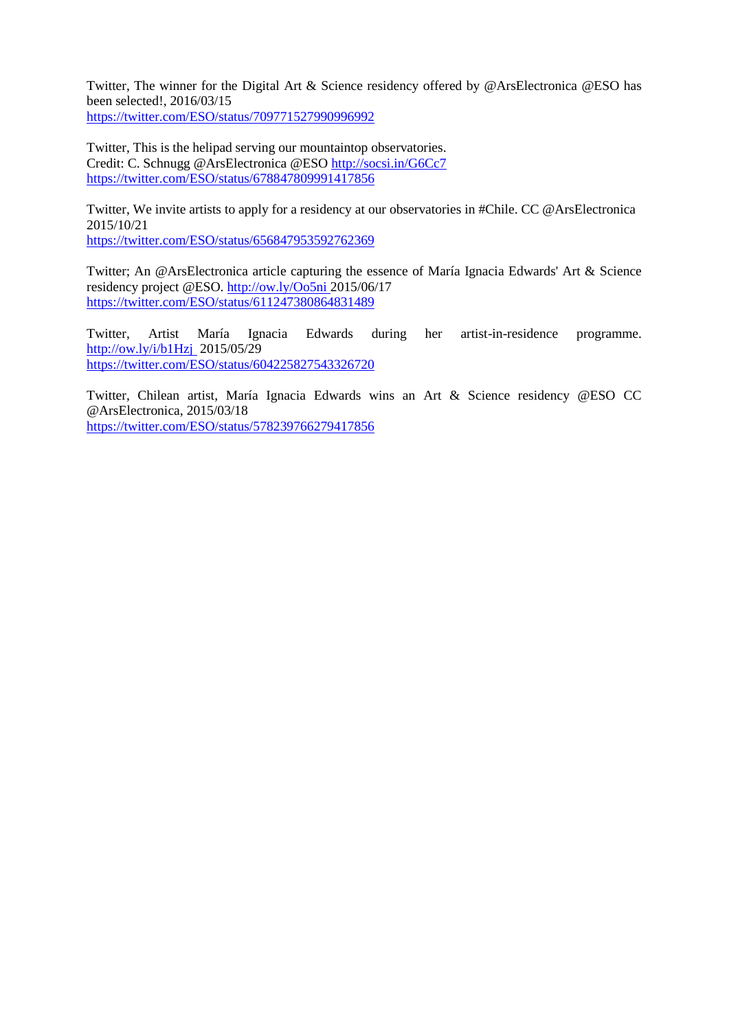Twitter, The winner for the Digital Art & Science residency offered by @ArsElectronica @ESO has been selected!, 2016/03/15 <https://twitter.com/ESO/status/709771527990996992>

Twitter, This is the helipad serving our mountaintop observatories. Credit: C. Schnugg @ArsElectronica @ESO<http://socsi.in/G6Cc7> <https://twitter.com/ESO/status/678847809991417856>

Twitter, We invite artists to apply for a residency at our observatories in #Chile. CC @ArsElectronica 2015/10/21

<https://twitter.com/ESO/status/656847953592762369>

Twitter; An @ArsElectronica article capturing the essence of María Ignacia Edwards' Art & Science residency project @ESO. [http://ow.ly/Oo5ni 2015/06/17](http://ow.ly/Oo5ni%202015/06/17) <https://twitter.com/ESO/status/611247380864831489>

Twitter, Artist María Ignacia Edwards during her artist-in-residence programme. [http://ow.ly/i/b1Hzj](http://t.co/6G8p3KN8j2) 2015/05/29 <https://twitter.com/ESO/status/604225827543326720>

Twitter, Chilean artist, María Ignacia Edwards wins an Art & Science residency @ESO CC @ArsElectronica, 2015/03/18 <https://twitter.com/ESO/status/578239766279417856>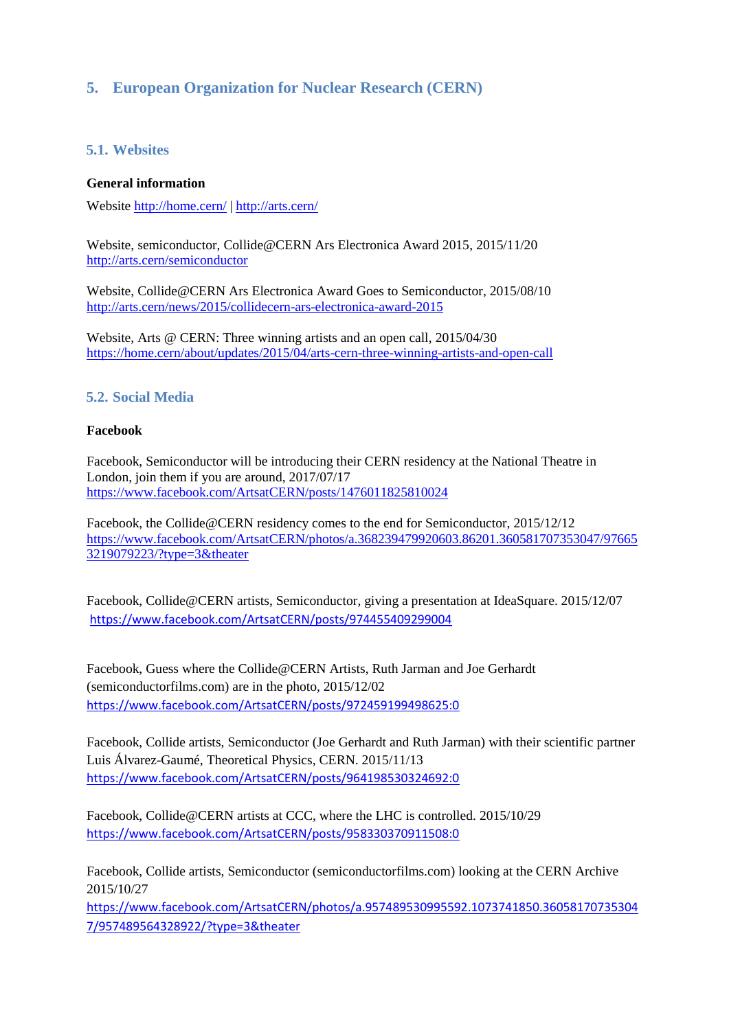# **5. European Organization for Nuclear Research (CERN)**

## **5.1. Websites**

#### **General information**

Website<http://home.cern/> |<http://arts.cern/>

Website, semiconductor, Collide@CERN Ars Electronica Award 2015, 2015/11/20 <http://arts.cern/semiconductor>

Website, Collide@CERN Ars Electronica Award Goes to Semiconductor, 2015/08/10 <http://arts.cern/news/2015/collidecern-ars-electronica-award-2015>

Website, Arts @ CERN: Three winning artists and an open call, 2015/04/30 <https://home.cern/about/updates/2015/04/arts-cern-three-winning-artists-and-open-call>

## **5.2. Social Media**

#### **Facebook**

Facebook, Semiconductor will be introducing their CERN residency at the National Theatre in London, join them if you are around, 2017/07/17 <https://www.facebook.com/ArtsatCERN/posts/1476011825810024>

Facebook, the Collide@CERN residency comes to the end for Semiconductor, 2015/12/12 https://www.facebook.com/ArtsatCERN/photos/a.368239479920603.86201.360581707353047/97665 3219079223/?type=3&theater

Facebook, Collide@CERN artists, Semiconductor, giving a presentation at IdeaSquare. 2015/12/07 <https://www.facebook.com/ArtsatCERN/posts/974455409299004>

Facebook, Guess where the Collide@CERN Artists, Ruth Jarman and Joe Gerhardt (semiconductorfilms.com) are in the photo, 2015/12/02 <https://www.facebook.com/ArtsatCERN/posts/972459199498625:0>

Facebook, Collide artists, Semiconductor (Joe Gerhardt and Ruth Jarman) with their scientific partner Luis Álvarez-Gaumé, Theoretical Physics, CERN. 2015/11/13 <https://www.facebook.com/ArtsatCERN/posts/964198530324692:0>

Facebook, Collide@CERN artists at CCC, where the LHC is controlled. 2015/10/29 <https://www.facebook.com/ArtsatCERN/posts/958330370911508:0>

Facebook, Collide artists, Semiconductor [\(semiconductorfilms.com\)](http://semiconductorfilms.com/) looking at the CERN Archive 2015/10/27

[https://www.facebook.com/ArtsatCERN/photos/a.957489530995592.1073741850.36058170735304](https://www.facebook.com/ArtsatCERN/photos/a.957489530995592.1073741850.360581707353047/957489564328922/?type=3&theater) [7/957489564328922/?type=3&theater](https://www.facebook.com/ArtsatCERN/photos/a.957489530995592.1073741850.360581707353047/957489564328922/?type=3&theater)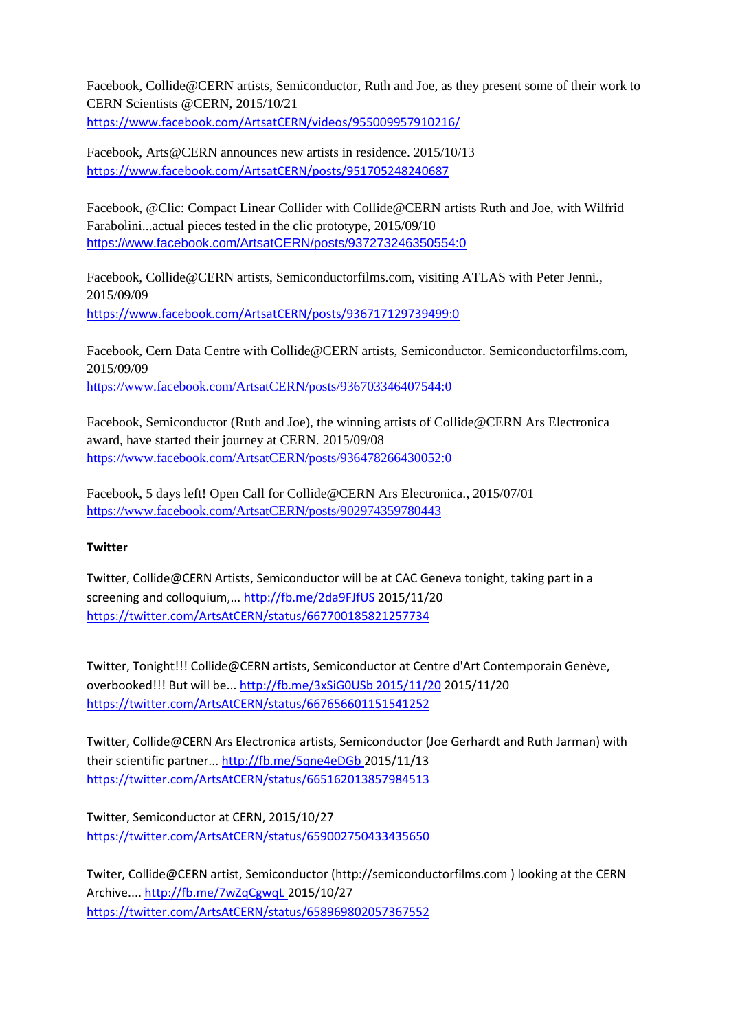Facebook, Collide@CERN artists, Semiconductor, Ruth and Joe, as they present some of their work to CERN Scientists @CERN, 2015/10/21 <https://www.facebook.com/ArtsatCERN/videos/955009957910216/>

Facebook, Arts@CERN announces new artists in residence. 2015/10/13 <https://www.facebook.com/ArtsatCERN/posts/951705248240687>

Facebook, @Clic: Compact Linear Collider with Collide@CERN artists Ruth and Joe, with Wilfrid Farabolini...actual pieces tested in the clic prototype, 2015/09/10 <https://www.facebook.com/ArtsatCERN/posts/937273246350554:0>

Facebook, Collide@CERN artists, Semiconductorfilms.com, visiting ATLAS with Peter Jenni., 2015/09/09 <https://www.facebook.com/ArtsatCERN/posts/936717129739499:0>

Facebook, Cern Data Centre with Collide@CERN artists, Semiconductor. Semiconductorfilms.com, 2015/09/09 <https://www.facebook.com/ArtsatCERN/posts/936703346407544:0>

Facebook, Semiconductor (Ruth and Joe), the winning artists of Collide@CERN Ars Electronica award, have started their journey at CERN. 2015/09/08 <https://www.facebook.com/ArtsatCERN/posts/936478266430052:0>

Facebook, 5 days left! Open Call for Collide@CERN Ars Electronica., 2015/07/01 <https://www.facebook.com/ArtsatCERN/posts/902974359780443>

## **Twitter**

Twitter, Collide@CERN Artists, Semiconductor will be at CAC Geneva tonight, taking part in a screening and colloquium,...<http://fb.me/2da9FJfUS> 2015/11/20 <https://twitter.com/ArtsAtCERN/status/667700185821257734>

Twitter, Tonight!!! Collide@CERN artists, Semiconductor at Centre d'Art Contemporain Genève, overbooked!!! But will be..[. http://fb.me/3xSiG0USb 2015/11/20](http://fb.me/3xSiG0USb%202015/11/20) 2015/11/20 <https://twitter.com/ArtsAtCERN/status/667656601151541252>

Twitter, Collide@CERN Ars Electronica artists, Semiconductor (Joe Gerhardt and Ruth Jarman) with their scientific partner... [http://fb.me/5qne4eDGb 2015/11/13](http://fb.me/5qne4eDGb%202015/11/13) <https://twitter.com/ArtsAtCERN/status/665162013857984513>

Twitter, Semiconductor at CERN, 2015/10/27 <https://twitter.com/ArtsAtCERN/status/659002750433435650>

Twiter, Collide@CERN artist, Semiconductor (http://semiconductorfilms.com ) looking at the CERN Archive.... [http://fb.me/7wZqCgwqL 2015/10/27](http://fb.me/7wZqCgwqL%202015/10/27) <https://twitter.com/ArtsAtCERN/status/658969802057367552>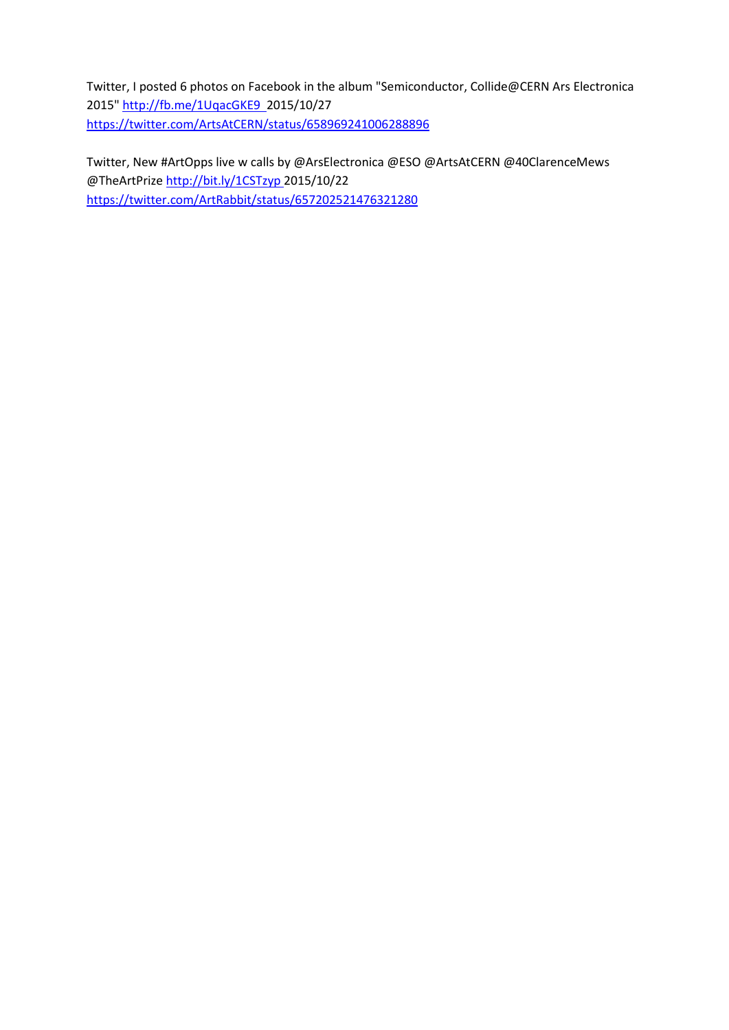Twitter, I posted 6 photos on Facebook in the album "Semiconductor, Collide@CERN Ars Electronica 2015" [http://fb.me/1UqacGKE9 2015/10/27](http://fb.me/1UqacGKE9%20%202015/10/27) <https://twitter.com/ArtsAtCERN/status/658969241006288896>

Twitter, New #ArtOpps live w calls by @ArsElectronica @ESO @ArtsAtCERN @40ClarenceMews @TheArtPriz[e http://bit.ly/1CSTzyp 2015/10/22](http://bit.ly/1CSTzyp%202015/10/22) <https://twitter.com/ArtRabbit/status/657202521476321280>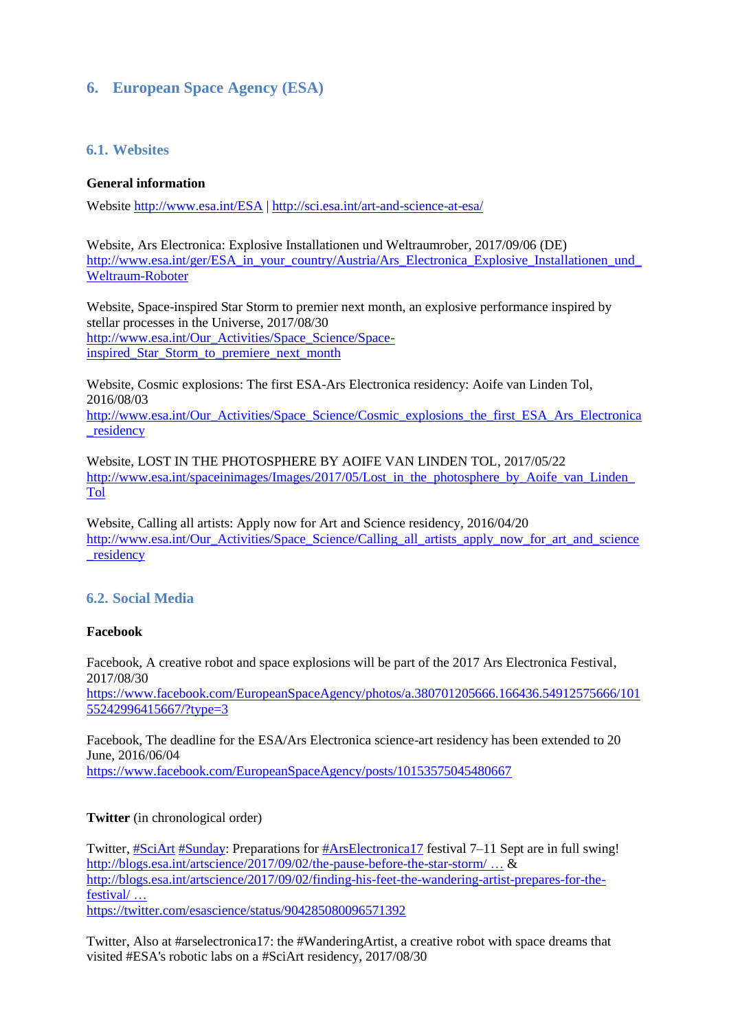# **6. European Space Agency (ESA)**

## **6.1. Websites**

## **General information**

Website <http://www.esa.int/ESA> |<http://sci.esa.int/art-and-science-at-esa/>

Website, Ars Electronica: Explosive Installationen und Weltraumrober, 2017/09/06 (DE) http://www.esa.int/ger/ESA\_in\_your\_country/Austria/Ars\_Electronica\_Explosive\_Installationen\_und [Weltraum-Roboter](http://www.esa.int/ger/ESA_in_your_country/Austria/Ars_Electronica_Explosive_Installationen_und_Weltraum-Roboter)

Website, Space-inspired Star Storm to premier next month, an explosive performance inspired by stellar processes in the Universe, 2017/08/30 [http://www.esa.int/Our\\_Activities/Space\\_Science/Space](http://www.esa.int/Our_Activities/Space_Science/Space-inspired_Star_Storm_to_premiere_next_month)[inspired\\_Star\\_Storm\\_to\\_premiere\\_next\\_month](http://www.esa.int/Our_Activities/Space_Science/Space-inspired_Star_Storm_to_premiere_next_month)

Website, Cosmic explosions: The first ESA-Ars Electronica residency: Aoife van Linden Tol, 2016/08/03 [http://www.esa.int/Our\\_Activities/Space\\_Science/Cosmic\\_explosions\\_the\\_first\\_ESA\\_Ars\\_Electronica](http://www.esa.int/Our_Activities/Space_Science/Cosmic_explosions_the_first_ESA_Ars_Electronica_residency) residency

Website, LOST IN THE PHOTOSPHERE BY AOIFE VAN LINDEN TOL, 2017/05/22 http://www.esa.int/spaceinimages/Images/2017/05/Lost in the photosphere by Aoife van Linden [Tol](http://www.esa.int/spaceinimages/Images/2017/05/Lost_in_the_photosphere_by_Aoife_van_Linden_Tol)

Website, Calling all artists: Apply now for Art and Science residency, 2016/04/20 [http://www.esa.int/Our\\_Activities/Space\\_Science/Calling\\_all\\_artists\\_apply\\_now\\_for\\_art\\_and\\_science](http://www.esa.int/Our_Activities/Space_Science/Calling_all_artists_apply_now_for_art_and_science_residency) residency

## **6.2. Social Media**

## **Facebook**

Facebook, A creative robot and space explosions will be part of the 2017 Ars Electronica Festival, 2017/08/30

[https://www.facebook.com/EuropeanSpaceAgency/photos/a.380701205666.166436.54912575666/101](https://www.facebook.com/EuropeanSpaceAgency/photos/a.380701205666.166436.54912575666/10155242996415667/?type=3) [55242996415667/?type=3](https://www.facebook.com/EuropeanSpaceAgency/photos/a.380701205666.166436.54912575666/10155242996415667/?type=3)

Facebook, The deadline for the ESA/Ars Electronica science-art residency has been extended to 20 June, 2016/06/04 <https://www.facebook.com/EuropeanSpaceAgency/posts/10153575045480667>

## **Twitter** (in chronological order)

Twitter[, #SciArt](https://twitter.com/hashtag/SciArt?src=hash) [#Sunday:](https://twitter.com/hashtag/Sunday?src=hash) Preparations for [#ArsElectronica17](https://twitter.com/hashtag/ArsElectronica17?src=hash) festival 7–11 Sept are in full swing! [http://blogs.esa.int/artscience/2017/09/02/the-pause-before-the-star-storm/](https://t.co/oAX2KEzxOL) ...  $\&$ [http://blogs.esa.int/artscience/2017/09/02/finding-his-feet-the-wandering-artist-prepares-for-the](https://t.co/2E77aZnOsz)[festival/](https://t.co/2E77aZnOsz) … <https://twitter.com/esascience/status/904285080096571392>

Twitter, Also at [#arselectronica17:](https://twitter.com/hashtag/arselectronica17?src=hash) the [#WanderingArtist,](https://twitter.com/hashtag/WanderingArtist?src=hash) a creative robot with space dreams that visited [#ESA'](https://twitter.com/hashtag/ESA?src=hash)s robotic labs on a [#SciArt](https://twitter.com/hashtag/SciArt?src=hash) residency, 2017/08/30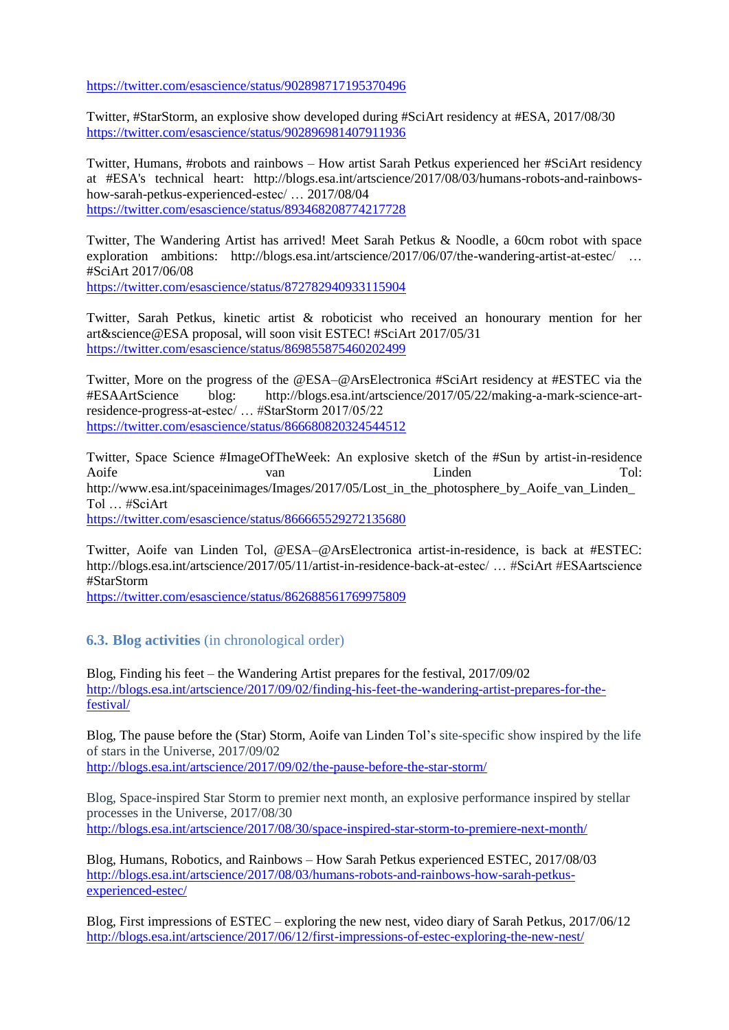<https://twitter.com/esascience/status/902898717195370496>

Twitter[, #StarStorm,](https://twitter.com/hashtag/StarStorm?src=hash) an explosive show developed during [#SciArt](https://twitter.com/hashtag/SciArt?src=hash) residency at [#ESA,](https://twitter.com/hashtag/ESA?src=hash) 2017/08/30 <https://twitter.com/esascience/status/902896981407911936>

Twitter, Humans, #robots and rainbows – How artist Sarah Petkus experienced her #SciArt residency at #ESA's technical heart: http://blogs.esa.int/artscience/2017/08/03/humans-robots-and-rainbowshow-sarah-petkus-experienced-estec/ … 2017/08/04 <https://twitter.com/esascience/status/893468208774217728>

Twitter, The Wandering Artist has arrived! Meet Sarah Petkus & Noodle, a 60cm robot with space exploration ambitions: http://blogs.esa.int/artscience/2017/06/07/the-wandering-artist-at-estec/ ... #SciArt 2017/06/08

<https://twitter.com/esascience/status/872782940933115904>

Twitter, Sarah Petkus, kinetic artist & roboticist who received an honourary mention for her art&science@ESA proposal, will soon visit ESTEC! #SciArt 2017/05/31 <https://twitter.com/esascience/status/869855875460202499>

Twitter, More on the progress of the @ESA–@ArsElectronica #SciArt residency at #ESTEC via the #ESAArtScience blog: http://blogs.esa.int/artscience/2017/05/22/making-a-mark-science-artresidence-progress-at-estec/ … #StarStorm 2017/05/22 <https://twitter.com/esascience/status/866680820324544512>

Twitter, Space Science #ImageOfTheWeek: An explosive sketch of the #Sun by artist-in-residence Aoife van van Linden Tol: http://www.esa.int/spaceinimages/Images/2017/05/Lost\_in\_the\_photosphere\_by\_Aoife\_van\_Linden\_ Tol … #SciArt <https://twitter.com/esascience/status/866665529272135680>

Twitter, Aoife van Linden Tol, @ESA–@ArsElectronica artist-in-residence, is back at #ESTEC: http://blogs.esa.int/artscience/2017/05/11/artist-in-residence-back-at-estec/ … #SciArt #ESAartscience #StarStorm

<https://twitter.com/esascience/status/862688561769975809>

## **6.3. Blog activities** (in chronological order)

Blog, Finding his feet – the Wandering Artist prepares for the festival, 2017/09/02 [http://blogs.esa.int/artscience/2017/09/02/finding-his-feet-the-wandering-artist-prepares-for-the](http://blogs.esa.int/artscience/2017/09/02/finding-his-feet-the-wandering-artist-prepares-for-the-festival/)[festival/](http://blogs.esa.int/artscience/2017/09/02/finding-his-feet-the-wandering-artist-prepares-for-the-festival/)

Blog, The pause before the (Star) Storm, Aoife van Linden Tol's site-specific show inspired by the life of stars in the Universe, 2017/09/02 <http://blogs.esa.int/artscience/2017/09/02/the-pause-before-the-star-storm/>

Blog, Space-inspired Star Storm to premier next month*,* an explosive performance inspired by stellar processes in the Universe, 2017/08/30 <http://blogs.esa.int/artscience/2017/08/30/space-inspired-star-storm-to-premiere-next-month/>

Blog, Humans, Robotics, and Rainbows – How Sarah Petkus experienced ESTEC, 2017/08/03 [http://blogs.esa.int/artscience/2017/08/03/humans-robots-and-rainbows-how-sarah-petkus](http://blogs.esa.int/artscience/2017/08/03/humans-robots-and-rainbows-how-sarah-petkus-experienced-estec/)[experienced-estec/](http://blogs.esa.int/artscience/2017/08/03/humans-robots-and-rainbows-how-sarah-petkus-experienced-estec/)

Blog, First impressions of ESTEC – exploring the new nest, video diary of Sarah Petkus, 2017/06/12 <http://blogs.esa.int/artscience/2017/06/12/first-impressions-of-estec-exploring-the-new-nest/>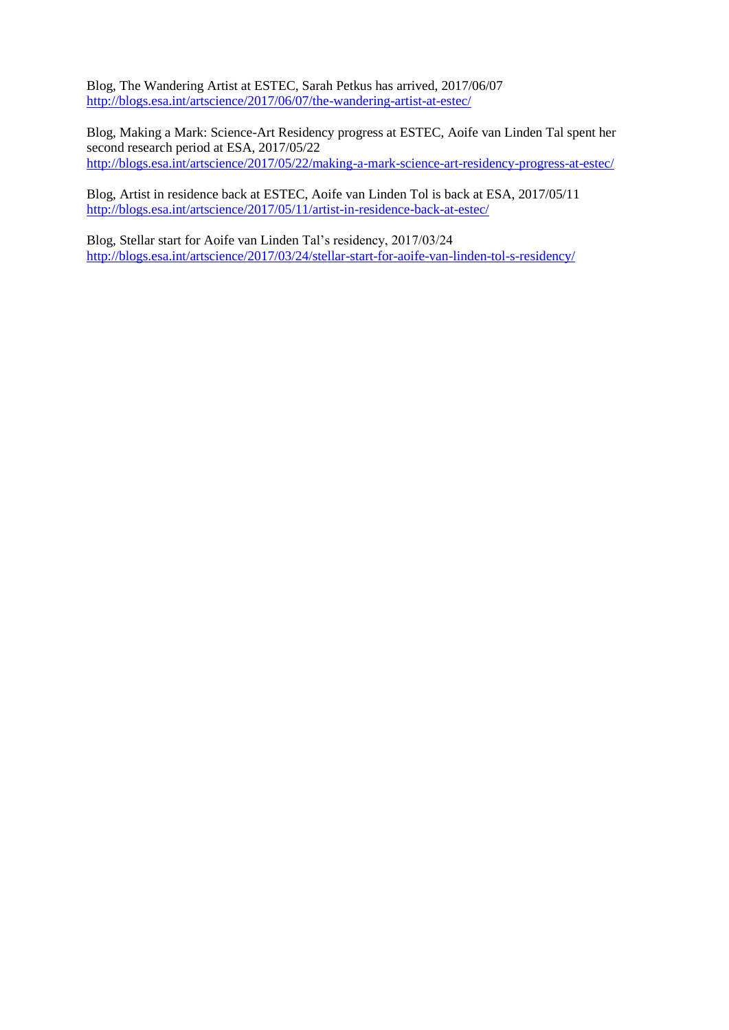Blog, The Wandering Artist at ESTEC, Sarah Petkus has arrived, 2017/06/07 <http://blogs.esa.int/artscience/2017/06/07/the-wandering-artist-at-estec/>

Blog, Making a Mark: Science-Art Residency progress at ESTEC, Aoife van Linden Tal spent her second research period at ESA, 2017/05/22 <http://blogs.esa.int/artscience/2017/05/22/making-a-mark-science-art-residency-progress-at-estec/>

Blog, Artist in residence back at ESTEC, Aoife van Linden Tol is back at ESA, 2017/05/11 <http://blogs.esa.int/artscience/2017/05/11/artist-in-residence-back-at-estec/>

Blog, Stellar start for Aoife van Linden Tal's residency, 2017/03/24 <http://blogs.esa.int/artscience/2017/03/24/stellar-start-for-aoife-van-linden-tol-s-residency/>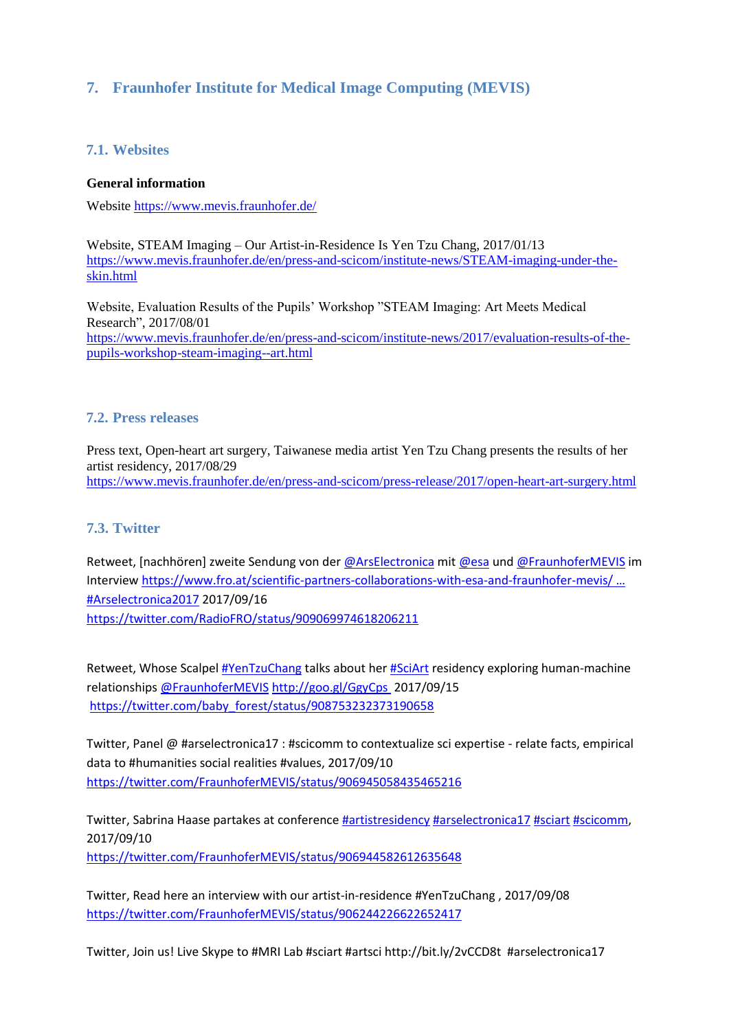# **7. [Fraunhofer Institute for Medical Image Computing \(](https://www.mevis.fraunhofer.de/)MEVIS)**

## **7.1. Websites**

#### **General information**

Website<https://www.mevis.fraunhofer.de/>

Website, STEAM Imaging – Our Artist-in-Residence Is Yen Tzu Chang, 2017/01/13 [https://www.mevis.fraunhofer.de/en/press-and-scicom/institute-news/STEAM-imaging-under-the](https://www.mevis.fraunhofer.de/en/press-and-scicom/institute-news/STEAM-imaging-under-the-skin.html)[skin.html](https://www.mevis.fraunhofer.de/en/press-and-scicom/institute-news/STEAM-imaging-under-the-skin.html)

Website, Evaluation Results of the Pupils' Workshop "STEAM Imaging: Art Meets Medical Research", 2017/08/01 [https://www.mevis.fraunhofer.de/en/press-and-scicom/institute-news/2017/evaluation-results-of-the](https://www.mevis.fraunhofer.de/en/press-and-scicom/institute-news/2017/evaluation-results-of-the-pupils-workshop-steam-imaging--art.html)[pupils-workshop-steam-imaging--art.html](https://www.mevis.fraunhofer.de/en/press-and-scicom/institute-news/2017/evaluation-results-of-the-pupils-workshop-steam-imaging--art.html)

#### **7.2. Press releases**

Press text, Open-heart art surgery, Taiwanese media artist Yen Tzu Chang presents the results of her artist residency, 2017/08/29 <https://www.mevis.fraunhofer.de/en/press-and-scicom/press-release/2017/open-heart-art-surgery.html>

## **7.3. Twitter**

Retweet, [nachhören] zweite Sendung von der [@ArsElectronica](https://twitter.com/ArsElectronica) mi[t @esa](https://twitter.com/esa) und [@FraunhoferMEVIS](https://twitter.com/FraunhoferMEVIS) im Intervie[w https://www.fro.at/scientific-partners-collaborations-with-esa-and-fraunhofer-mevis/](https://t.co/ZMn9tZFxlz) … [#Arselectronica2017](https://twitter.com/hashtag/Arselectronica2017?src=hash) 2017/09/16 <https://twitter.com/RadioFRO/status/909069974618206211>

Retweet, Whose Scalpel [#YenTzuChang](https://twitter.com/hashtag/YenTzuChang?src=hash) talks about he[r #SciArt](https://twitter.com/hashtag/SciArt?src=hash) residency exploring human-machine relationships [@FraunhoferMEVIS](https://twitter.com/FraunhoferMEVIS) [http://goo.gl/GgyCps](https://t.co/gp74gcUEeH) 2017/09/15 [https://twitter.com/baby\\_forest/status/908753232373190658](https://twitter.com/baby_forest/status/908753232373190658)

Twitter, Panel @ #arselectronica17 : #scicomm to contextualize sci expertise - relate facts, empirical data to #humanities social realities #values, 2017/09/10 <https://twitter.com/FraunhoferMEVIS/status/906945058435465216>

Twitter, Sabrina Haase partakes at conferenc[e #artistresidency](https://twitter.com/hashtag/artistresidency?src=hash) [#arselectronica17](https://twitter.com/hashtag/arselectronica17?src=hash) [#sciart](https://twitter.com/hashtag/sciart?src=hash) [#scicomm,](https://twitter.com/hashtag/scicomm?src=hash) 2017/09/10 <https://twitter.com/FraunhoferMEVIS/status/906944582612635648>

Twitter, Read here an interview with our artist-in-residence #YenTzuChang , 2017/09/08 <https://twitter.com/FraunhoferMEVIS/status/906244226622652417>

Twitter, Join us! Live Skype to #MRI Lab #sciart #artsci http://bit.ly/2vCCD8t #arselectronica17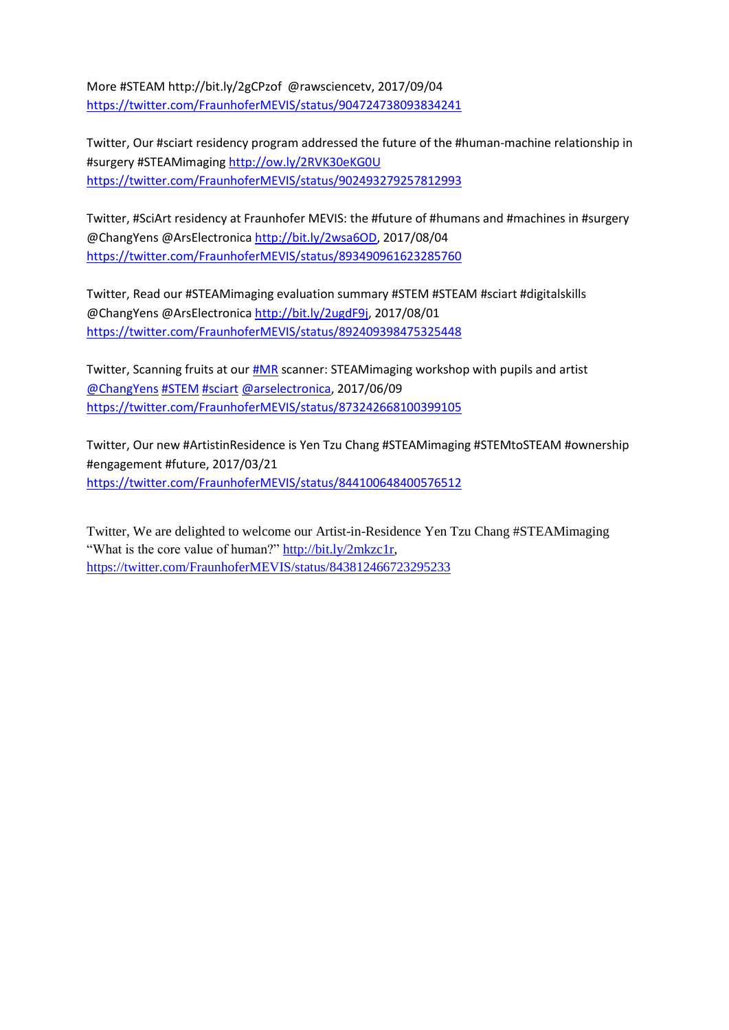More #STEAM http://bit.ly/2gCPzof @rawsciencetv, 2017/09/04 <https://twitter.com/FraunhoferMEVIS/status/904724738093834241>

Twitter, Our #sciart residency program addressed the future of the #human-machine relationship in #surgery #STEAMimaging<http://ow.ly/2RVK30eKG0U> <https://twitter.com/FraunhoferMEVIS/status/902493279257812993>

Twitter, #SciArt residency at Fraunhofer MEVIS: the #future of #humans and #machines in #surgery @ChangYens @ArsElectronica [http://bit.ly/2wsa6OD,](http://bit.ly/2wsa6OD) 2017/08/04 <https://twitter.com/FraunhoferMEVIS/status/893490961623285760>

Twitter, Read our #STEAMimaging evaluation summary #STEM #STEAM #sciart #digitalskills @ChangYens @ArsElectronica [http://bit.ly/2ugdF9j,](http://bit.ly/2ugdF9j) 2017/08/01 <https://twitter.com/FraunhoferMEVIS/status/892409398475325448>

Twitter, Scanning fruits at our [#MR](https://twitter.com/hashtag/MR?src=hash) scanner: STEAMimaging workshop with pupils and artist [@ChangYens](https://twitter.com/ChangYens) [#STEM](https://twitter.com/hashtag/STEM?src=hash) [#sciart](https://twitter.com/hashtag/sciart?src=hash) [@arselectronica,](https://twitter.com/ArsElectronica) 2017/06/09 <https://twitter.com/FraunhoferMEVIS/status/873242668100399105>

Twitter, Our new #ArtistinResidence is Yen Tzu Chang #STEAMimaging #STEMtoSTEAM #ownership #engagement #future, 2017/03/21 <https://twitter.com/FraunhoferMEVIS/status/844100648400576512>

Twitter, We are delighted to welcome our Artist-in-Residence Yen Tzu Chang #STEAMimaging "What is the core value of human?" [http://bit.ly/2mkzc1r,](http://bit.ly/2mkzc1r) <https://twitter.com/FraunhoferMEVIS/status/843812466723295233>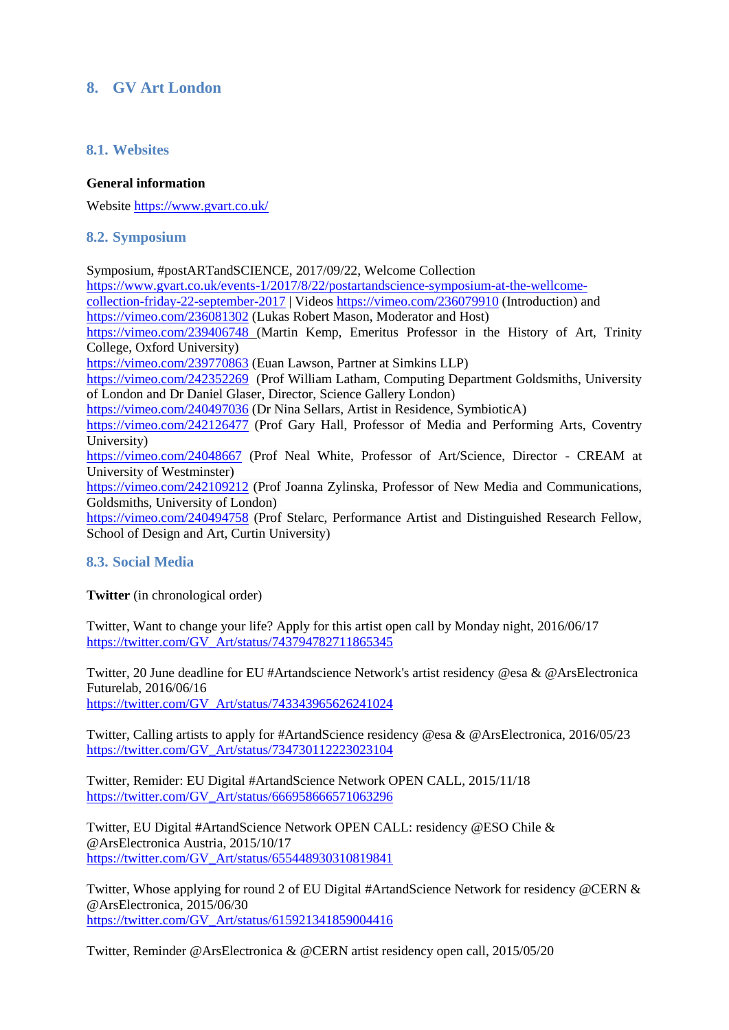## **8. GV Art London**

## **8.1. Websites**

#### **General information**

Website https://www.gvart.co.uk/

#### **8.2. Symposium**

Symposium, #postARTandSCIENCE, 2017/09/22, Welcome Collection [https://www.gvart.co.uk/events-1/2017/8/22/postartandscience-symposium-at-the-wellcome](https://www.gvart.co.uk/events-1/2017/8/22/postartandscience-symposium-at-the-wellcome-collection-friday-22-september-2017)[collection-friday-22-september-2017](https://www.gvart.co.uk/events-1/2017/8/22/postartandscience-symposium-at-the-wellcome-collection-friday-22-september-2017) | Videos <https://vimeo.com/236079910> (Introduction) and <https://vimeo.com/236081302> (Lukas Robert Mason, Moderator and Host) <https://vimeo.com/239406748> (Martin Kemp, Emeritus Professor in the History of Art, Trinity College, Oxford University) <https://vimeo.com/239770863> (Euan Lawson, Partner at Simkins LLP) <https://vimeo.com/242352269> (Prof William Latham, Computing Department Goldsmiths, University of London and Dr Daniel Glaser, Director, Science Gallery London) <https://vimeo.com/240497036> (Dr Nina Sellars, Artist in Residence, SymbioticA) <https://vimeo.com/242126477> (Prof Gary Hall, Professor of Media and Performing Arts, Coventry University) <https://vimeo.com/24048667> (Prof Neal White, Professor of Art/Science, Director - CREAM at University of Westminster) <https://vimeo.com/242109212> (Prof Joanna Zylinska, Professor of New Media and Communications, Goldsmiths, University of London) <https://vimeo.com/240494758> (Prof Stelarc, Performance Artist and Distinguished Research Fellow, School of Design and Art, Curtin University)

## **8.3. Social Media**

**Twitter** (in chronological order)

Twitter, Want to change your life? Apply for this artist open call by Monday night, 2016/06/17 [https://twitter.com/GV\\_Art/status/743794782711865345](https://twitter.com/GV_Art/status/743794782711865345)

Twitter, 20 June deadline for EU [#Artandscience](https://twitter.com/hashtag/Artandscience?src=hash) Network's artist residency [@esa](https://twitter.com/esa) & [@ArsElectronica](https://twitter.com/ArsElectronica) Futurelab, 2016/06/16 [https://twitter.com/GV\\_Art/status/743343965626241024](https://twitter.com/GV_Art/status/743343965626241024)

Twitter, Calling artists to apply for [#ArtandScience](https://twitter.com/hashtag/ArtandScience?src=hash) residency [@esa](https://twitter.com/esa) & [@ArsElectronica,](https://twitter.com/ArsElectronica) 2016/05/23 [https://twitter.com/GV\\_Art/status/734730112223023104](https://twitter.com/GV_Art/status/734730112223023104)

Twitter, Remider: EU Digital [#ArtandScience](https://twitter.com/hashtag/ArtandScience?src=hash) Network OPEN CALL, 2015/11/18 [https://twitter.com/GV\\_Art/status/666958666571063296](https://twitter.com/GV_Art/status/666958666571063296)

Twitter, EU Digital [#ArtandScience](https://twitter.com/hashtag/ArtandScience?src=hash) Network OPEN CALL: residency [@ESO](https://twitter.com/ESO) Chile & [@ArsElectronica](https://twitter.com/ArsElectronica) Austria, 2015/10/17 [https://twitter.com/GV\\_Art/status/655448930310819841](https://twitter.com/GV_Art/status/655448930310819841)

Twitter, Whose applying for round 2 of EU Digital [#ArtandScience](https://twitter.com/hashtag/ArtandScience?src=hash) Network for residency [@CERN](https://twitter.com/CERN) & [@ArsElectronica,](https://twitter.com/ArsElectronica) 2015/06/30 [https://twitter.com/GV\\_Art/status/615921341859004416](https://twitter.com/GV_Art/status/615921341859004416)

Twitter, Reminder [@ArsElectronica](https://twitter.com/ArsElectronica) & [@CERN](https://twitter.com/CERN) artist residency open call, 2015/05/20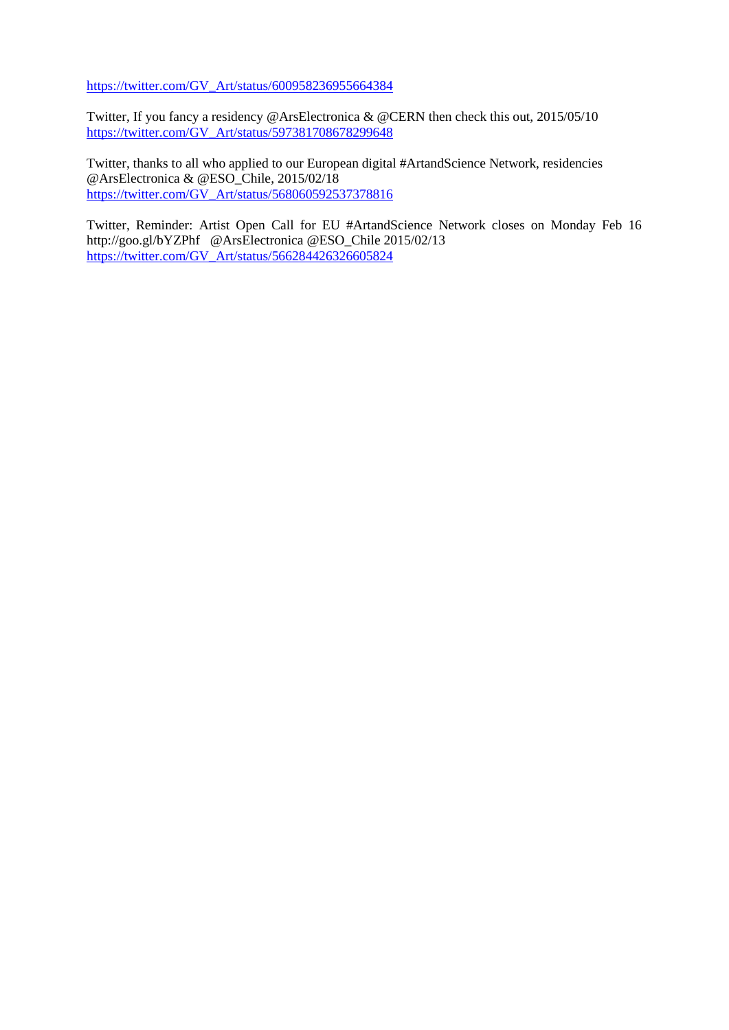[https://twitter.com/GV\\_Art/status/600958236955664384](https://twitter.com/GV_Art/status/600958236955664384)

Twitter, If you fancy a residency [@ArsElectronica](https://twitter.com/ArsElectronica) & [@CERN](https://twitter.com/CERN) then check this out, 2015/05/10 [https://twitter.com/GV\\_Art/status/597381708678299648](https://twitter.com/GV_Art/status/597381708678299648)

Twitter, thanks to all who applied to our European digital [#ArtandScience](https://twitter.com/hashtag/ArtandScience?src=hash) Network, residencies [@ArsElectronica](https://twitter.com/ArsElectronica) & [@ESO\\_Chile,](https://twitter.com/ESO_Chile) 2015/02/18 [https://twitter.com/GV\\_Art/status/568060592537378816](https://twitter.com/GV_Art/status/568060592537378816)

Twitter, Reminder: Artist Open Call for EU #ArtandScience Network closes on Monday Feb 16 http://goo.gl/bYZPhf @ArsElectronica @ESO\_Chile 2015/02/13 https://twitter.com/GV\_Art/status/566284426326605824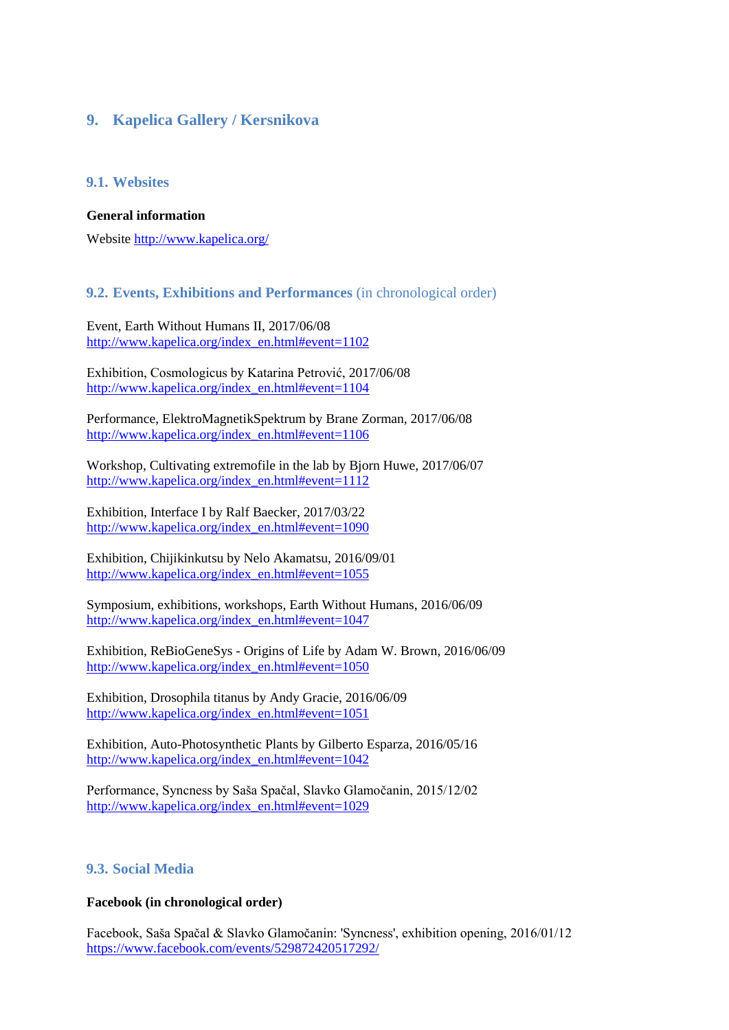# **9. Kapelica Gallery / Kersnikova**

## **9.1. Websites**

#### **General information**

Website<http://www.kapelica.org/>

## **9.2. Events, Exhibitions and Performances** (in chronological order)

Event, Earth Without Humans II, 2017/06/08 [http://www.kapelica.org/index\\_en.html#event=1102](http://www.kapelica.org/index_en.html#event=1102)

Exhibition, Cosmologicus by Katarina Petrović, 2017/06/08 [http://www.kapelica.org/index\\_en.html#event=1104](http://www.kapelica.org/index_en.html#event=1104)

Performance, ElektroMagnetikSpektrum by Brane Zorman, 2017/06/08 [http://www.kapelica.org/index\\_en.html#event=1106](http://www.kapelica.org/index_en.html#event=1106)

Workshop, Cultivating extremofile in the lab by Bjorn Huwe, 2017/06/07 [http://www.kapelica.org/index\\_en.html#event=1112](http://www.kapelica.org/index_en.html#event=1112)

Exhibition, Interface I by Ralf Baecker, 2017/03/22 [http://www.kapelica.org/index\\_en.html#event=1090](http://www.kapelica.org/index_en.html#event=1090)

Exhibition, Chijikinkutsu by Nelo Akamatsu, 2016/09/01 [http://www.kapelica.org/index\\_en.html#event=1055](http://www.kapelica.org/index_en.html#event=1055)

Symposium, exhibitions, workshops, Earth Without Humans, 2016/06/09 [http://www.kapelica.org/index\\_en.html#event=1047](http://www.kapelica.org/index_en.html#event=1047)

Exhibition, ReBioGeneSys - Origins of Life by Adam W. Brown, 2016/06/09 [http://www.kapelica.org/index\\_en.html#event=1050](http://www.kapelica.org/index_en.html#event=1050)

Exhibition, Drosophila titanus by Andy Gracie, 2016/06/09 [http://www.kapelica.org/index\\_en.html#event=1051](http://www.kapelica.org/index_en.html#event=1051)

Exhibition, Auto-Photosynthetic Plants by Gilberto Esparza, 2016/05/16 [http://www.kapelica.org/index\\_en.html#event=1042](http://www.kapelica.org/index_en.html#event=1042)

Performance, Syncness by Saša Spačal, Slavko Glamočanin, 2015/12/02 [http://www.kapelica.org/index\\_en.html#event=1029](http://www.kapelica.org/index_en.html#event=1029)

## **9.3. Social Media**

#### **Facebook (in chronological order)**

Facebook, Saša Spačal & Slavko Glamočanin: 'Syncness', exhibition opening, 2016/01/12 <https://www.facebook.com/events/529872420517292/>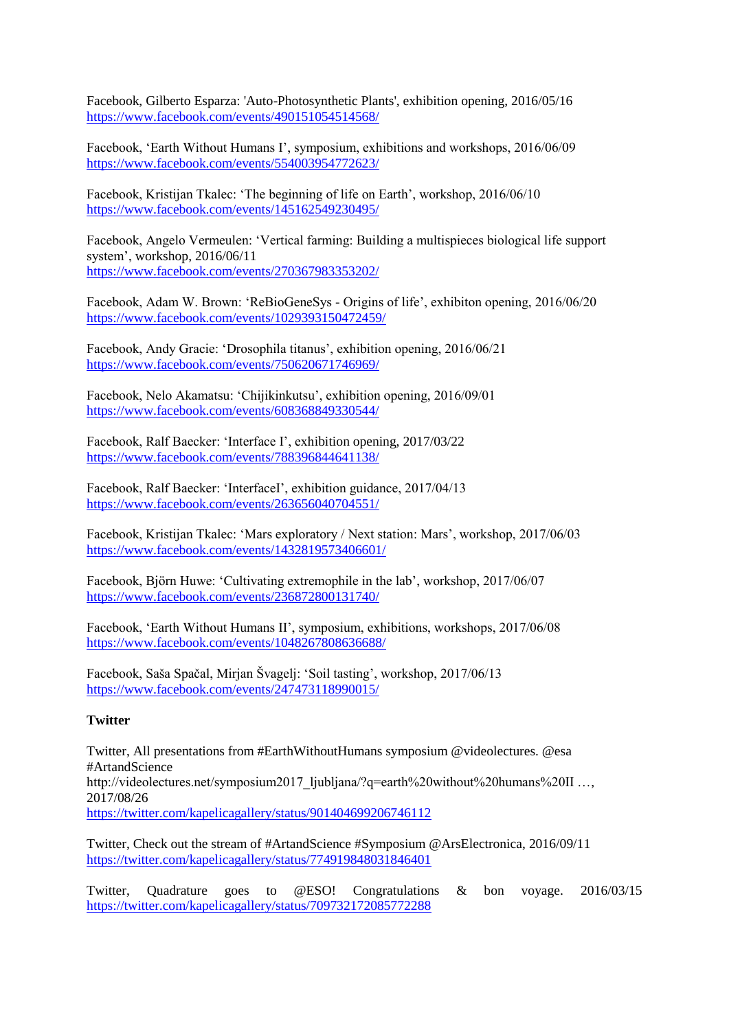Facebook, Gilberto Esparza: 'Auto-Photosynthetic Plants', exhibition opening, 2016/05/16 <https://www.facebook.com/events/490151054514568/>

Facebook, 'Earth Without Humans I', symposium, exhibitions and workshops, 2016/06/09 <https://www.facebook.com/events/554003954772623/>

Facebook, Kristijan Tkalec: 'The beginning of life on Earth', workshop, 2016/06/10 <https://www.facebook.com/events/145162549230495/>

Facebook, Angelo Vermeulen: 'Vertical farming: Building a multispieces biological life support system', workshop, 2016/06/11 <https://www.facebook.com/events/270367983353202/>

Facebook, Adam W. Brown: 'ReBioGeneSys - Origins of life', exhibiton opening, 2016/06/20 <https://www.facebook.com/events/1029393150472459/>

Facebook, Andy Gracie: 'Drosophila titanus', exhibition opening, 2016/06/21 <https://www.facebook.com/events/750620671746969/>

Facebook, Nelo Akamatsu: 'Chijikinkutsu', exhibition opening, 2016/09/01 <https://www.facebook.com/events/608368849330544/>

Facebook, Ralf Baecker: 'Interface I', exhibition opening, 2017/03/22 <https://www.facebook.com/events/788396844641138/>

Facebook, Ralf Baecker: 'InterfaceI', exhibition guidance, 2017/04/13 <https://www.facebook.com/events/263656040704551/>

Facebook, Kristijan Tkalec: 'Mars exploratory / Next station: Mars', workshop, 2017/06/03 <https://www.facebook.com/events/1432819573406601/>

Facebook, Björn Huwe: 'Cultivating extremophile in the lab', workshop, 2017/06/07 <https://www.facebook.com/events/236872800131740/>

Facebook, 'Earth Without Humans II', symposium, exhibitions, workshops, 2017/06/08 <https://www.facebook.com/events/1048267808636688/>

Facebook, Saša Spačal, Mirjan Švagelj: 'Soil tasting', workshop, 2017/06/13 <https://www.facebook.com/events/247473118990015/>

#### **Twitter**

Twitter, All presentations from #EarthWithoutHumans symposium @videolectures. @esa #ArtandScience http://videolectures.net/symposium2017\_ljubljana/?q=earth%20without%20humans%20II …, 2017/08/26 <https://twitter.com/kapelicagallery/status/901404699206746112>

Twitter, Check out the stream of [#ArtandScience](https://twitter.com/hashtag/ArtandScience?src=hash) [#Symposium](https://twitter.com/hashtag/Symposium?src=hash) [@ArsElectronica,](https://twitter.com/ArsElectronica) 2016/09/11 <https://twitter.com/kapelicagallery/status/774919848031846401>

Twitter, Quadrature goes to @ESO! Congratulations & bon voyage. 2016/03/15 <https://twitter.com/kapelicagallery/status/709732172085772288>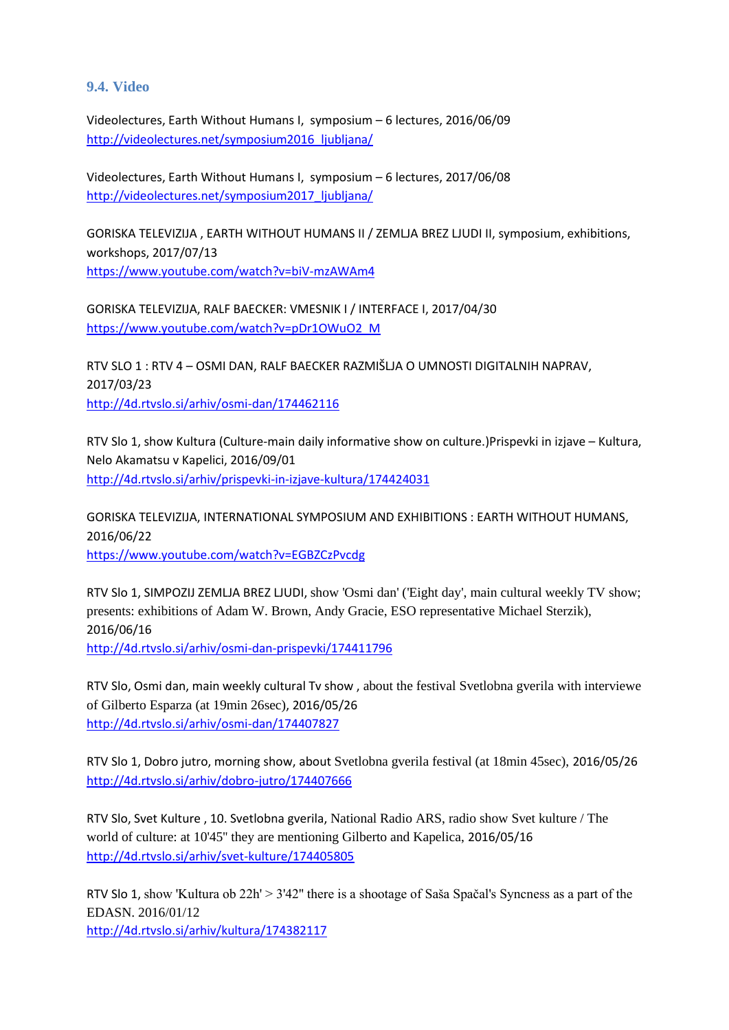## **9.4. Video**

Videolectures, Earth Without Humans I, symposium – 6 lectures, 2016/06/09 [http://videolectures.net/symposium2016\\_ljubljana/](http://videolectures.net/symposium2016_ljubljana/)

Videolectures, Earth Without Humans I, symposium – 6 lectures, 2017/06/08 [http://videolectures.net/symposium2017\\_ljubljana/](http://videolectures.net/symposium2017_ljubljana/)

GORISKA TELEVIZIJA , EARTH WITHOUT HUMANS II / ZEMLJA BREZ LJUDI II, symposium, exhibitions, workshops, 2017/07/13 <https://www.youtube.com/watch?v=biV-mzAWAm4>

GORISKA TELEVIZIJA, RALF BAECKER: VMESNIK I / INTERFACE I, 2017/04/30 [https://www.youtube.com/watch?v=pDr1OWuO2\\_M](https://www.youtube.com/watch?v=pDr1OWuO2_M)

RTV SLO 1 : RTV 4 – OSMI DAN, RALF BAECKER RAZMIŠLJA O UMNOSTI DIGITALNIH NAPRAV, 2017/03/23 <http://4d.rtvslo.si/arhiv/osmi-dan/174462116>

RTV Slo 1, show Kultura (Culture-main daily informative show on culture.)Prispevki in izjave – Kultura, Nelo Akamatsu v Kapelici, 2016/09/01 <http://4d.rtvslo.si/arhiv/prispevki-in-izjave-kultura/174424031>

GORISKA TELEVIZIJA, INTERNATIONAL SYMPOSIUM AND EXHIBITIONS : EARTH WITHOUT HUMANS, 2016/06/22 <https://www.youtube.com/watch?v=EGBZCzPvcdg>

RTV Slo 1, SIMPOZIJ ZEMLJA BREZ LJUDI, show 'Osmi dan' ('Eight day', main cultural weekly TV show; presents: exhibitions of Adam W. Brown, Andy Gracie, ESO representative Michael Sterzik), 2016/06/16 <http://4d.rtvslo.si/arhiv/osmi-dan-prispevki/174411796>

RTV Slo, Osmi dan, main weekly cultural Tv show , about the festival Svetlobna gverila with interviewe of Gilberto Esparza (at 19min 26sec), 2016/05/26 <http://4d.rtvslo.si/arhiv/osmi-dan/174407827>

RTV Slo 1, Dobro jutro, morning show, about Svetlobna gverila festival (at 18min 45sec), 2016/05/26 <http://4d.rtvslo.si/arhiv/dobro-jutro/174407666>

RTV Slo, Svet Kulture , 10. Svetlobna gverila, National Radio ARS, radio show Svet kulture / The world of culture: at 10'45'' they are mentioning Gilberto and Kapelica, 2016/05/16 <http://4d.rtvslo.si/arhiv/svet-kulture/174405805>

RTV Slo 1, show 'Kultura ob 22h' > 3'42'' there is a shootage of Saša Spačal's Syncness as a part of the EDASN. 2016/01/12 <http://4d.rtvslo.si/arhiv/kultura/174382117>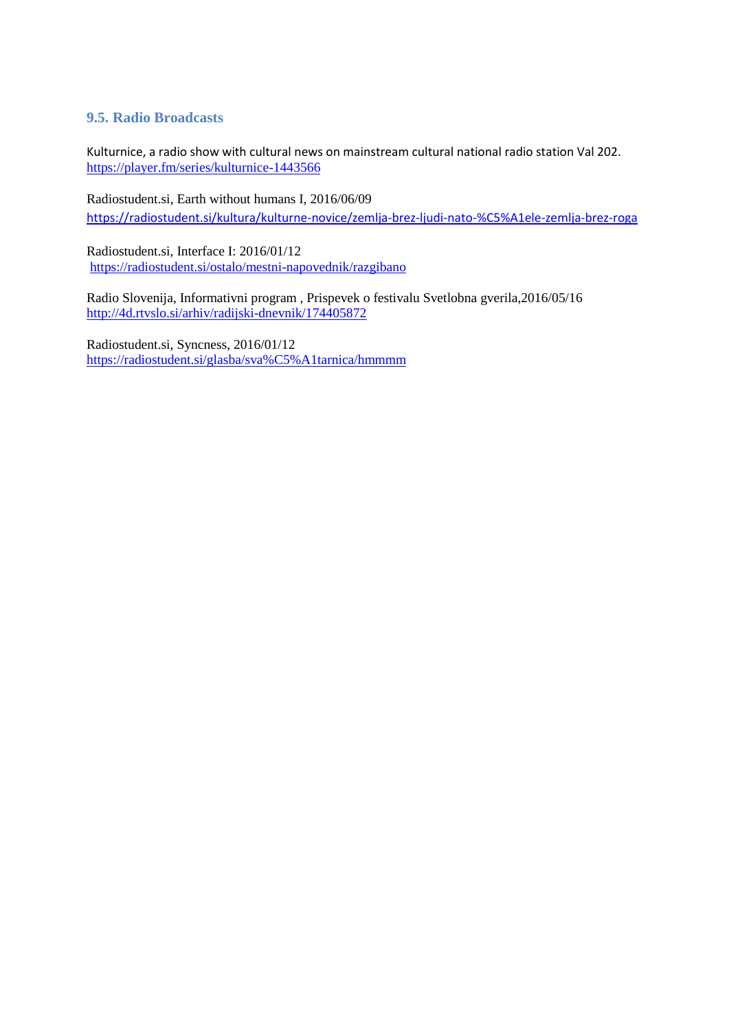## **9.5. Radio Broadcasts**

Kulturnice, a radio show with cultural news on mainstream cultural national radio station Val 202. <https://player.fm/series/kulturnice-1443566>

Radiostudent.si, Earth without humans I, 2016/06/09 <https://radiostudent.si/kultura/kulturne-novice/zemlja-brez-ljudi-nato-%C5%A1ele-zemlja-brez-roga>

Radiostudent.si, Interface I: 2016/01/12 <https://radiostudent.si/ostalo/mestni-napovednik/razgibano>

Radio Slovenija, Informativni program , Prispevek o festivalu Svetlobna gverila,2016/05/16 <http://4d.rtvslo.si/arhiv/radijski-dnevnik/174405872>

Radiostudent.si, Syncness, 2016/01/12 <https://radiostudent.si/glasba/sva%C5%A1tarnica/hmmmm>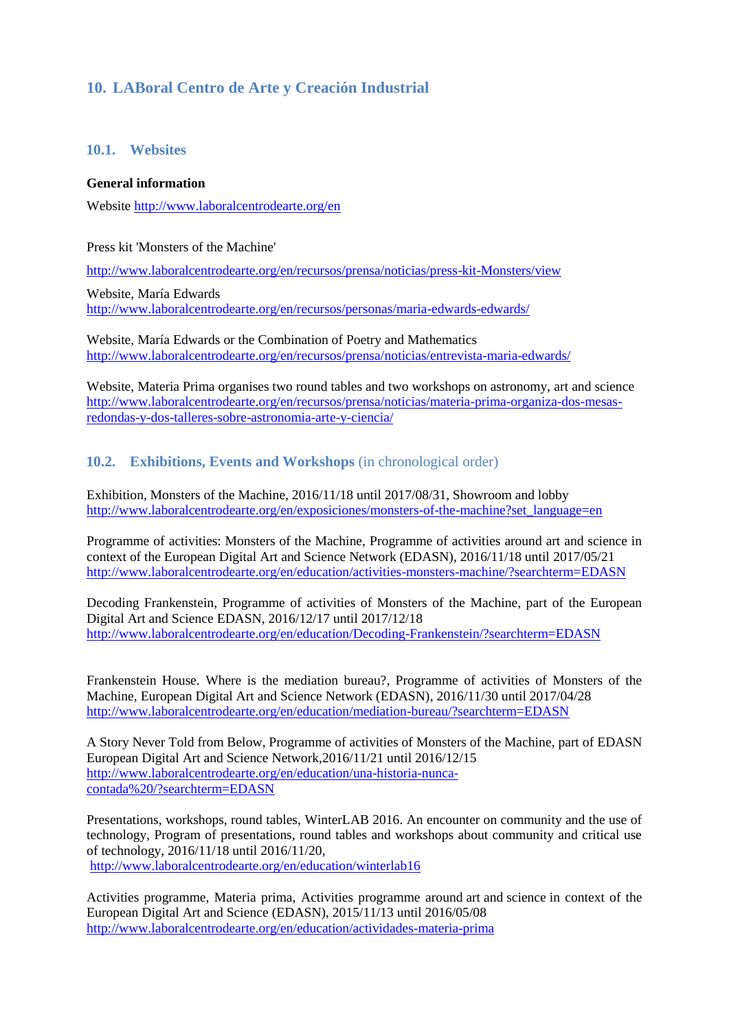# **10. LABoral Centro de Arte y Creación Industrial**

#### **10.1. Websites**

#### **General information**

Website<http://www.laboralcentrodearte.org/en>

Press kit 'Monsters of the Machine'

http://www.laboralcentrodearte.org/en/recursos/prensa/noticias/press-kit-Monsters/view

Website, María Edwards <http://www.laboralcentrodearte.org/en/recursos/personas/maria-edwards-edwards/>

Website, María Edwards or the Combination of Poetry and Mathematics <http://www.laboralcentrodearte.org/en/recursos/prensa/noticias/entrevista-maria-edwards/>

Website, Materia Prima organises two round tables and two workshops on astronomy, art and science [http://www.laboralcentrodearte.org/en/recursos/prensa/noticias/materia-prima-organiza-dos-mesas](http://www.laboralcentrodearte.org/en/recursos/prensa/noticias/materia-prima-organiza-dos-mesas-redondas-y-dos-talleres-sobre-astronomia-arte-y-ciencia/?searchterm=art%20science)[redondas-y-dos-talleres-sobre-astronomia-arte-y-ciencia/](http://www.laboralcentrodearte.org/en/recursos/prensa/noticias/materia-prima-organiza-dos-mesas-redondas-y-dos-talleres-sobre-astronomia-arte-y-ciencia/?searchterm=art%20science)

## **10.2. Exhibitions, Events and Workshops** (in chronological order)

Exhibition, Monsters of the Machine, 2016/11/18 until 2017/08/31, Showroom and lobby [http://www.laboralcentrodearte.org/en/exposiciones/monsters-of-the-machine?set\\_language=en](http://www.laboralcentrodearte.org/en/exposiciones/monsters-of-the-machine?set_language=en)

Programme of activities: Monsters of the Machine, Programme of activities around art and science in context of the European Digital Art and Science Network (EDASN), 2016/11/18 until 2017/05/21 <http://www.laboralcentrodearte.org/en/education/activities-monsters-machine/?searchterm=EDASN>

Decoding Frankenstein, Programme of activities of Monsters of the Machine, part of the European Digital Art and Science EDASN, 2016/12/17 until 2017/12/18 <http://www.laboralcentrodearte.org/en/education/Decoding-Frankenstein/?searchterm=EDASN>

Frankenstein House. Where is the mediation bureau?, Programme of activities of Monsters of the Machine, European Digital Art and Science Network (EDASN), 2016/11/30 until 2017/04/28 <http://www.laboralcentrodearte.org/en/education/mediation-bureau/?searchterm=EDASN>

A Story Never Told from Below, Programme of activities of Monsters of the Machine, part of EDASN European Digital Art and Science Network,2016/11/21 until 2016/12/15 [http://www.laboralcentrodearte.org/en/education/una-historia-nunca](http://www.laboralcentrodearte.org/en/education/una-historia-nunca-contada%20/?searchterm=EDASN)[contada%20/?searchterm=EDASN](http://www.laboralcentrodearte.org/en/education/una-historia-nunca-contada%20/?searchterm=EDASN)

Presentations, workshops, round tables, WinterLAB 2016. An encounter on community and the use of technology, Program of presentations, round tables and workshops about community and critical use of technology, 2016/11/18 until 2016/11/20, <http://www.laboralcentrodearte.org/en/education/winterlab16>

Activities programme, Materia prima, Activities programme around art and science in context of the European Digital Art and Science (EDASN), 2015/11/13 until 2016/05/08 <http://www.laboralcentrodearte.org/en/education/actividades-materia-prima>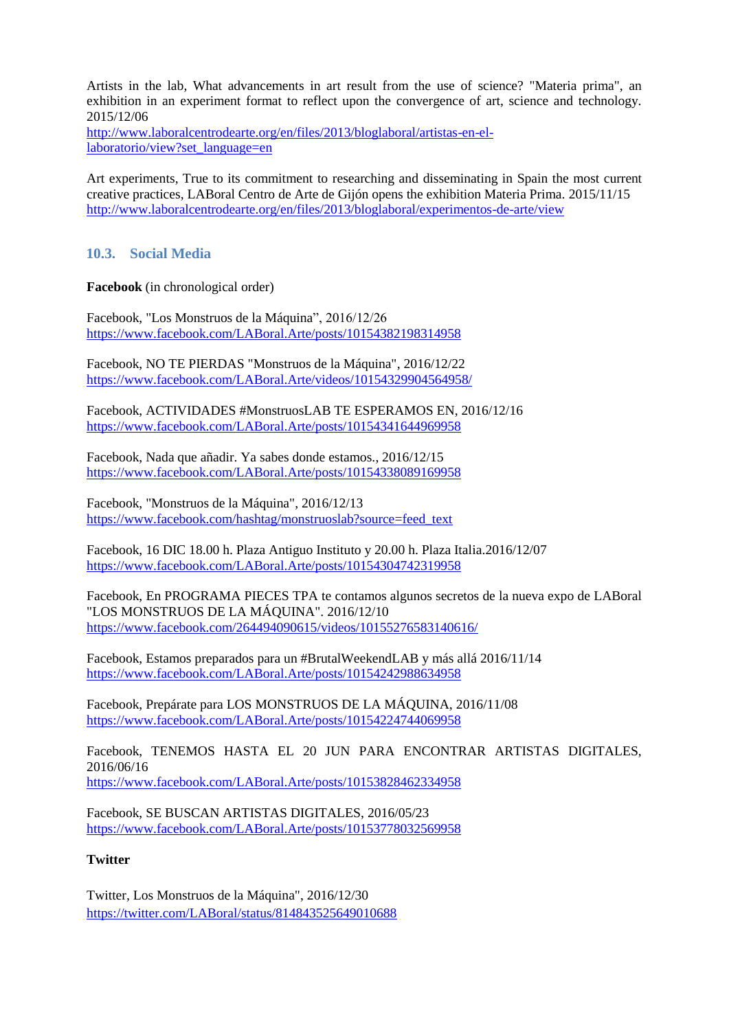Artists in the lab, What advancements in art result from the use of science? "Materia prima", an exhibition in an experiment format to reflect upon the convergence of art, science and technology. 2015/12/06

[http://www.laboralcentrodearte.org/en/files/2013/bloglaboral/artistas-en-el](http://www.laboralcentrodearte.org/en/files/2013/bloglaboral/artistas-en-el-laboratorio/view?set_language=en)[laboratorio/view?set\\_language=en](http://www.laboralcentrodearte.org/en/files/2013/bloglaboral/artistas-en-el-laboratorio/view?set_language=en)

Art experiments, True to its commitment to researching and disseminating in Spain the most current creative practices, LABoral Centro de Arte de Gijón opens the exhibition Materia Prima. 2015/11/15 <http://www.laboralcentrodearte.org/en/files/2013/bloglaboral/experimentos-de-arte/view>

## **10.3. Social Media**

**Facebook** (in chronological order)

Facebook, "Los Monstruos de la Máquina", 2016/12/26 <https://www.facebook.com/LABoral.Arte/posts/10154382198314958>

Facebook, NO TE PIERDAS "Monstruos de la Máquina", 2016/12/22 <https://www.facebook.com/LABoral.Arte/videos/10154329904564958/>

Facebook, ACTIVIDADES #MonstruosLAB TE ESPERAMOS EN, 2016/12/16 <https://www.facebook.com/LABoral.Arte/posts/10154341644969958>

Facebook, Nada que añadir. Ya sabes donde estamos., 2016/12/15 <https://www.facebook.com/LABoral.Arte/posts/10154338089169958>

Facebook, "Monstruos de la Máquina", 2016/12/13 [https://www.facebook.com/hashtag/monstruoslab?source=feed\\_text](https://www.facebook.com/hashtag/monstruoslab?source=feed_text)

Facebook, 16 DIC 18.00 h. Plaza Antiguo Instituto y 20.00 h. Plaza Italia.2016/12/07 <https://www.facebook.com/LABoral.Arte/posts/10154304742319958>

Facebook, En PROGRAMA PIECES TPA te contamos algunos secretos de la nueva expo de LABoral "LOS MONSTRUOS DE LA MÁQUINA". 2016/12/10 <https://www.facebook.com/264494090615/videos/10155276583140616/>

Facebook, Estamos preparados para un #BrutalWeekendLAB y más allá 2016/11/14 <https://www.facebook.com/LABoral.Arte/posts/10154242988634958>

Facebook, Prepárate para LOS MONSTRUOS DE LA MÁQUINA, 2016/11/08 <https://www.facebook.com/LABoral.Arte/posts/10154224744069958>

Facebook, TENEMOS HASTA EL 20 JUN PARA ENCONTRAR ARTISTAS DIGITALES, 2016/06/16 <https://www.facebook.com/LABoral.Arte/posts/10153828462334958>

Facebook, SE BUSCAN ARTISTAS DIGITALES, 2016/05/23 <https://www.facebook.com/LABoral.Arte/posts/10153778032569958>

## **Twitter**

Twitter, Los Monstruos de la Máquina", 2016/12/30 <https://twitter.com/LABoral/status/814843525649010688>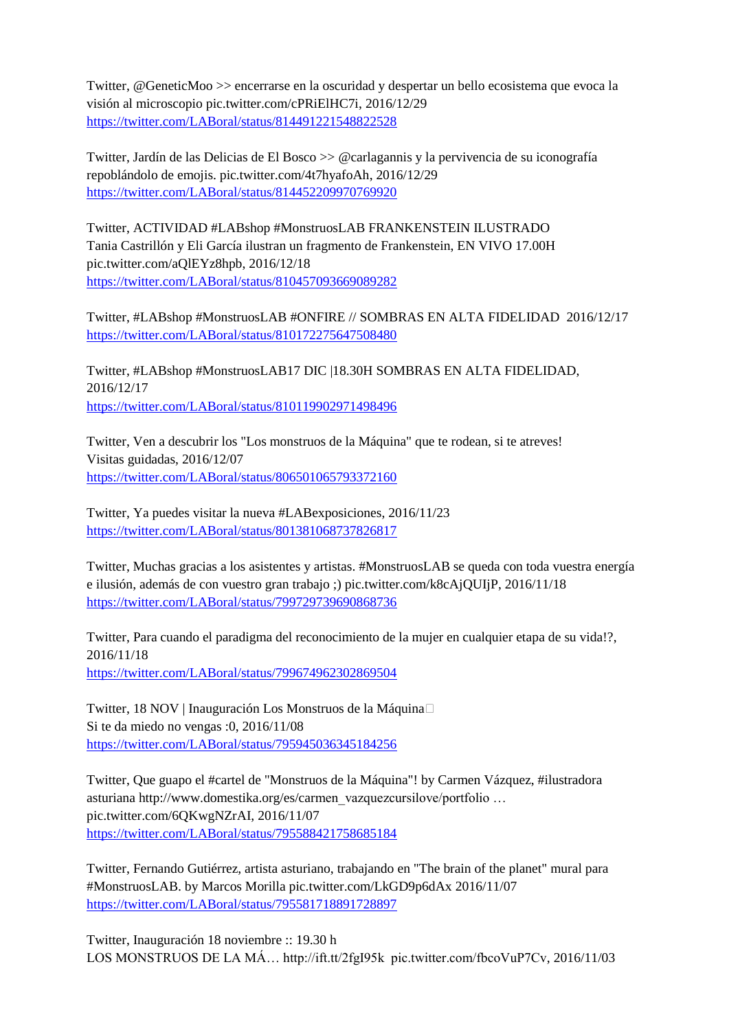Twitter, @GeneticMoo >> encerrarse en la oscuridad y despertar un bello ecosistema que evoca la visión al microscopio pic.twitter.com/cPRiElHC7i, 2016/12/29 <https://twitter.com/LABoral/status/814491221548822528>

Twitter, Jardín de las Delicias de El Bosco >> @carlagannis y la pervivencia de su iconografía repoblándolo de emojis. pic.twitter.com/4t7hyafoAh, 2016/12/29 <https://twitter.com/LABoral/status/814452209970769920>

Twitter, ACTIVIDAD #LABshop #MonstruosLAB FRANKENSTEIN ILUSTRADO Tania Castrillón y Eli García ilustran un fragmento de Frankenstein, EN VIVO 17.00H pic.twitter.com/aQlEYz8hpb, 2016/12/18 <https://twitter.com/LABoral/status/810457093669089282>

Twitter, #LABshop #MonstruosLAB #ONFIRE // SOMBRAS EN ALTA FIDELIDAD 2016/12/17 <https://twitter.com/LABoral/status/810172275647508480>

Twitter, #LABshop #MonstruosLAB17 DIC |18.30H SOMBRAS EN ALTA FIDELIDAD, 2016/12/17 <https://twitter.com/LABoral/status/810119902971498496>

Twitter, Ven a descubrir los "Los monstruos de la Máquina" que te rodean, si te atreves! Visitas guidadas, 2016/12/07 <https://twitter.com/LABoral/status/806501065793372160>

Twitter, Ya puedes visitar la nueva #LABexposiciones, 2016/11/23 <https://twitter.com/LABoral/status/801381068737826817>

Twitter, Muchas gracias a los asistentes y artistas. #MonstruosLAB se queda con toda vuestra energía e ilusión, además de con vuestro gran trabajo ;) pic.twitter.com/k8cAjQUIjP, 2016/11/18 <https://twitter.com/LABoral/status/799729739690868736>

Twitter, Para cuando el paradigma del reconocimiento de la mujer en cualquier etapa de su vida!?, 2016/11/18 <https://twitter.com/LABoral/status/799674962302869504>

Twitter, 18 NOV | Inauguración Los Monstruos de la Máquina□ Si te da miedo no vengas :0, 2016/11/08 <https://twitter.com/LABoral/status/795945036345184256>

Twitter, Que guapo el #cartel de "Monstruos de la Máquina"! by Carmen Vázquez, #ilustradora asturiana http://www.domestika.org/es/carmen\_vazquezcursilove/portfolio … pic.twitter.com/6QKwgNZrAI, 2016/11/07 <https://twitter.com/LABoral/status/795588421758685184>

Twitter, Fernando Gutiérrez, artista asturiano, trabajando en "The brain of the planet" mural para #MonstruosLAB. by Marcos Morilla pic.twitter.com/LkGD9p6dAx 2016/11/07 <https://twitter.com/LABoral/status/795581718891728897>

Twitter, Inauguración 18 noviembre :: 19.30 h LOS MONSTRUOS DE LA MÁ… http://ift.tt/2fgI95k pic.twitter.com/fbcoVuP7Cv, 2016/11/03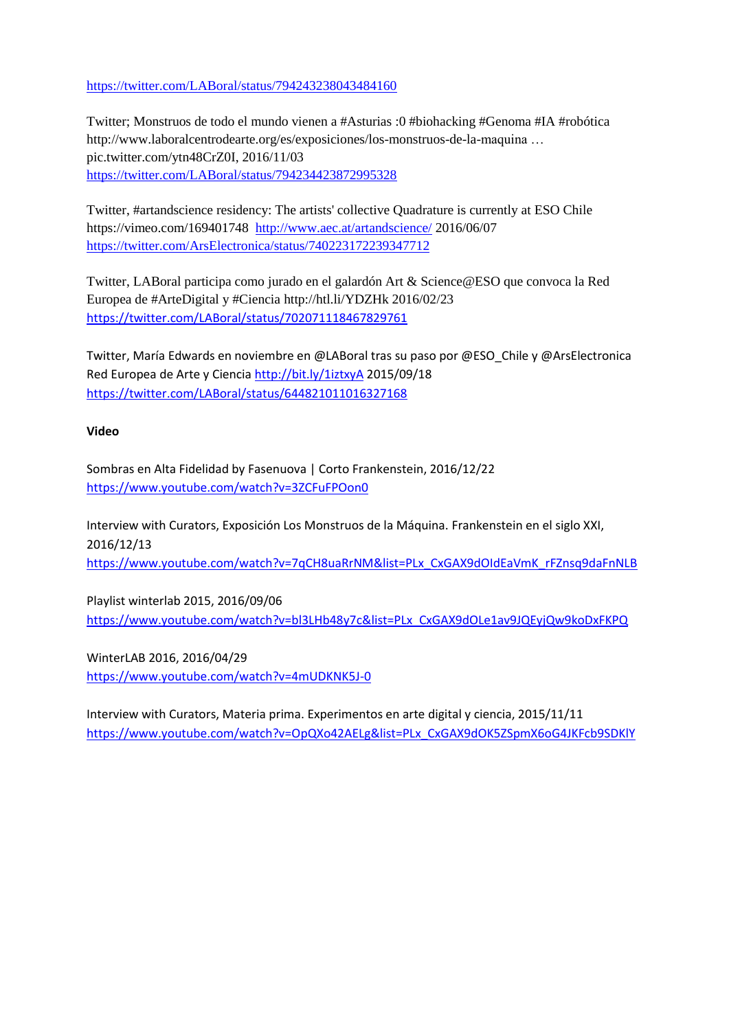<https://twitter.com/LABoral/status/794243238043484160>

Twitter; Monstruos de todo el mundo vienen a #Asturias :0 #biohacking #Genoma #IA #robótica http://www.laboralcentrodearte.org/es/exposiciones/los-monstruos-de-la-maquina … pic.twitter.com/ytn48CrZ0I, 2016/11/03 <https://twitter.com/LABoral/status/794234423872995328>

Twitter, #artandscience residency: The artists' collective Quadrature is currently at ESO Chile https://vimeo.com/169401748 <http://www.aec.at/artandscience/> 2016/06/07 <https://twitter.com/ArsElectronica/status/740223172239347712>

Twitter, LABoral participa como jurado en el galardón Art & Science@ESO que convoca la Red Europea de #ArteDigital y #Ciencia<http://htl.li/YDZHk> 2016/02/23 <https://twitter.com/LABoral/status/702071118467829761>

Twitter, María Edwards en noviembre en @LABoral tras su paso por @ESO\_Chile y @ArsElectronica Red Europea de Arte y Ciencia<http://bit.ly/1iztxyA> 2015/09/18 <https://twitter.com/LABoral/status/644821011016327168>

#### **Video**

Sombras en Alta Fidelidad by Fasenuova | Corto Frankenstein, 2016/12/22 <https://www.youtube.com/watch?v=3ZCFuFPOon0>

Interview with Curators, Exposición Los Monstruos de la Máquina. Frankenstein en el siglo XXI, 2016/12/13 [https://www.youtube.com/watch?v=7qCH8uaRrNM&list=PLx\\_CxGAX9dOIdEaVmK\\_rFZnsq9daFnNLB](https://www.youtube.com/watch?v=7qCH8uaRrNM&list=PLx_CxGAX9dOIdEaVmK_rFZnsq9daFnNLB)

Playlist winterlab 2015, 2016/09/06 [https://www.youtube.com/watch?v=bl3LHb48y7c&list=PLx\\_CxGAX9dOLe1av9JQEyjQw9koDxFKPQ](https://www.youtube.com/watch?v=bl3LHb48y7c&list=PLx_CxGAX9dOLe1av9JQEyjQw9koDxFKPQ)

WinterLAB 2016, 2016/04/29 <https://www.youtube.com/watch?v=4mUDKNK5J-0>

Interview with Curators, Materia prima. Experimentos en arte digital y ciencia, 2015/11/11 [https://www.youtube.com/watch?v=OpQXo42AELg&list=PLx\\_CxGAX9dOK5ZSpmX6oG4JKFcb9SDKlY](https://www.youtube.com/watch?v=OpQXo42AELg&list=PLx_CxGAX9dOK5ZSpmX6oG4JKFcb9SDKlY)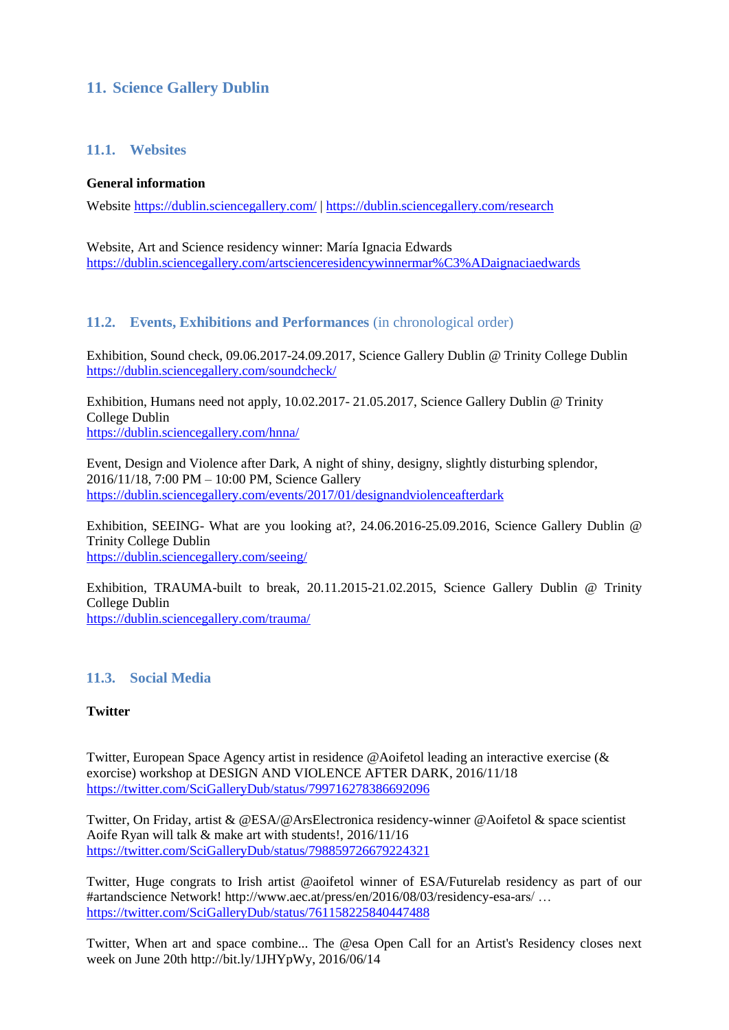# **11. Science Gallery Dublin**

## **11.1. Websites**

#### **General information**

Website <https://dublin.sciencegallery.com/> |<https://dublin.sciencegallery.com/research>

Website, Art and Science residency winner: María Ignacia Edwards <https://dublin.sciencegallery.com/artscienceresidencywinnermar%C3%ADaignaciaedwards>

## **11.2. Events, Exhibitions and Performances** (in chronological order)

Exhibition, Sound check, 09.06.2017-24.09.2017, Science Gallery Dublin @ Trinity College Dublin <https://dublin.sciencegallery.com/soundcheck/>

Exhibition, Humans need not apply, 10.02.2017- 21.05.2017, Science Gallery Dublin @ Trinity College Dublin <https://dublin.sciencegallery.com/hnna/>

Event, Design and Violence after Dark, A night of shiny, designy, slightly disturbing splendor, 2016/11/18, 7:00 PM – 10:00 PM, Science Gallery <https://dublin.sciencegallery.com/events/2017/01/designandviolenceafterdark>

Exhibition, SEEING- What are you looking at?, 24.06.2016-25.09.2016, Science Gallery Dublin @ Trinity College Dublin <https://dublin.sciencegallery.com/seeing/>

Exhibition, TRAUMA-built to break, 20.11.2015-21.02.2015, Science Gallery Dublin @ Trinity College Dublin <https://dublin.sciencegallery.com/trauma/>

## **11.3. Social Media**

#### **Twitter**

Twitter, European Space Agency artist in residence @Aoifetol leading an interactive exercise (& exorcise) workshop at DESIGN AND VIOLENCE AFTER DARK, 2016/11/18 <https://twitter.com/SciGalleryDub/status/799716278386692096>

Twitter, On Friday, artist & @ESA/@ArsElectronica residency-winner @Aoifetol & space scientist Aoife Ryan will talk & make art with students!, 2016/11/16 <https://twitter.com/SciGalleryDub/status/798859726679224321>

Twitter, Huge congrats to Irish artist @aoifetol winner of ESA/Futurelab residency as part of our #artandscience Network! http://www.aec.at/press/en/2016/08/03/residency-esa-ars/ … <https://twitter.com/SciGalleryDub/status/761158225840447488>

Twitter, When art and space combine... The @esa Open Call for an Artist's Residency closes next week on June 20th http://bit.ly/1JHYpWy, 2016/06/14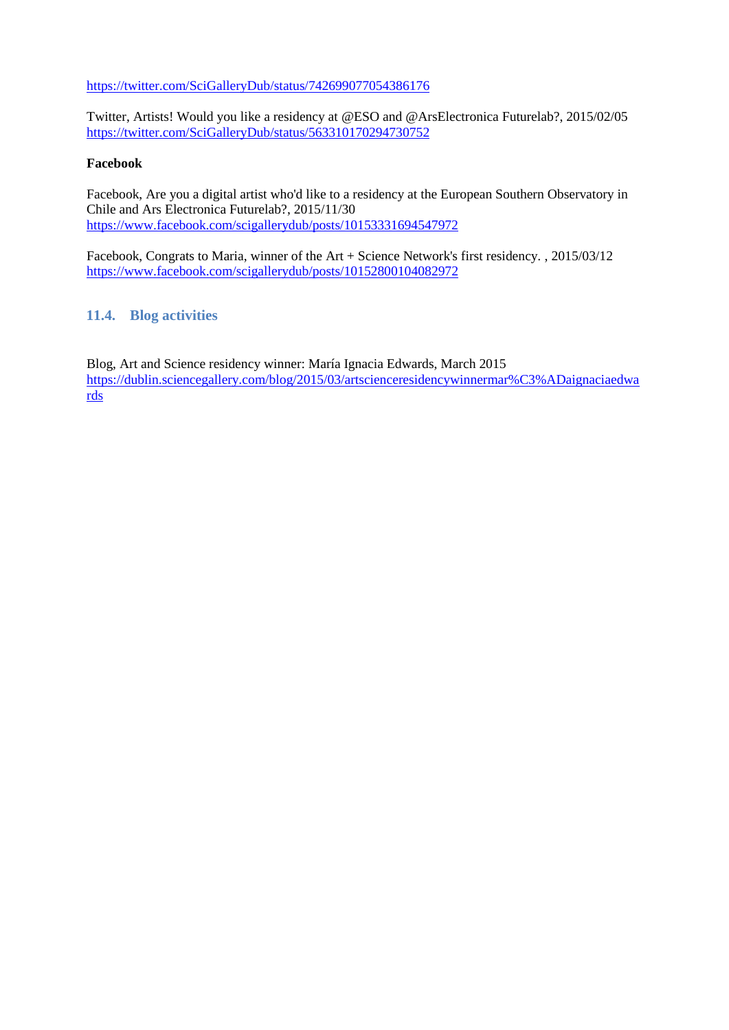<https://twitter.com/SciGalleryDub/status/742699077054386176>

Twitter, Artists! Would you like a residency at [@ESO](https://twitter.com/ESO) and [@ArsElectronica](https://twitter.com/ArsElectronica) Futurelab?, 2015/02/05 <https://twitter.com/SciGalleryDub/status/563310170294730752>

#### **Facebook**

Facebook, Are you a digital artist who'd like to a residency at the European Southern Observatory in Chile and Ars Electronica Futurelab?, 2015/11/30 <https://www.facebook.com/scigallerydub/posts/10153331694547972>

Facebook, Congrats to Maria, winner of the Art + Science Network's first residency. , 2015/03/12 <https://www.facebook.com/scigallerydub/posts/10152800104082972>

## **11.4. Blog activities**

Blog, Art and Science residency winner: María Ignacia Edwards, March 2015 [https://dublin.sciencegallery.com/blog/2015/03/artscienceresidencywinnermar%C3%ADaignaciaedwa](https://dublin.sciencegallery.com/blog/2015/03/artscienceresidencywinnermar%C3%ADaignaciaedwards) [rds](https://dublin.sciencegallery.com/blog/2015/03/artscienceresidencywinnermar%C3%ADaignaciaedwards)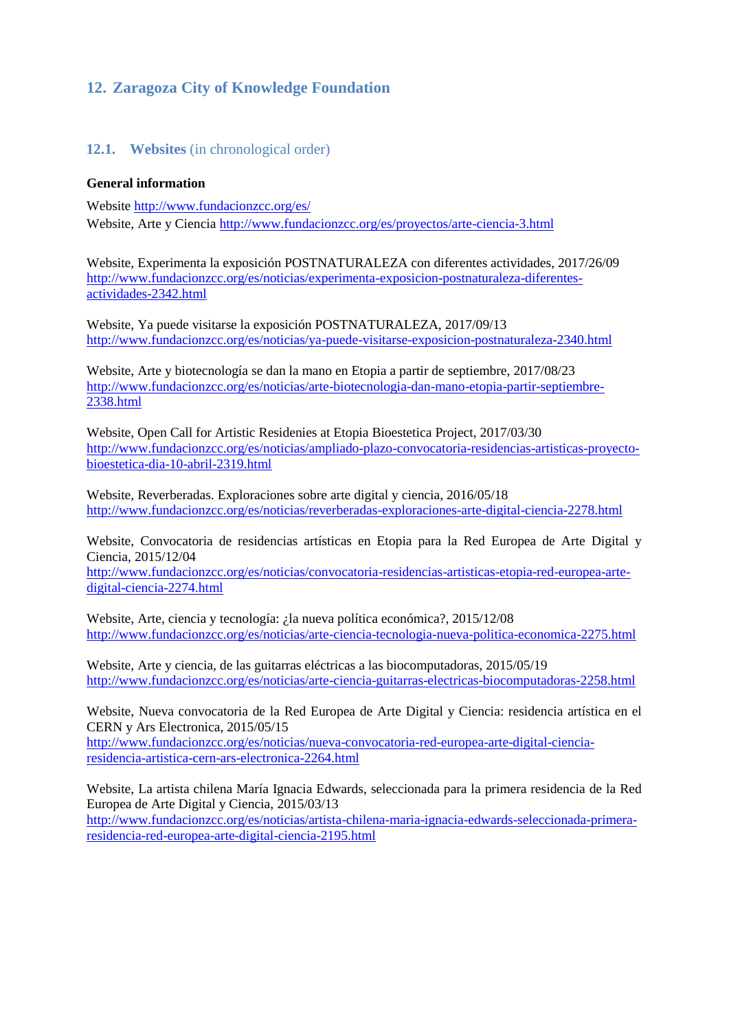# **12. Zaragoza City of Knowledge Foundation**

## **12.1. Websites** (in chronological order)

#### **General information**

Website<http://www.fundacionzcc.org/es/> Website, Arte y Ciencia <http://www.fundacionzcc.org/es/proyectos/arte-ciencia-3.html>

Website, Experimenta la exposición POSTNATURALEZA con diferentes actividades, 2017/26/09 http://www.fundacionzcc.org/es/noticias/experimenta-exposicion-postnaturaleza-diferentesactividades-2342.html

Website, Ya puede visitarse la exposición POSTNATURALEZA, 2017/09/13 http://www.fundacionzcc.org/es/noticias/ya-puede-visitarse-exposicion-postnaturaleza-2340.html

Website, Arte y biotecnología se dan la mano en Etopia a partir de septiembre, 2017/08/23 http://www.fundacionzcc.org/es/noticias/arte-biotecnologia-dan-mano-etopia-partir-septiembre-2338.html

Website, Open Call for Artistic Residenies at Etopia Bioestetica Project, 2017/03/30 [http://www.fundacionzcc.org/es/noticias/ampliado-plazo-convocatoria-residencias-artisticas-proyecto](http://www.fundacionzcc.org/es/noticias/ampliado-plazo-convocatoria-residencias-artisticas-proyecto-bioestetica-dia-10-abril-2319.html)[bioestetica-dia-10-abril-2319.html](http://www.fundacionzcc.org/es/noticias/ampliado-plazo-convocatoria-residencias-artisticas-proyecto-bioestetica-dia-10-abril-2319.html)

Website, Reverberadas. Exploraciones sobre arte digital y ciencia, 2016/05/18 http://www.fundacionzcc.org/es/noticias/reverberadas-exploraciones-arte-digital-ciencia-2278.html

Website, Convocatoria de residencias artísticas en Etopia para la Red Europea de Arte Digital y Ciencia, 2015/12/04

[http://www.fundacionzcc.org/es/noticias/convocatoria-residencias-artisticas-etopia-red-europea-arte](http://www.fundacionzcc.org/es/noticias/convocatoria-residencias-artisticas-etopia-red-europea-arte-digital-ciencia-2274.html)[digital-ciencia-2274.html](http://www.fundacionzcc.org/es/noticias/convocatoria-residencias-artisticas-etopia-red-europea-arte-digital-ciencia-2274.html)

Website, Arte, ciencia y tecnología: ¿la nueva política económica?, 2015/12/08 <http://www.fundacionzcc.org/es/noticias/arte-ciencia-tecnologia-nueva-politica-economica-2275.html>

Website, Arte y ciencia, de las guitarras eléctricas a las biocomputadoras, 2015/05/19 <http://www.fundacionzcc.org/es/noticias/arte-ciencia-guitarras-electricas-biocomputadoras-2258.html>

Website, Nueva convocatoria de la Red Europea de Arte Digital y Ciencia: residencia artística en el CERN y Ars Electronica, 2015/05/15

http://www.fundacionzcc.org/es/noticias/nueva-convocatoria-red-europea-arte-digital-cienciaresidencia-artistica-cern-ars-electronica-2264.html

Website, La artista chilena María Ignacia Edwards, seleccionada para la primera residencia de la Red Europea de Arte Digital y Ciencia, 2015/03/13 http://www.fundacionzcc.org/es/noticias/artista-chilena-maria-ignacia-edwards-seleccionada-primeraresidencia-red-europea-arte-digital-ciencia-2195.html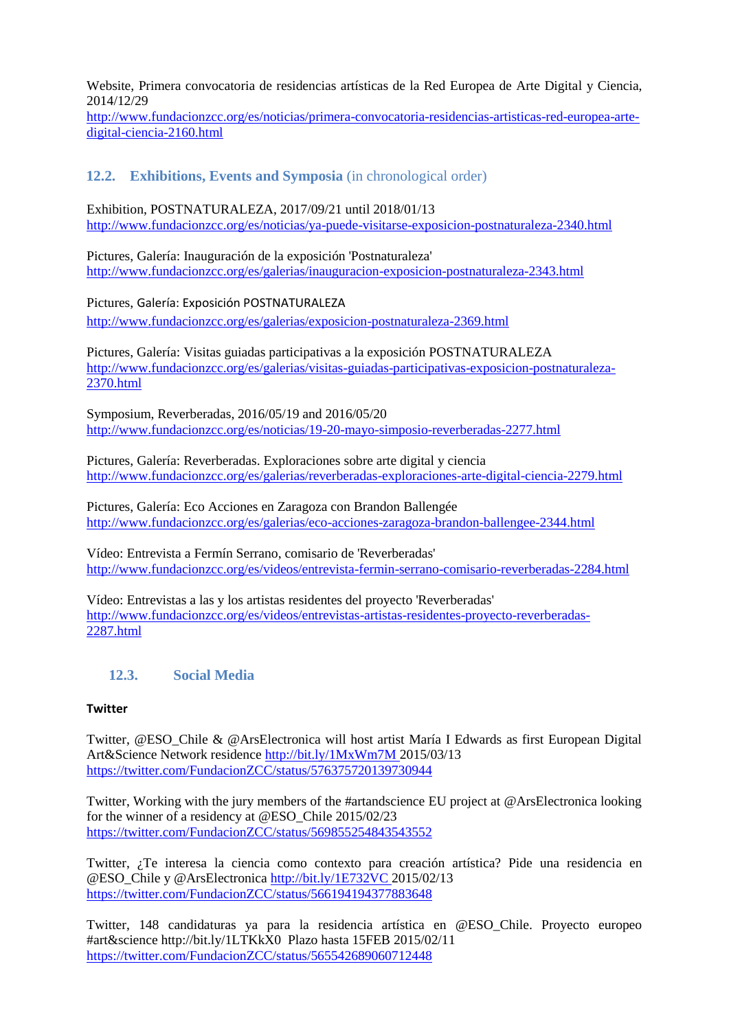Website, Primera convocatoria de residencias artísticas de la Red Europea de Arte Digital y Ciencia, 2014/12/29

http://www.fundacionzcc.org/es/noticias/primera-convocatoria-residencias-artisticas-red-europea-artedigital-ciencia-2160.html

## **12.2. Exhibitions, Events and Symposia** (in chronological order)

Exhibition, POSTNATURALEZA, 2017/09/21 until 2018/01/13 <http://www.fundacionzcc.org/es/noticias/ya-puede-visitarse-exposicion-postnaturaleza-2340.html>

Pictures, [Galería: Inauguración de la exposición 'Postnaturaleza'](http://www.fundacionzcc.org/es/galerias/index.html) <http://www.fundacionzcc.org/es/galerias/inauguracion-exposicion-postnaturaleza-2343.html>

Pictures, [Galería: Exposición POSTNATURALEZA](http://www.fundacionzcc.org/es/galerias/index.html)

<http://www.fundacionzcc.org/es/galerias/exposicion-postnaturaleza-2369.html>

Pictures, Galería: Visitas guiadas participativas a la exposición POSTNATURALEZA [http://www.fundacionzcc.org/es/galerias/visitas-guiadas-participativas-exposicion-postnaturaleza-](http://www.fundacionzcc.org/es/galerias/visitas-guiadas-participativas-exposicion-postnaturaleza-2370.html)[2370.html](http://www.fundacionzcc.org/es/galerias/visitas-guiadas-participativas-exposicion-postnaturaleza-2370.html)

Symposium, Reverberadas, 2016/05/19 and 2016/05/20 <http://www.fundacionzcc.org/es/noticias/19-20-mayo-simposio-reverberadas-2277.html>

Pictures, [Galería: Reverberadas. Exploraciones sobre arte digital y ciencia](http://www.fundacionzcc.org/es/galerias/index.html) http://www.fundacionzcc.org/es/galerias/reverberadas-exploraciones-arte-digital-ciencia-2279.html

Pictures, Galería: Eco Acciones en Zaragoza con Brandon Ballengée <http://www.fundacionzcc.org/es/galerias/eco-acciones-zaragoza-brandon-ballengee-2344.html>

Vídeo: Entrevista a Fermín Serrano, comisario de 'Reverberadas' <http://www.fundacionzcc.org/es/videos/entrevista-fermin-serrano-comisario-reverberadas-2284.html>

Vídeo: Entrevistas a las y los artistas residentes del proyecto 'Reverberadas' [http://www.fundacionzcc.org/es/videos/entrevistas-artistas-residentes-proyecto-reverberadas-](http://www.fundacionzcc.org/es/videos/entrevistas-artistas-residentes-proyecto-reverberadas-2287.html)[2287.html](http://www.fundacionzcc.org/es/videos/entrevistas-artistas-residentes-proyecto-reverberadas-2287.html)

## **12.3. Social Media**

#### **Twitter**

Twitter, @ESO\_Chile & @ArsElectronica will host artist María I Edwards as first European Digital Art&Science Network residence [http://bit.ly/1MxWm7M 2015/03/13](http://bit.ly/1MxWm7M%202015/03/13) <https://twitter.com/FundacionZCC/status/576375720139730944>

Twitter, Working with the jury members of the #artandscience EU project at @ArsElectronica looking for the winner of a residency at @ESO\_Chile 2015/02/23 <https://twitter.com/FundacionZCC/status/569855254843543552>

Twitter, ¿Te interesa la ciencia como contexto para creación artística? Pide una residencia en @ESO\_Chile y @ArsElectronica [http://bit.ly/1E732VC 2015/02/13](http://bit.ly/1E732VC%202015/02/13) <https://twitter.com/FundacionZCC/status/566194194377883648>

Twitter, 148 candidaturas ya para la residencia artística en @ESO\_Chile. Proyecto europeo #art&science http://bit.ly/1LTKkX0 Plazo hasta 15FEB 2015/02/11 <https://twitter.com/FundacionZCC/status/565542689060712448>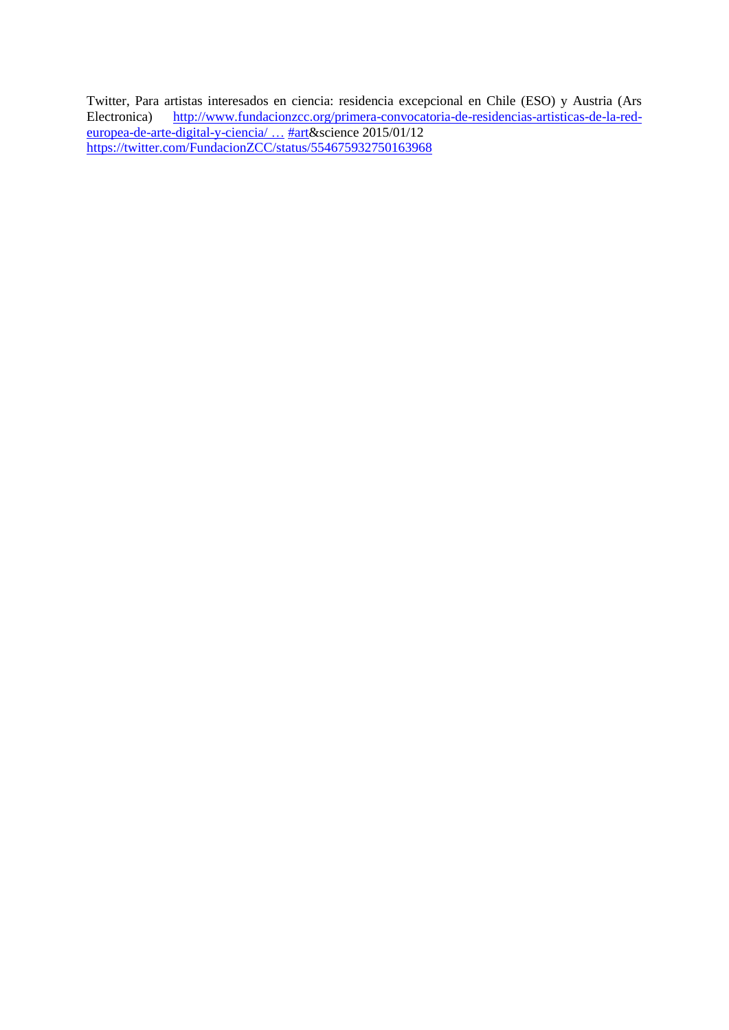Twitter, Para artistas interesados en ciencia: residencia excepcional en Chile (ESO) y Austria (Ars Electronica) [http://www.fundacionzcc.org/primera-convocatoria-de-residencias-artisticas-de-la-red](http://t.co/VusfhHhVkV)[europea-de-arte-digital-y-ciencia/](http://t.co/VusfhHhVkV) ... [#art&](https://twitter.com/hashtag/art?src=hash)science 2015/01/12 <https://twitter.com/FundacionZCC/status/554675932750163968>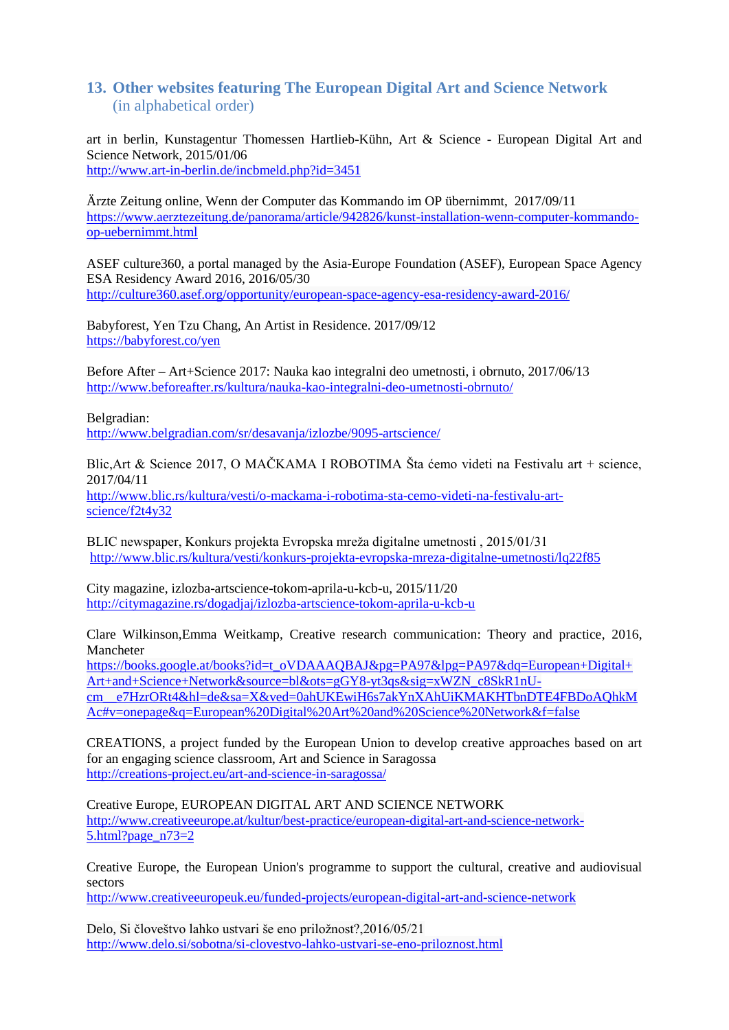## **13. Other websites featuring The European Digital Art and Science Network** (in alphabetical order)

art in berlin, Kunstagentur Thomessen Hartlieb-Kühn, Art & Science - European Digital Art and Science Network, 2015/01/06

<http://www.art-in-berlin.de/incbmeld.php?id=3451>

Ärzte Zeitung online, Wenn der Computer das Kommando im OP übernimmt, 2017/09/11 https://www.aerztezeitung.de/panorama/article/942826/kunst-installation-wenn-computer-kommandoop-uebernimmt.html

ASEF culture360, a portal managed by the [Asia-Europe Foundation \(ASEF\),](http://www.asef.org/) European Space Agency ESA Residency Award 2016, 2016/05/30 <http://culture360.asef.org/opportunity/european-space-agency-esa-residency-award-2016/>

Babyforest, Yen Tzu Chang, An Artist in Residence. 2017/09/12 <https://babyforest.co/yen>

Before After – Art+Science 2017: Nauka kao integralni deo umetnosti, i obrnuto, 2017/06/13 <http://www.beforeafter.rs/kultura/nauka-kao-integralni-deo-umetnosti-obrnuto/>

Belgradian: <http://www.belgradian.com/sr/desavanja/izlozbe/9095-artscience/>

Blic,Art & Science 2017, O MAČKAMA I ROBOTIMA Šta ćemo videti na Festivalu art + science, 2017/04/11 [http://www.blic.rs/kultura/vesti/o-mackama-i-robotima-sta-cemo-videti-na-festivalu-art](http://www.blic.rs/kultura/vesti/o-mackama-i-robotima-sta-cemo-videti-na-festivalu-art-science/f2t4y32)[science/f2t4y32](http://www.blic.rs/kultura/vesti/o-mackama-i-robotima-sta-cemo-videti-na-festivalu-art-science/f2t4y32)

BLIC newspaper, Konkurs projekta Evropska mreža digitalne umetnosti , 2015/01/31 <http://www.blic.rs/kultura/vesti/konkurs-projekta-evropska-mreza-digitalne-umetnosti/lq22f85>

City magazine, izlozba-artscience-tokom-aprila-u-kcb-u, 2015/11/20 <http://citymagazine.rs/dogadjaj/izlozba-artscience-tokom-aprila-u-kcb-u>

Clare Wilkinson,Emma Weitkamp, Creative research communication: Theory and practice, 2016, Mancheter

[https://books.google.at/books?id=t\\_oVDAAAQBAJ&pg=PA97&lpg=PA97&dq=European+Digital+](https://books.google.at/books?id=t_oVDAAAQBAJ&pg=PA97&lpg=PA97&dq=European+Digital+Art+and+Science+Network&source=bl&ots=gGY8-yt3qs&sig=xWZN_c8SkR1nU-cm__e7HzrORt4&hl=de&sa=X&ved=0ahUKEwiH6s7akYnXAhUiKMAKHTbnDTE4FBDoAQhkMAc#v=onepage&q=European%20Digital%20Art%20and%20Science%20Network&f=false) [Art+and+Science+Network&source=bl&ots=gGY8-yt3qs&sig=xWZN\\_c8SkR1nU](https://books.google.at/books?id=t_oVDAAAQBAJ&pg=PA97&lpg=PA97&dq=European+Digital+Art+and+Science+Network&source=bl&ots=gGY8-yt3qs&sig=xWZN_c8SkR1nU-cm__e7HzrORt4&hl=de&sa=X&ved=0ahUKEwiH6s7akYnXAhUiKMAKHTbnDTE4FBDoAQhkMAc#v=onepage&q=European%20Digital%20Art%20and%20Science%20Network&f=false)[cm\\_\\_e7HzrORt4&hl=de&sa=X&ved=0ahUKEwiH6s7akYnXAhUiKMAKHTbnDTE4FBDoAQhkM](https://books.google.at/books?id=t_oVDAAAQBAJ&pg=PA97&lpg=PA97&dq=European+Digital+Art+and+Science+Network&source=bl&ots=gGY8-yt3qs&sig=xWZN_c8SkR1nU-cm__e7HzrORt4&hl=de&sa=X&ved=0ahUKEwiH6s7akYnXAhUiKMAKHTbnDTE4FBDoAQhkMAc#v=onepage&q=European%20Digital%20Art%20and%20Science%20Network&f=false) [Ac#v=onepage&q=European%20Digital%20Art%20and%20Science%20Network&f=false](https://books.google.at/books?id=t_oVDAAAQBAJ&pg=PA97&lpg=PA97&dq=European+Digital+Art+and+Science+Network&source=bl&ots=gGY8-yt3qs&sig=xWZN_c8SkR1nU-cm__e7HzrORt4&hl=de&sa=X&ved=0ahUKEwiH6s7akYnXAhUiKMAKHTbnDTE4FBDoAQhkMAc#v=onepage&q=European%20Digital%20Art%20and%20Science%20Network&f=false)

CREATIONS, a project funded by the European Union to develop creative approaches based on art for an engaging science classroom, Art and Science in Saragossa <http://creations-project.eu/art-and-science-in-saragossa/>

Creative Europe, EUROPEAN DIGITAL ART AND SCIENCE NETWORK [http://www.creativeeurope.at/kultur/best-practice/european-digital-art-and-science-network-](http://www.creativeeurope.at/kultur/best-practice/european-digital-art-and-science-network-5.html?page_n73=2)5.html?page $n73=2$ 

Creative Europe, the European Union's programme to support the cultural, creative and audiovisual sectors

<http://www.creativeeuropeuk.eu/funded-projects/european-digital-art-and-science-network>

Delo, Si človeštvo lahko ustvari še eno priložnost?,2016/05/21 <http://www.delo.si/sobotna/si-clovestvo-lahko-ustvari-se-eno-priloznost.html>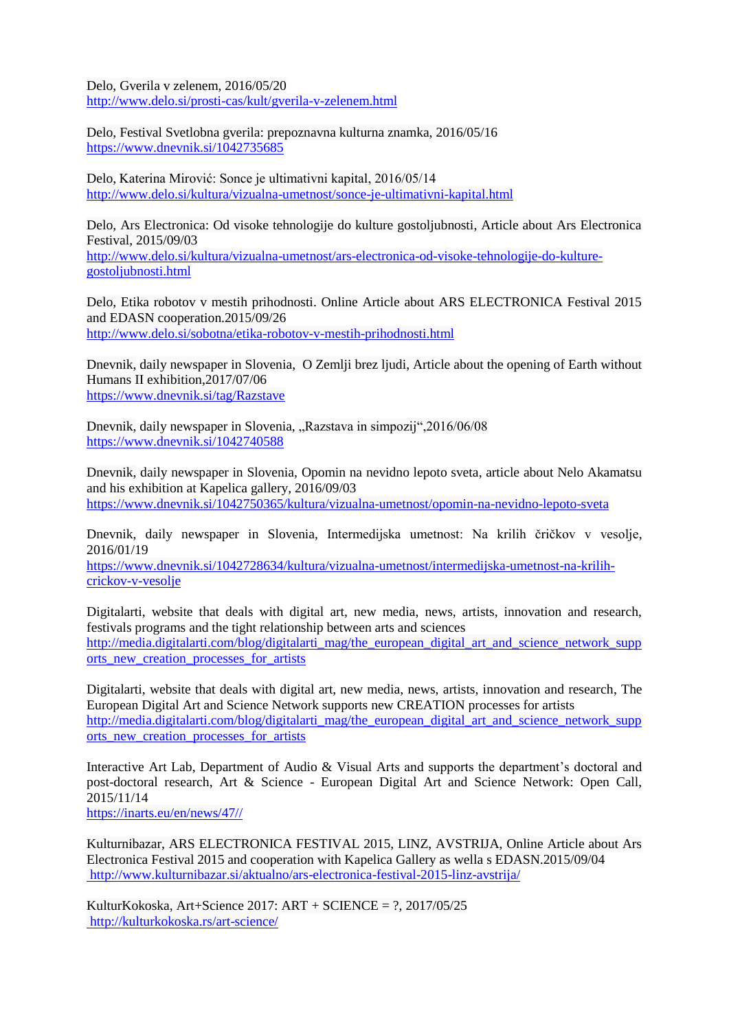Delo, Gverila v zelenem, 2016/05/20 <http://www.delo.si/prosti-cas/kult/gverila-v-zelenem.html>

Delo, Festival Svetlobna gverila: prepoznavna kulturna znamka, 2016/05/16 <https://www.dnevnik.si/1042735685>

Delo, Katerina Mirović: Sonce je ultimativni kapital, 2016/05/14 <http://www.delo.si/kultura/vizualna-umetnost/sonce-je-ultimativni-kapital.html>

Delo, Ars Electronica: Od visoke tehnologije do kulture gostoljubnosti, Article about Ars Electronica Festival, 2015/09/03 http://www.delo.si/kultura/vizualna-umetnost/ars-electronica-od-visoke-tehnologije-do-kulturegostoljubnosti.html

Delo, Etika robotov v mestih prihodnosti. Online Article about ARS ELECTRONICA Festival 2015 and EDASN cooperation.2015/09/26 <http://www.delo.si/sobotna/etika-robotov-v-mestih-prihodnosti.html>

Dnevnik, daily newspaper in Slovenia, O Zemlji brez ljudi, Article about the opening of Earth without Humans II exhibition,2017/07/06 https://www.dnevnik.si/tag/Razstave

Dnevnik, daily newspaper in Slovenia, "Razstava in simpozij", 2016/06/08 <https://www.dnevnik.si/1042740588>

Dnevnik, daily newspaper in Slovenia, Opomin na nevidno lepoto sveta, article about Nelo Akamatsu and his exhibition at Kapelica gallery, 2016/09/03 <https://www.dnevnik.si/1042750365/kultura/vizualna-umetnost/opomin-na-nevidno-lepoto-sveta>

Dnevnik, daily newspaper in Slovenia, Intermedijska umetnost: Na krilih čričkov v vesolje, 2016/01/19

[https://www.dnevnik.si/1042728634/kultura/vizualna-umetnost/intermedijska-umetnost-na-krilih](https://www.dnevnik.si/1042728634/kultura/vizualna-umetnost/intermedijska-umetnost-na-krilih-crickov-v-vesolje)[crickov-v-vesolje](https://www.dnevnik.si/1042728634/kultura/vizualna-umetnost/intermedijska-umetnost-na-krilih-crickov-v-vesolje)

Digitalarti, website that deals with digital art, new media, news, artists, innovation and research, festivals programs and the tight relationship between arts and sciences [http://media.digitalarti.com/blog/digitalarti\\_mag/the\\_european\\_digital\\_art\\_and\\_science\\_network\\_supp](http://media.digitalarti.com/blog/digitalarti_mag/the_european_digital_art_and_science_network_supports_new_creation_processes_for_artists) [orts\\_new\\_creation\\_processes\\_for\\_artists](http://media.digitalarti.com/blog/digitalarti_mag/the_european_digital_art_and_science_network_supports_new_creation_processes_for_artists)

Digitalarti, website that deals with digital art, new media, news, artists, innovation and research, The European Digital Art and Science Network supports new CREATION processes for artists [http://media.digitalarti.com/blog/digitalarti\\_mag/the\\_european\\_digital\\_art\\_and\\_science\\_network\\_supp](http://media.digitalarti.com/blog/digitalarti_mag/the_european_digital_art_and_science_network_supports_new_creation_processes_for_artists) [orts\\_new\\_creation\\_processes\\_for\\_artists](http://media.digitalarti.com/blog/digitalarti_mag/the_european_digital_art_and_science_network_supports_new_creation_processes_for_artists)

Interactive Art Lab, Department of Audio & Visual Arts and supports the department's doctoral and post-doctoral research, Art & Science - European Digital Art and Science Network: Open Call, 2015/11/14

[https://inarts.eu/en/news/47//](https://inarts.eu/en/news/47/)

Kulturnibazar, ARS ELECTRONICA FESTIVAL 2015, LINZ, AVSTRIJA, Online Article about Ars Electronica Festival 2015 and cooperation with Kapelica Gallery as wella s EDASN.2015/09/04 <http://www.kulturnibazar.si/aktualno/ars-electronica-festival-2015-linz-avstrija/>

KulturKokoska, Art+Science 2017: ART + SCIENCE =  $?$ , 2017/05/25 <http://kulturkokoska.rs/art-science/>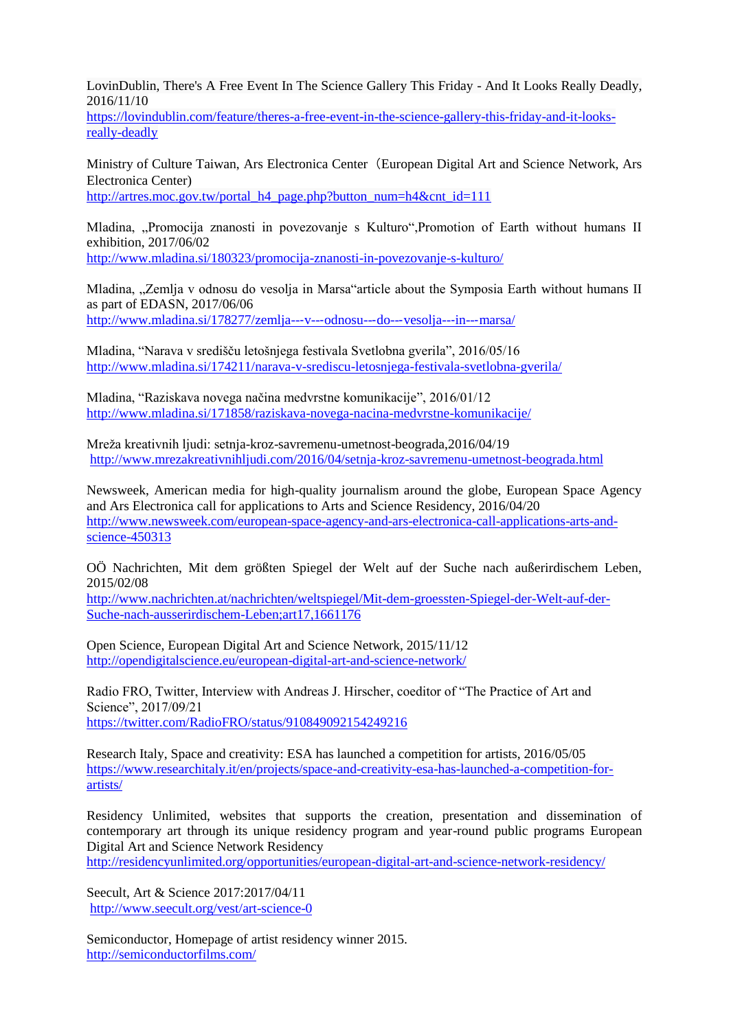LovinDublin, There's A Free Event In The Science Gallery This Friday - And It Looks Really Deadly, 2016/11/10

[https://lovindublin.com/feature/theres-a-free-event-in-the-science-gallery-this-friday-and-it-looks](https://lovindublin.com/feature/theres-a-free-event-in-the-science-gallery-this-friday-and-it-looks-really-deadly)[really-deadly](https://lovindublin.com/feature/theres-a-free-event-in-the-science-gallery-this-friday-and-it-looks-really-deadly)

Ministry of Culture Taiwan, Ars Electronica Center(European Digital Art and Science Network, Ars Electronica Center)

[http://artres.moc.gov.tw/portal\\_h4\\_page.php?button\\_num=h4&cnt\\_id=111](http://artres.moc.gov.tw/portal_h4_page.php?button_num=h4&cnt_id=111)

Mladina, "Promocija znanosti in povezovanje s Kulturo",Promotion of Earth without humans II exhibition, 2017/06/02 <http://www.mladina.si/180323/promocija-znanosti-in-povezovanje-s-kulturo/>

Mladina, ...Zemlja v odnosu do vesolja in Marsa article about the Symposia Earth without humans II as part of EDASN, 2017/06/06 [http://www.mladina.si/178277/zemlja--](http://www.mladina.si/178277/zemlja--‐v--‐odnosu--‐do--‐vesolja--‐in--‐marsa/)‐v--‐odnosu--‐do--‐vesolja--‐in--‐marsa/

Mladina, "Narava v središču letošnjega festivala Svetlobna gverila", 2016/05/16 <http://www.mladina.si/174211/narava-v-srediscu-letosnjega-festivala-svetlobna-gverila/>

Mladina, "Raziskava novega načina medvrstne komunikacije", 2016/01/12 <http://www.mladina.si/171858/raziskava-novega-nacina-medvrstne-komunikacije/>

Mreža kreativnih ljudi: setnja-kroz-savremenu-umetnost-beograda,2016/04/19 <http://www.mrezakreativnihljudi.com/2016/04/setnja-kroz-savremenu-umetnost-beograda.html>

Newsweek, American media for high-quality journalism around the globe, European Space Agency and Ars Electronica call for applications to Arts and Science Residency, 2016/04/20 http://www.newsweek.com/european-space-agency-and-ars-electronica-call-applications-arts-andscience-450313

OÖ Nachrichten, Mit dem größten Spiegel der Welt auf der Suche nach außerirdischem Leben, 2015/02/08

[http://www.nachrichten.at/nachrichten/weltspiegel/Mit-dem-groessten-Spiegel-der-Welt-auf-der-](http://www.nachrichten.at/nachrichten/weltspiegel/Mit-dem-groessten-Spiegel-der-Welt-auf-der-Suche-nach-ausserirdischem-Leben;art17,1661176)[Suche-nach-ausserirdischem-Leben;art17,1661176](http://www.nachrichten.at/nachrichten/weltspiegel/Mit-dem-groessten-Spiegel-der-Welt-auf-der-Suche-nach-ausserirdischem-Leben;art17,1661176)

Open Science, European Digital Art and Science Network, 2015/11/12 http://opendigitalscience.eu/european-digital-art-and-science-network/

Radio FRO, Twitter, Interview with Andreas J. Hirscher, coeditor of "The Practice of Art and Science", 2017/09/21 https://twitter.com/RadioFRO/status/910849092154249216

Research Italy, Space and creativity: ESA has launched a competition for artists, 2016/05/05 [https://www.researchitaly.it/en/projects/space-and-creativity-esa-has-launched-a-competition-for](https://www.researchitaly.it/en/projects/space-and-creativity-esa-has-launched-a-competition-for-artists/)[artists/](https://www.researchitaly.it/en/projects/space-and-creativity-esa-has-launched-a-competition-for-artists/)

Residency Unlimited, websites that supports the creation, presentation and dissemination of contemporary art through its unique residency program and year-round public programs European Digital Art and Science Network Residency

<http://residencyunlimited.org/opportunities/european-digital-art-and-science-network-residency/>

Seecult, Art & Science 2017:2017/04/11 <http://www.seecult.org/vest/art-science-0>

Semiconductor, Homepage of artist residency winner 2015. <http://semiconductorfilms.com/>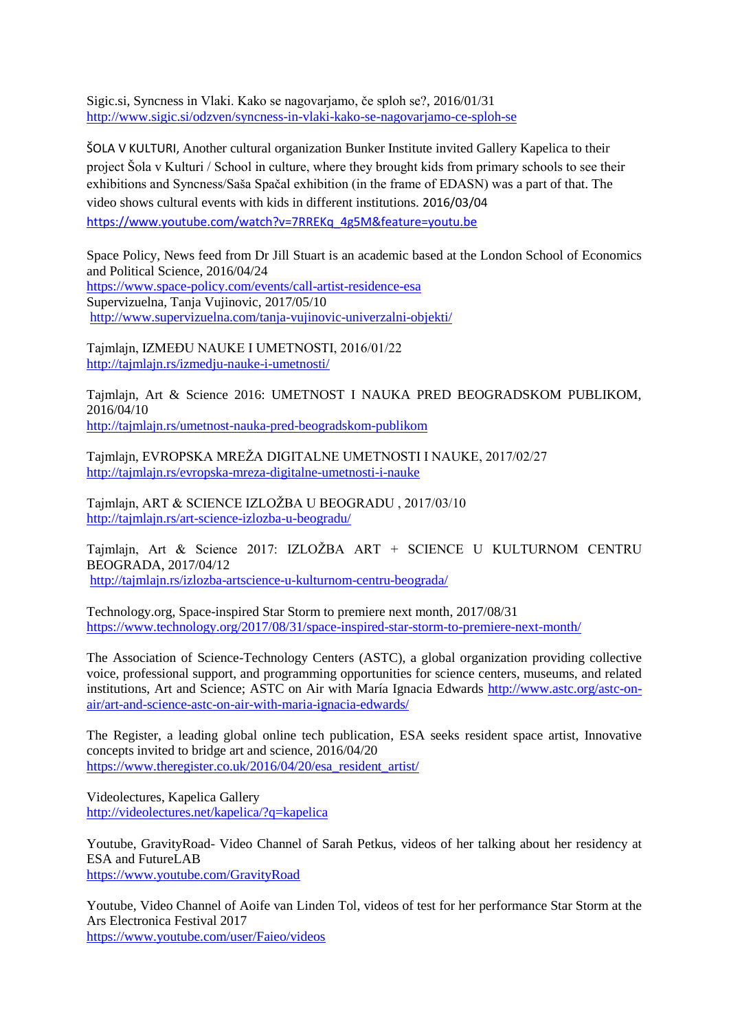Sigic.si, Syncness in Vlaki. Kako se nagovarjamo, če sploh se?, 2016/01/31 <http://www.sigic.si/odzven/syncness-in-vlaki-kako-se-nagovarjamo-ce-sploh-se>

ŠOLA V KULTURI, Another cultural organization Bunker Institute invited Gallery Kapelica to their project Šola v Kulturi / School in culture, where they brought kids from primary schools to see their exhibitions and Syncness/Saša Spačal exhibition (in the frame of EDASN) was a part of that. The video shows cultural events with kids in different institutions. 2016/03/04 [https://www.youtube.com/watch?v=7RREKq\\_4g5M&feature=youtu.be](https://www.youtube.com/watch?v=7RREKq_4g5M&feature=youtu.be)

Space Policy, News feed from Dr Jill Stuart is an academic based at the London School of Economics and Political Science, 2016/04/24 https://www.space-policy.com/events/call-artist-residence-esa Supervizuelna, Tanja Vujinovic, 2017/05/10 <http://www.supervizuelna.com/tanja-vujinovic-univerzalni-objekti/>

Tajmlajn, IZMEĐU NAUKE I UMETNOSTI, 2016/01/22 <http://tajmlajn.rs/izmedju-nauke-i-umetnosti/>

Tajmlajn, Art & Science 2016: UMETNOST I NAUKA PRED BEOGRADSKOM PUBLIKOM, 2016/04/10 <http://tajmlajn.rs/umetnost-nauka-pred-beogradskom-publikom>

Tajmlajn, EVROPSKA MREŽA DIGITALNE UMETNOSTI I NAUKE, 2017/02/27 <http://tajmlajn.rs/evropska-mreza-digitalne-umetnosti-i-nauke>

Tajmlajn, ART & SCIENCE IZLOŽBA U BEOGRADU , 2017/03/10 <http://tajmlajn.rs/art-science-izlozba-u-beogradu/>

Tajmlajn, Art & Science 2017: IZLOŽBA ART + SCIENCE U KULTURNOM CENTRU BEOGRADA, 2017/04/12 <http://tajmlajn.rs/izlozba-artscience-u-kulturnom-centru-beograda/>

Technology.org, Space-inspired Star Storm to premiere next month, 2017/08/31 <https://www.technology.org/2017/08/31/space-inspired-star-storm-to-premiere-next-month/>

The Association of Science-Technology Centers (ASTC), a global organization providing collective voice, professional support, and programming opportunities for science centers, museums, and related institutions, Art and Science; ASTC on Air with María Ignacia Edwards http://www.astc.org/astc-onair/art-and-science-astc-on-air-with-maria-ignacia-edwards/

The Register, a leading global online tech publication, ESA seeks resident space artist, Innovative concepts invited to bridge art and science, 2016/04/20 [https://www.theregister.co.uk/2016/04/20/esa\\_resident\\_artist/](https://www.theregister.co.uk/2016/04/20/esa_resident_artist/)

Videolectures, Kapelica Gallery <http://videolectures.net/kapelica/?q=kapelica>

Youtube, GravityRoad- Video Channel of Sarah Petkus, videos of her talking about her residency at ESA and FutureLAB <https://www.youtube.com/GravityRoad>

Youtube, Video Channel of Aoife van Linden Tol, videos of test for her performance Star Storm at the Ars Electronica Festival 2017 <https://www.youtube.com/user/Faieo/videos>